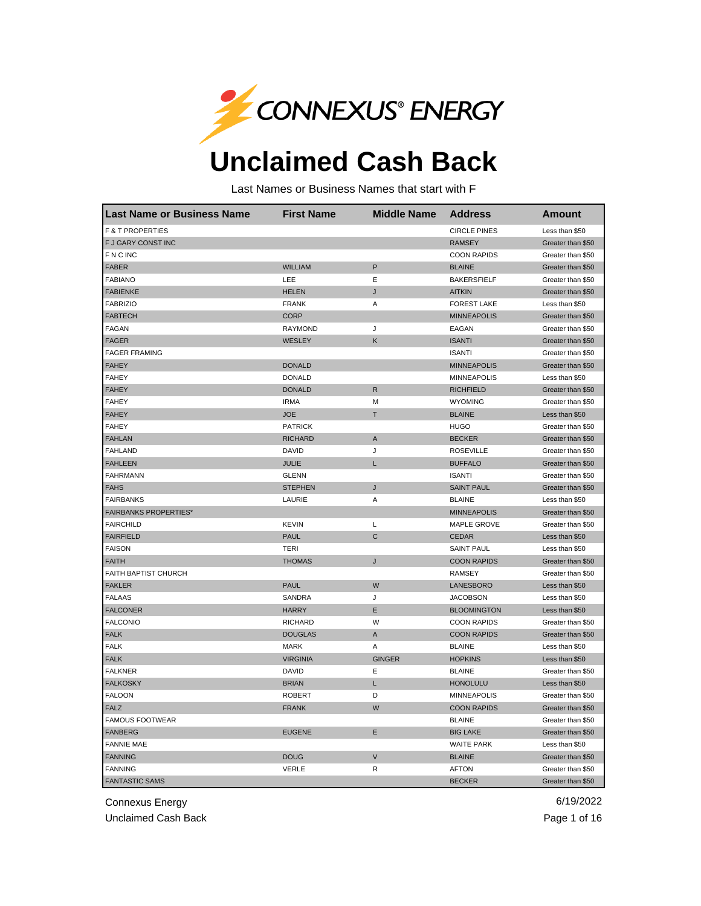

## **Unclaimed Cash Back**

Last Names or Business Names that start with F

| Last Name or Business Name   | <b>First Name</b> | <b>Middle Name</b> | <b>Address</b>      | <b>Amount</b>     |
|------------------------------|-------------------|--------------------|---------------------|-------------------|
| <b>F &amp; T PROPERTIES</b>  |                   |                    | <b>CIRCLE PINES</b> | Less than \$50    |
| F J GARY CONST INC           |                   |                    | <b>RAMSEY</b>       | Greater than \$50 |
| <b>FNCINC</b>                |                   |                    | <b>COON RAPIDS</b>  | Greater than \$50 |
| <b>FABER</b>                 | <b>WILLIAM</b>    | P                  | <b>BLAINE</b>       | Greater than \$50 |
| <b>FABIANO</b>               | LEE               | Ε                  | <b>BAKERSFIELF</b>  | Greater than \$50 |
| <b>FABIENKE</b>              | <b>HELEN</b>      | J                  | <b>AITKIN</b>       | Greater than \$50 |
| <b>FABRIZIO</b>              | <b>FRANK</b>      | Α                  | <b>FOREST LAKE</b>  | Less than \$50    |
| <b>FABTECH</b>               | <b>CORP</b>       |                    | <b>MINNEAPOLIS</b>  | Greater than \$50 |
| <b>FAGAN</b>                 | <b>RAYMOND</b>    | J                  | EAGAN               | Greater than \$50 |
| <b>FAGER</b>                 | WESLEY            | Κ                  | <b>ISANTI</b>       | Greater than \$50 |
| <b>FAGER FRAMING</b>         |                   |                    | <b>ISANTI</b>       | Greater than \$50 |
| <b>FAHEY</b>                 | <b>DONALD</b>     |                    | <b>MINNEAPOLIS</b>  | Greater than \$50 |
| <b>FAHEY</b>                 | <b>DONALD</b>     |                    | <b>MINNEAPOLIS</b>  | Less than \$50    |
| <b>FAHEY</b>                 | <b>DONALD</b>     | $\mathsf{R}$       | <b>RICHFIELD</b>    | Greater than \$50 |
| <b>FAHEY</b>                 | <b>IRMA</b>       | M                  | <b>WYOMING</b>      | Greater than \$50 |
| <b>FAHEY</b>                 | <b>JOE</b>        | Т                  | <b>BLAINE</b>       | Less than \$50    |
| <b>FAHEY</b>                 | <b>PATRICK</b>    |                    | <b>HUGO</b>         | Greater than \$50 |
| <b>FAHLAN</b>                | <b>RICHARD</b>    | $\mathsf A$        | <b>BECKER</b>       | Greater than \$50 |
| <b>FAHLAND</b>               | <b>DAVID</b>      | J                  | <b>ROSEVILLE</b>    | Greater than \$50 |
| <b>FAHLEEN</b>               | <b>JULIE</b>      | L                  | <b>BUFFALO</b>      | Greater than \$50 |
| <b>FAHRMANN</b>              | <b>GLENN</b>      |                    | <b>ISANTI</b>       | Greater than \$50 |
| <b>FAHS</b>                  | <b>STEPHEN</b>    | J                  | <b>SAINT PAUL</b>   | Greater than \$50 |
| <b>FAIRBANKS</b>             | LAURIE            | Α                  | <b>BLAINE</b>       | Less than \$50    |
| <b>FAIRBANKS PROPERTIES*</b> |                   |                    | <b>MINNEAPOLIS</b>  | Greater than \$50 |
| <b>FAIRCHILD</b>             | <b>KEVIN</b>      | L                  | MAPLE GROVE         | Greater than \$50 |
| <b>FAIRFIELD</b>             | <b>PAUL</b>       | C                  | <b>CEDAR</b>        | Less than \$50    |
| <b>FAISON</b>                | TERI              |                    | <b>SAINT PAUL</b>   | Less than \$50    |
| <b>FAITH</b>                 | <b>THOMAS</b>     | J                  | <b>COON RAPIDS</b>  | Greater than \$50 |
| FAITH BAPTIST CHURCH         |                   |                    | <b>RAMSEY</b>       | Greater than \$50 |
| <b>FAKLER</b>                | <b>PAUL</b>       | W                  | LANESBORO           | Less than \$50    |
| <b>FALAAS</b>                | <b>SANDRA</b>     | J                  | <b>JACOBSON</b>     | Less than \$50    |
| <b>FALCONER</b>              | <b>HARRY</b>      | Ε                  | <b>BLOOMINGTON</b>  | Less than \$50    |
| <b>FALCONIO</b>              | <b>RICHARD</b>    | W                  | <b>COON RAPIDS</b>  | Greater than \$50 |
| <b>FALK</b>                  | <b>DOUGLAS</b>    | A                  | <b>COON RAPIDS</b>  | Greater than \$50 |
| <b>FALK</b>                  | <b>MARK</b>       | Α                  | <b>BLAINE</b>       | Less than \$50    |
| <b>FALK</b>                  | <b>VIRGINIA</b>   | <b>GINGER</b>      | <b>HOPKINS</b>      | Less than \$50    |
| <b>FALKNER</b>               | DAVID             | Ε                  | <b>BLAINE</b>       | Greater than \$50 |
| <b>FALKOSKY</b>              | <b>BRIAN</b>      | L                  | <b>HONOLULU</b>     | Less than \$50    |
| <b>FALOON</b>                | <b>ROBERT</b>     | D                  | <b>MINNEAPOLIS</b>  | Greater than \$50 |
| <b>FALZ</b>                  | <b>FRANK</b>      | W                  | <b>COON RAPIDS</b>  | Greater than \$50 |
| <b>FAMOUS FOOTWEAR</b>       |                   |                    | <b>BLAINE</b>       | Greater than \$50 |
| <b>FANBERG</b>               | <b>EUGENE</b>     | Ε                  | <b>BIG LAKE</b>     | Greater than \$50 |
| <b>FANNIE MAE</b>            |                   |                    | <b>WAITE PARK</b>   | Less than \$50    |
| <b>FANNING</b>               | <b>DOUG</b>       | V                  | <b>BLAINE</b>       | Greater than \$50 |
| <b>FANNING</b>               | <b>VERLE</b>      | R                  | <b>AFTON</b>        | Greater than \$50 |
| <b>FANTASTIC SAMS</b>        |                   |                    | <b>BECKER</b>       | Greater than \$50 |

Connexus Energy 6/19/2022

Unclaimed Cash Back **Page 1 of 16** Page 1 of 16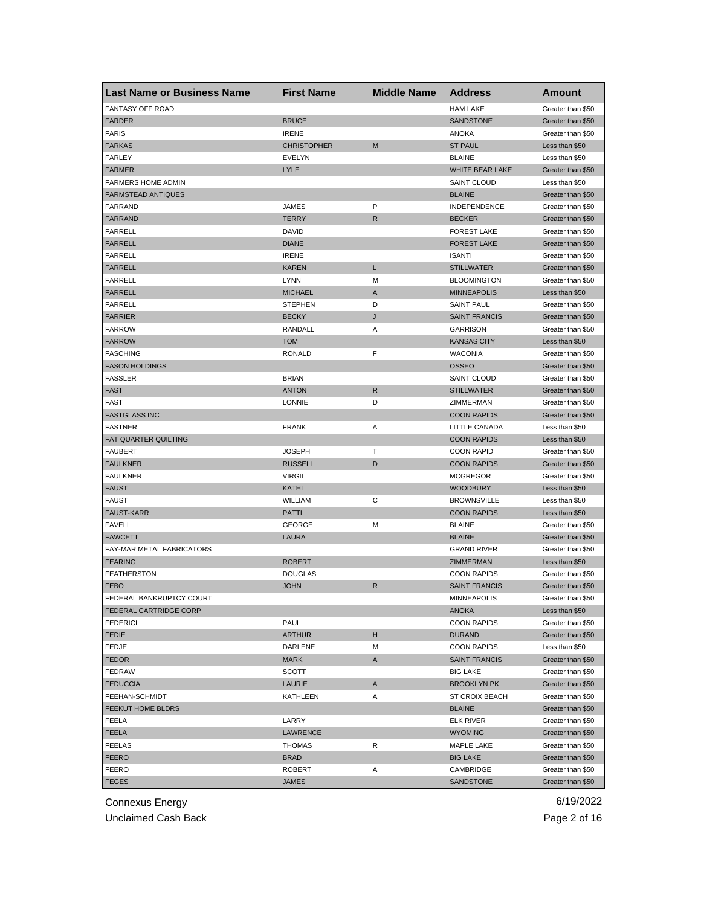| <b>Last Name or Business Name</b> | <b>First Name</b>  | <b>Middle Name</b> | <b>Address</b>        | Amount                                 |
|-----------------------------------|--------------------|--------------------|-----------------------|----------------------------------------|
| <b>FANTASY OFF ROAD</b>           |                    |                    | <b>HAM LAKE</b>       | Greater than \$50                      |
| <b>FARDER</b>                     | <b>BRUCE</b>       |                    | SANDSTONE             | Greater than \$50                      |
| <b>FARIS</b>                      | <b>IRENE</b>       |                    | <b>ANOKA</b>          | Greater than \$50                      |
| <b>FARKAS</b>                     | <b>CHRISTOPHER</b> | M                  | <b>ST PAUL</b>        | Less than \$50                         |
| FARLEY                            | <b>EVELYN</b>      |                    | <b>BLAINE</b>         | Less than \$50                         |
| <b>FARMER</b>                     | LYLE               |                    | WHITE BEAR LAKE       | Greater than \$50                      |
| <b>FARMERS HOME ADMIN</b>         |                    |                    | <b>SAINT CLOUD</b>    | Less than \$50                         |
| <b>FARMSTEAD ANTIQUES</b>         |                    |                    | <b>BLAINE</b>         | Greater than \$50                      |
| FARRAND                           | JAMES              | P                  | <b>INDEPENDENCE</b>   | Greater than \$50                      |
| <b>FARRAND</b>                    | TERRY              | R.                 | <b>BECKER</b>         | Greater than \$50                      |
| <b>FARRELL</b>                    | DAVID              |                    | <b>FOREST LAKE</b>    | Greater than \$50                      |
| <b>FARRELL</b>                    | <b>DIANE</b>       |                    | <b>FOREST LAKE</b>    | Greater than \$50                      |
| <b>FARRELL</b>                    | <b>IRENE</b>       |                    | <b>ISANTI</b>         | Greater than \$50                      |
| <b>FARRELL</b>                    | KAREN              | L                  | <b>STILLWATER</b>     | Greater than \$50                      |
| <b>FARRELL</b>                    | <b>LYNN</b>        | М                  | <b>BLOOMINGTON</b>    | Greater than \$50                      |
| <b>FARRELL</b>                    | <b>MICHAEL</b>     | Α                  | <b>MINNEAPOLIS</b>    | Less than \$50                         |
| <b>FARRELL</b>                    | STEPHEN            | D                  | <b>SAINT PAUL</b>     | Greater than \$50                      |
| <b>FARRIER</b>                    | <b>BECKY</b>       | J                  | <b>SAINT FRANCIS</b>  | Greater than \$50                      |
| <b>FARROW</b>                     | RANDALL            | Α                  | <b>GARRISON</b>       | Greater than \$50                      |
| <b>FARROW</b>                     | TOM                |                    | <b>KANSAS CITY</b>    | Less than \$50                         |
| <b>FASCHING</b>                   | RONALD             | F                  | <b>WACONIA</b>        | Greater than \$50                      |
| <b>FASON HOLDINGS</b>             |                    |                    | <b>OSSEO</b>          | Greater than \$50                      |
| <b>FASSLER</b>                    | <b>BRIAN</b>       |                    | <b>SAINT CLOUD</b>    | Greater than \$50                      |
| <b>FAST</b>                       | <b>ANTON</b>       | R                  | <b>STILLWATER</b>     | Greater than \$50                      |
| <b>FAST</b>                       | <b>LONNIE</b>      | D                  | <b>ZIMMERMAN</b>      | Greater than \$50                      |
| <b>FASTGLASS INC</b>              |                    |                    | <b>COON RAPIDS</b>    | Greater than \$50                      |
| <b>FASTNER</b>                    | <b>FRANK</b>       | Α                  | LITTLE CANADA         | Less than \$50                         |
| FAT QUARTER QUILTING              |                    |                    | <b>COON RAPIDS</b>    | Less than \$50                         |
| <b>FAUBERT</b>                    | JOSEPH             | т                  | <b>COON RAPID</b>     | Greater than \$50                      |
| <b>FAULKNER</b>                   | <b>RUSSELL</b>     | D                  | <b>COON RAPIDS</b>    | Greater than \$50                      |
| <b>FAULKNER</b>                   | <b>VIRGIL</b>      |                    | <b>MCGREGOR</b>       |                                        |
| <b>FAUST</b>                      | KATHI              |                    | <b>WOODBURY</b>       | Greater than \$50<br>Less than \$50    |
|                                   |                    | C                  |                       |                                        |
| <b>FAUST</b>                      | WILLIAM            |                    | <b>BROWNSVILLE</b>    | Less than \$50                         |
| <b>FAUST-KARR</b>                 | PATTI              |                    | <b>COON RAPIDS</b>    | Less than \$50                         |
| <b>FAVELL</b>                     | <b>GEORGE</b>      | M                  | <b>BLAINE</b>         | Greater than \$50<br>Greater than \$50 |
| <b>FAWCETT</b>                    | LAURA              |                    | <b>BLAINE</b>         |                                        |
| FAY-MAR METAL FABRICATORS         |                    |                    | <b>GRAND RIVER</b>    | Greater than \$50                      |
| <b>FEARING</b>                    | <b>ROBERT</b>      |                    | <b>ZIMMERMAN</b>      | Less than \$50                         |
| <b>FEATHERSTON</b>                | <b>DOUGLAS</b>     |                    | <b>COON RAPIDS</b>    | Greater than \$50                      |
| <b>FEBO</b>                       | <b>JOHN</b>        | R                  | <b>SAINT FRANCIS</b>  | Greater than \$50                      |
| FEDERAL BANKRUPTCY COURT          |                    |                    | MINNEAPOLIS           | Greater than \$50                      |
| <b>FEDERAL CARTRIDGE CORP</b>     |                    |                    | <b>ANOKA</b>          | Less than \$50                         |
| <b>FEDERICI</b>                   | PAUL               |                    | <b>COON RAPIDS</b>    | Greater than \$50                      |
| <b>FEDIE</b>                      | <b>ARTHUR</b>      | н                  | <b>DURAND</b>         | Greater than \$50                      |
| FEDJE                             | DARLENE            | M                  | <b>COON RAPIDS</b>    | Less than \$50                         |
| <b>FEDOR</b>                      | <b>MARK</b>        | A                  | <b>SAINT FRANCIS</b>  | Greater than \$50                      |
| <b>FEDRAW</b>                     | SCOTT              |                    | <b>BIG LAKE</b>       | Greater than \$50                      |
| <b>FEDUCCIA</b>                   | LAURIE             | A                  | <b>BROOKLYN PK</b>    | Greater than \$50                      |
| FEEHAN-SCHMIDT                    | KATHLEEN           | Α                  | <b>ST CROIX BEACH</b> | Greater than \$50                      |
| FEEKUT HOME BLDRS                 |                    |                    | <b>BLAINE</b>         | Greater than \$50                      |
| FEELA                             | LARRY              |                    | <b>ELK RIVER</b>      | Greater than \$50                      |
| FEELA                             | <b>LAWRENCE</b>    |                    | <b>WYOMING</b>        | Greater than \$50                      |
| <b>FEELAS</b>                     | THOMAS             | R                  | MAPLE LAKE            | Greater than \$50                      |
| <b>FEERO</b>                      | <b>BRAD</b>        |                    | <b>BIG LAKE</b>       | Greater than \$50                      |
| FEERO                             | ROBERT             | Α                  | CAMBRIDGE             | Greater than \$50                      |
| <b>FEGES</b>                      | JAMES              |                    | SANDSTONE             | Greater than \$50                      |

Unclaimed Cash Back **Page 2 of 16**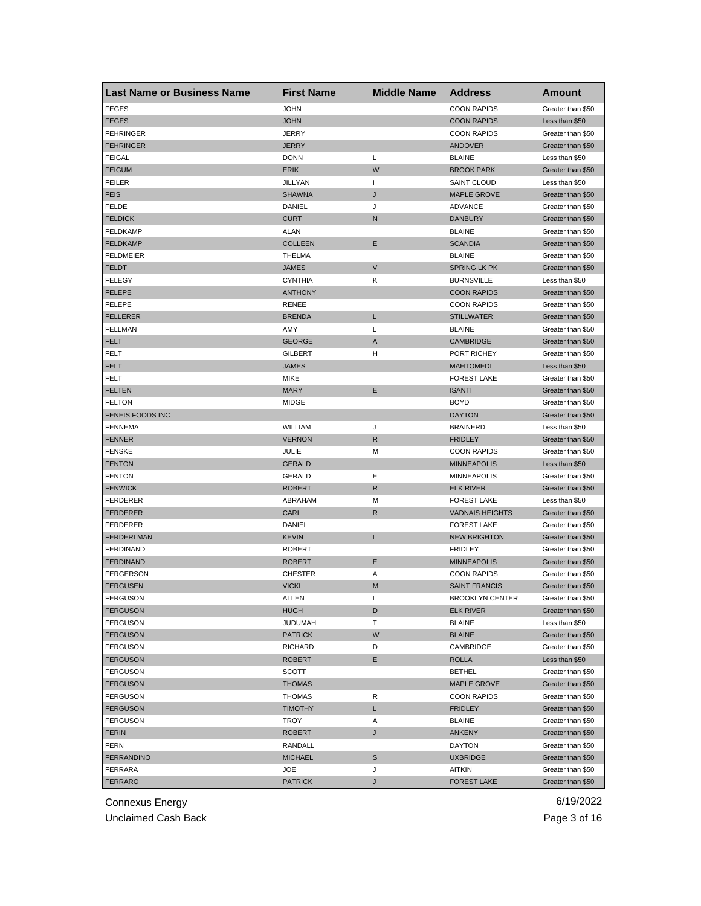| <b>Last Name or Business Name</b> | <b>First Name</b> | <b>Middle Name</b> | <b>Address</b>         | Amount                                 |
|-----------------------------------|-------------------|--------------------|------------------------|----------------------------------------|
| <b>FEGES</b>                      | JOHN              |                    | <b>COON RAPIDS</b>     | Greater than \$50                      |
| <b>FEGES</b>                      | <b>JOHN</b>       |                    | <b>COON RAPIDS</b>     | Less than \$50                         |
| <b>FEHRINGER</b>                  | JERRY             |                    | <b>COON RAPIDS</b>     | Greater than \$50                      |
| <b>FEHRINGER</b>                  | JERRY             |                    | <b>ANDOVER</b>         | Greater than \$50                      |
| <b>FEIGAL</b>                     | <b>DONN</b>       | Г                  | <b>BLAINE</b>          | Less than \$50                         |
| <b>FEIGUM</b>                     | <b>ERIK</b>       | W                  | <b>BROOK PARK</b>      | Greater than \$50                      |
| <b>FEILER</b>                     | JILLYAN           | $\mathbf{I}$       | <b>SAINT CLOUD</b>     | Less than \$50                         |
| <b>FEIS</b>                       | <b>SHAWNA</b>     | J                  | <b>MAPLE GROVE</b>     | Greater than \$50                      |
| FELDE                             | DANIEL            | J                  | <b>ADVANCE</b>         | Greater than \$50                      |
| <b>FELDICK</b>                    | <b>CURT</b>       | N                  | <b>DANBURY</b>         | Greater than \$50                      |
| FELDKAMP                          | ALAN              |                    | <b>BLAINE</b>          | Greater than \$50                      |
| <b>FELDKAMP</b>                   | <b>COLLEEN</b>    | Ε                  | <b>SCANDIA</b>         | Greater than \$50                      |
| <b>FELDMEIER</b>                  | THELMA            |                    | <b>BLAINE</b>          | Greater than \$50                      |
| <b>FELDT</b>                      | <b>JAMES</b>      | $\mathsf{V}$       | <b>SPRING LK PK</b>    | Greater than \$50                      |
| <b>FELEGY</b>                     | <b>CYNTHIA</b>    | Κ                  | <b>BURNSVILLE</b>      | Less than \$50                         |
| <b>FELEPE</b>                     | <b>ANTHONY</b>    |                    | <b>COON RAPIDS</b>     | Greater than \$50                      |
| <b>FELEPE</b>                     | <b>RENEE</b>      |                    | <b>COON RAPIDS</b>     | Greater than \$50                      |
| <b>FELLERER</b>                   | <b>BRENDA</b>     | L                  | <b>STILLWATER</b>      | Greater than \$50                      |
| <b>FELLMAN</b>                    | AMY               | Г                  | <b>BLAINE</b>          | Greater than \$50                      |
| <b>FELT</b>                       | <b>GEORGE</b>     | Α                  | <b>CAMBRIDGE</b>       | Greater than \$50                      |
| FELT                              | <b>GILBERT</b>    | н                  | PORT RICHEY            | Greater than \$50                      |
| FELT                              | <b>JAMES</b>      |                    | <b>MAHTOMEDI</b>       | Less than \$50                         |
| FELT                              | <b>MIKE</b>       |                    | <b>FOREST LAKE</b>     | Greater than \$50                      |
| <b>FELTEN</b>                     | <b>MARY</b>       | Е                  | <b>ISANTI</b>          | Greater than \$50                      |
| <b>FELTON</b>                     | MIDGE             |                    | <b>BOYD</b>            | Greater than \$50                      |
| FENEIS FOODS INC                  |                   |                    | <b>DAYTON</b>          | Greater than \$50                      |
| FENNEMA                           | WILLIAM           | J                  | <b>BRAINERD</b>        | Less than \$50                         |
| <b>FENNER</b>                     | <b>VERNON</b>     | R                  | <b>FRIDLEY</b>         | Greater than \$50                      |
| <b>FENSKE</b>                     | JULIE             | M                  | <b>COON RAPIDS</b>     | Greater than \$50                      |
| <b>FENTON</b>                     | <b>GERALD</b>     |                    | <b>MINNEAPOLIS</b>     | Less than \$50                         |
| <b>FENTON</b>                     | GERALD            | Ε                  | <b>MINNEAPOLIS</b>     | Greater than \$50                      |
| <b>FENWICK</b>                    | <b>ROBERT</b>     | R                  | <b>ELK RIVER</b>       | Greater than \$50                      |
| <b>FERDERER</b>                   | ABRAHAM           | M                  | <b>FOREST LAKE</b>     | Less than \$50                         |
| <b>FERDERER</b>                   | CARL              | R                  | <b>VADNAIS HEIGHTS</b> | Greater than \$50                      |
| FERDERER                          | DANIEL            |                    | <b>FOREST LAKE</b>     | Greater than \$50                      |
| <b>FERDERLMAN</b>                 | <b>KEVIN</b>      | L                  | <b>NEW BRIGHTON</b>    | Greater than \$50                      |
| <b>FERDINAND</b>                  | ROBERT            |                    | <b>FRIDLEY</b>         | Greater than \$50                      |
| <b>FERDINAND</b>                  | <b>ROBERT</b>     | Е                  | <b>MINNEAPOLIS</b>     | Greater than \$50                      |
| <b>FERGERSON</b>                  | <b>CHESTER</b>    | Α                  | <b>COON RAPIDS</b>     | Greater than \$50                      |
| <b>FERGUSEN</b>                   | <b>VICKI</b>      | M                  | <b>SAINT FRANCIS</b>   | Greater than \$50                      |
| <b>FERGUSON</b>                   | ALLEN             | L                  | <b>BROOKLYN CENTER</b> | Greater than \$50                      |
| <b>FERGUSON</b>                   | <b>HUGH</b>       | D                  | <b>ELK RIVER</b>       | Greater than \$50                      |
| <b>FERGUSON</b>                   | JUDUMAH           | т                  | <b>BLAINE</b>          | Less than \$50                         |
| <b>FERGUSON</b>                   | <b>PATRICK</b>    | W                  | <b>BLAINE</b>          | Greater than \$50                      |
| <b>FERGUSON</b>                   | RICHARD           | D                  | CAMBRIDGE              | Greater than \$50                      |
| <b>FERGUSON</b>                   | <b>ROBERT</b>     | E                  | <b>ROLLA</b>           | Less than \$50                         |
| <b>FERGUSON</b>                   | <b>SCOTT</b>      |                    | <b>BETHEL</b>          | Greater than \$50                      |
| <b>FERGUSON</b>                   | <b>THOMAS</b>     |                    | <b>MAPLE GROVE</b>     |                                        |
| <b>FERGUSON</b>                   | <b>THOMAS</b>     | R                  | <b>COON RAPIDS</b>     | Greater than \$50<br>Greater than \$50 |
|                                   |                   |                    |                        |                                        |
| <b>FERGUSON</b>                   | <b>TIMOTHY</b>    | L.                 | <b>FRIDLEY</b>         | Greater than \$50                      |
| <b>FERGUSON</b>                   | TROY              | Α                  | <b>BLAINE</b>          | Greater than \$50                      |
| <b>FERIN</b>                      | ROBERT            | J                  | <b>ANKENY</b>          | Greater than \$50                      |
| <b>FERN</b>                       | RANDALL           |                    | <b>DAYTON</b>          | Greater than \$50                      |
| <b>FERRANDINO</b>                 | MICHAEL           | S                  | <b>UXBRIDGE</b>        | Greater than \$50                      |
| <b>FERRARA</b>                    | JOE               | J                  | AITKIN                 | Greater than \$50                      |
| <b>FERRARO</b>                    | <b>PATRICK</b>    | J                  | <b>FOREST LAKE</b>     | Greater than \$50                      |

Unclaimed Cash Back **Page 3 of 16**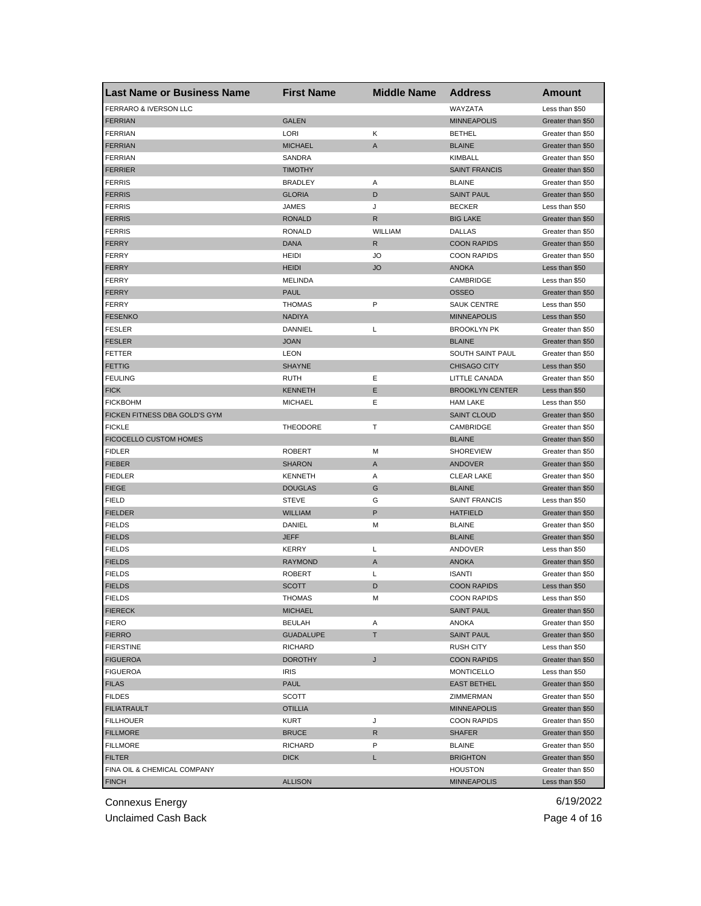| <b>Last Name or Business Name</b> | <b>First Name</b> | <b>Middle Name</b> | <b>Address</b>         | <b>Amount</b>     |
|-----------------------------------|-------------------|--------------------|------------------------|-------------------|
| FERRARO & IVERSON LLC             |                   |                    | WAYZATA                | Less than \$50    |
| <b>FERRIAN</b>                    | <b>GALEN</b>      |                    | <b>MINNEAPOLIS</b>     | Greater than \$50 |
| <b>FERRIAN</b>                    | LORI              | Κ                  | <b>BETHEL</b>          | Greater than \$50 |
| <b>FERRIAN</b>                    | <b>MICHAEL</b>    | A                  | <b>BLAINE</b>          | Greater than \$50 |
| <b>FERRIAN</b>                    | SANDRA            |                    | <b>KIMBALL</b>         | Greater than \$50 |
| <b>FERRIER</b>                    | <b>TIMOTHY</b>    |                    | <b>SAINT FRANCIS</b>   | Greater than \$50 |
| <b>FERRIS</b>                     | <b>BRADLEY</b>    | Α                  | <b>BLAINE</b>          | Greater than \$50 |
| <b>FERRIS</b>                     | <b>GLORIA</b>     | D                  | <b>SAINT PAUL</b>      | Greater than \$50 |
| <b>FERRIS</b>                     | JAMES             | J                  | <b>BECKER</b>          | Less than \$50    |
| <b>FERRIS</b>                     | <b>RONALD</b>     | R                  | <b>BIG LAKE</b>        | Greater than \$50 |
| <b>FERRIS</b>                     | <b>RONALD</b>     | <b>WILLIAM</b>     | <b>DALLAS</b>          | Greater than \$50 |
| <b>FERRY</b>                      | <b>DANA</b>       | R                  | <b>COON RAPIDS</b>     | Greater than \$50 |
| FERRY                             | <b>HEIDI</b>      | JO                 | <b>COON RAPIDS</b>     | Greater than \$50 |
| <b>FERRY</b>                      | <b>HEIDI</b>      | <b>JO</b>          | <b>ANOKA</b>           | Less than \$50    |
| <b>FERRY</b>                      | <b>MELINDA</b>    |                    | CAMBRIDGE              | Less than \$50    |
| <b>FERRY</b>                      | <b>PAUL</b>       |                    | <b>OSSEO</b>           | Greater than \$50 |
| <b>FERRY</b>                      | <b>THOMAS</b>     | P                  | <b>SAUK CENTRE</b>     | Less than \$50    |
| <b>FESENKO</b>                    | <b>NADIYA</b>     |                    | <b>MINNEAPOLIS</b>     | Less than \$50    |
| <b>FESLER</b>                     | DANNIEL           | Г                  | <b>BROOKLYN PK</b>     | Greater than \$50 |
| <b>FESLER</b>                     | <b>JOAN</b>       |                    | <b>BLAINE</b>          | Greater than \$50 |
| <b>FETTER</b>                     | <b>LEON</b>       |                    | SOUTH SAINT PAUL       | Greater than \$50 |
| <b>FETTIG</b>                     | <b>SHAYNE</b>     |                    | <b>CHISAGO CITY</b>    | Less than \$50    |
| <b>FEULING</b>                    | <b>RUTH</b>       | Ε                  | LITTLE CANADA          | Greater than \$50 |
| <b>FICK</b>                       | <b>KENNETH</b>    | Ε                  | <b>BROOKLYN CENTER</b> | Less than \$50    |
| <b>FICKBOHM</b>                   | <b>MICHAEL</b>    | Ε                  | <b>HAM LAKE</b>        | Less than \$50    |
| FICKEN FITNESS DBA GOLD'S GYM     |                   |                    | <b>SAINT CLOUD</b>     | Greater than \$50 |
| <b>FICKLE</b>                     | <b>THEODORE</b>   | Т                  | CAMBRIDGE              | Greater than \$50 |
| FICOCELLO CUSTOM HOMES            |                   |                    | <b>BLAINE</b>          | Greater than \$50 |
| <b>FIDLER</b>                     | <b>ROBERT</b>     | М                  | <b>SHOREVIEW</b>       | Greater than \$50 |
| <b>FIEBER</b>                     | <b>SHARON</b>     | Α                  | <b>ANDOVER</b>         | Greater than \$50 |
| <b>FIEDLER</b>                    | <b>KENNETH</b>    | Α                  | <b>CLEAR LAKE</b>      | Greater than \$50 |
| <b>FIEGE</b>                      | <b>DOUGLAS</b>    | G                  | <b>BLAINE</b>          | Greater than \$50 |
| <b>FIELD</b>                      | <b>STEVE</b>      | G                  | <b>SAINT FRANCIS</b>   | Less than \$50    |
| <b>FIELDER</b>                    | <b>WILLIAM</b>    | P                  | <b>HATFIELD</b>        | Greater than \$50 |
| <b>FIELDS</b>                     | DANIEL            | М                  | <b>BLAINE</b>          | Greater than \$50 |
| <b>FIELDS</b>                     | <b>JEFF</b>       |                    | <b>BLAINE</b>          | Greater than \$50 |
|                                   | <b>KERRY</b>      |                    |                        |                   |
| <b>FIELDS</b>                     |                   | Г                  | ANDOVER                | Less than \$50    |
| <b>FIELDS</b>                     | <b>RAYMOND</b>    | A                  | <b>ANOKA</b>           | Greater than \$50 |
| <b>FIELDS</b>                     | <b>ROBERT</b>     | L                  | <b>ISANTI</b>          | Greater than \$50 |
| <b>FIELDS</b>                     | SCOTT             | D                  | <b>COON RAPIDS</b>     | Less than \$50    |
| <b>FIELDS</b>                     | THOMAS            | М                  | <b>COON RAPIDS</b>     | Less than \$50    |
| <b>FIERECK</b>                    | <b>MICHAEL</b>    |                    | <b>SAINT PAUL</b>      | Greater than \$50 |
| <b>FIERO</b>                      | <b>BEULAH</b>     | Α                  | ANOKA                  | Greater than \$50 |
| <b>FIERRO</b>                     | <b>GUADALUPE</b>  | T                  | <b>SAINT PAUL</b>      | Greater than \$50 |
| <b>FIERSTINE</b>                  | <b>RICHARD</b>    |                    | <b>RUSH CITY</b>       | Less than \$50    |
| <b>FIGUEROA</b>                   | <b>DOROTHY</b>    | J                  | <b>COON RAPIDS</b>     | Greater than \$50 |
| <b>FIGUEROA</b>                   | <b>IRIS</b>       |                    | <b>MONTICELLO</b>      | Less than \$50    |
| <b>FILAS</b>                      | <b>PAUL</b>       |                    | <b>EAST BETHEL</b>     | Greater than \$50 |
| <b>FILDES</b>                     | <b>SCOTT</b>      |                    | ZIMMERMAN              | Greater than \$50 |
| <b>FILIATRAULT</b>                | OTILLIA           |                    | <b>MINNEAPOLIS</b>     | Greater than \$50 |
| <b>FILLHOUER</b>                  | KURT              | J                  | <b>COON RAPIDS</b>     | Greater than \$50 |
| <b>FILLMORE</b>                   | <b>BRUCE</b>      | R                  | <b>SHAFER</b>          | Greater than \$50 |
| <b>FILLMORE</b>                   | <b>RICHARD</b>    | P                  | <b>BLAINE</b>          | Greater than \$50 |
| <b>FILTER</b>                     | <b>DICK</b>       | L                  | <b>BRIGHTON</b>        | Greater than \$50 |
| FINA OIL & CHEMICAL COMPANY       |                   |                    | <b>HOUSTON</b>         | Greater than \$50 |
| <b>FINCH</b>                      | <b>ALLISON</b>    |                    | <b>MINNEAPOLIS</b>     | Less than \$50    |

Unclaimed Cash Back **Page 4 of 16**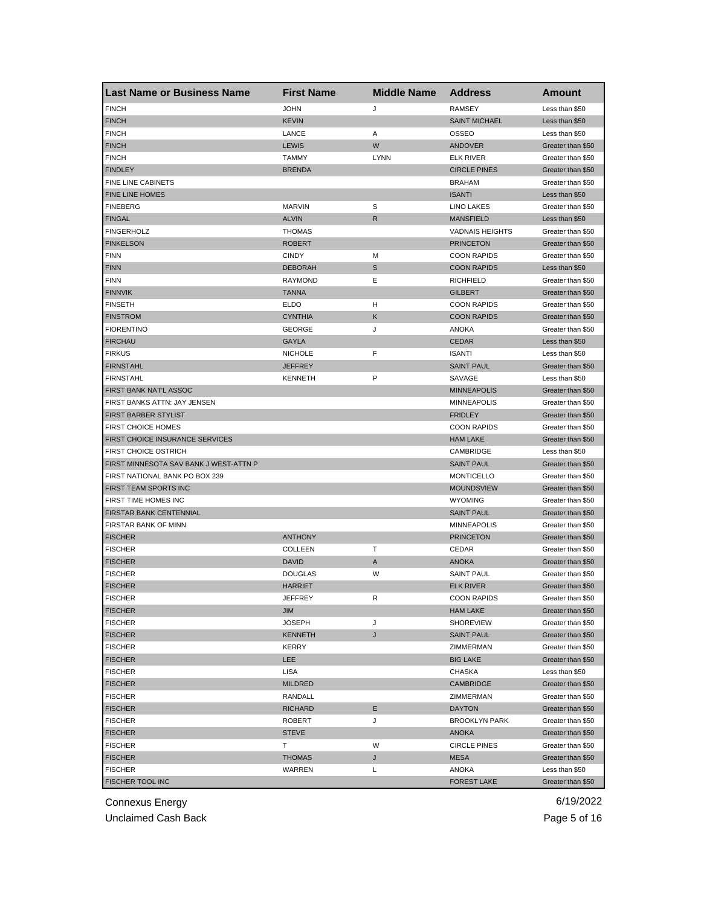| <b>Last Name or Business Name</b>      | <b>First Name</b> | <b>Middle Name</b> | <b>Address</b>         | Amount                                 |
|----------------------------------------|-------------------|--------------------|------------------------|----------------------------------------|
| <b>FINCH</b>                           | <b>JOHN</b>       | J                  | <b>RAMSEY</b>          | Less than \$50                         |
| <b>FINCH</b>                           | <b>KEVIN</b>      |                    | <b>SAINT MICHAEL</b>   | Less than \$50                         |
| <b>FINCH</b>                           | LANCE             | Α                  | <b>OSSEO</b>           | Less than \$50                         |
| <b>FINCH</b>                           | <b>LEWIS</b>      | W                  | ANDOVER                | Greater than \$50                      |
| <b>FINCH</b>                           | <b>TAMMY</b>      | <b>LYNN</b>        | <b>ELK RIVER</b>       | Greater than \$50                      |
| <b>FINDLEY</b>                         | <b>BRENDA</b>     |                    | <b>CIRCLE PINES</b>    | Greater than \$50                      |
| FINE LINE CABINETS                     |                   |                    | <b>BRAHAM</b>          | Greater than \$50                      |
| FINE LINE HOMES                        |                   |                    | <b>ISANTI</b>          | Less than \$50                         |
| <b>FINEBERG</b>                        | <b>MARVIN</b>     | S                  | <b>LINO LAKES</b>      | Greater than \$50                      |
| <b>FINGAL</b>                          | <b>ALVIN</b>      | R                  | <b>MANSFIELD</b>       | Less than \$50                         |
| <b>FINGERHOLZ</b>                      | <b>THOMAS</b>     |                    | <b>VADNAIS HEIGHTS</b> | Greater than \$50                      |
| <b>FINKELSON</b>                       | <b>ROBERT</b>     |                    | <b>PRINCETON</b>       | Greater than \$50                      |
| <b>FINN</b>                            | <b>CINDY</b>      | M                  | <b>COON RAPIDS</b>     | Greater than \$50                      |
| <b>FINN</b>                            | <b>DEBORAH</b>    | S                  | <b>COON RAPIDS</b>     | Less than \$50                         |
| <b>FINN</b>                            | <b>RAYMOND</b>    | Ε                  | <b>RICHFIELD</b>       | Greater than \$50                      |
| <b>FINNVIK</b>                         | <b>TANNA</b>      |                    | <b>GILBERT</b>         | Greater than \$50                      |
| <b>FINSETH</b>                         | <b>ELDO</b>       | н                  | <b>COON RAPIDS</b>     | Greater than \$50                      |
| <b>FINSTROM</b>                        | <b>CYNTHIA</b>    | Κ                  | <b>COON RAPIDS</b>     | Greater than \$50                      |
| <b>FIORENTINO</b>                      | <b>GEORGE</b>     | J                  | ANOKA                  | Greater than \$50                      |
| <b>FIRCHAU</b>                         | <b>GAYLA</b>      |                    | <b>CEDAR</b>           | Less than \$50                         |
| <b>FIRKUS</b>                          | <b>NICHOLE</b>    | F                  | <b>ISANTI</b>          | Less than \$50                         |
| <b>FIRNSTAHL</b>                       | <b>JEFFREY</b>    |                    | <b>SAINT PAUL</b>      | Greater than \$50                      |
| <b>FIRNSTAHL</b>                       | <b>KENNETH</b>    | P                  | SAVAGE                 | Less than \$50                         |
| FIRST BANK NAT'L ASSOC                 |                   |                    | <b>MINNEAPOLIS</b>     | Greater than \$50                      |
| FIRST BANKS ATTN: JAY JENSEN           |                   |                    | <b>MINNEAPOLIS</b>     | Greater than \$50                      |
| FIRST BARBER STYLIST                   |                   |                    | <b>FRIDLEY</b>         | Greater than \$50                      |
| <b>FIRST CHOICE HOMES</b>              |                   |                    | <b>COON RAPIDS</b>     | Greater than \$50                      |
| <b>FIRST CHOICE INSURANCE SERVICES</b> |                   |                    | <b>HAM LAKE</b>        | Greater than \$50                      |
| <b>FIRST CHOICE OSTRICH</b>            |                   |                    | CAMBRIDGE              | Less than \$50                         |
| FIRST MINNESOTA SAV BANK J WEST-ATTN P |                   |                    | <b>SAINT PAUL</b>      | Greater than \$50                      |
| FIRST NATIONAL BANK PO BOX 239         |                   |                    | <b>MONTICELLO</b>      | Greater than \$50                      |
| FIRST TEAM SPORTS INC                  |                   |                    | <b>MOUNDSVIEW</b>      | Greater than \$50                      |
| FIRST TIME HOMES INC                   |                   |                    | <b>WYOMING</b>         | Greater than \$50                      |
| FIRSTAR BANK CENTENNIAL                |                   |                    | <b>SAINT PAUL</b>      | Greater than \$50                      |
| FIRSTAR BANK OF MINN                   |                   |                    | <b>MINNEAPOLIS</b>     |                                        |
| <b>FISCHER</b>                         | <b>ANTHONY</b>    |                    | <b>PRINCETON</b>       | Greater than \$50<br>Greater than \$50 |
|                                        |                   |                    |                        |                                        |
| <b>FISCHER</b>                         | COLLEEN           | т                  | CEDAR                  | Greater than \$50                      |
| <b>FISCHER</b>                         | <b>DAVID</b>      | A                  | <b>ANOKA</b>           | Greater than \$50                      |
| <b>FISCHER</b>                         | <b>DOUGLAS</b>    | W                  | <b>SAINT PAUL</b>      | Greater than \$50                      |
| <b>FISCHER</b>                         | <b>HARRIET</b>    |                    | <b>ELK RIVER</b>       | Greater than \$50                      |
| <b>FISCHER</b>                         | JEFFREY           | R                  | <b>COON RAPIDS</b>     | Greater than \$50                      |
| <b>FISCHER</b>                         | JIM               |                    | <b>HAM LAKE</b>        | Greater than \$50                      |
| <b>FISCHER</b>                         | <b>JOSEPH</b>     | J                  | <b>SHOREVIEW</b>       | Greater than \$50                      |
| <b>FISCHER</b>                         | <b>KENNETH</b>    | J                  | <b>SAINT PAUL</b>      | Greater than \$50                      |
| <b>FISCHER</b>                         | KERRY             |                    | ZIMMERMAN              | Greater than \$50                      |
| <b>FISCHER</b>                         | LEE               |                    | <b>BIG LAKE</b>        | Greater than \$50                      |
| <b>FISCHER</b>                         | LISA              |                    | CHASKA                 | Less than \$50                         |
| <b>FISCHER</b>                         | <b>MILDRED</b>    |                    | <b>CAMBRIDGE</b>       | Greater than \$50                      |
| <b>FISCHER</b>                         | RANDALL           |                    | ZIMMERMAN              | Greater than \$50                      |
| <b>FISCHER</b>                         | <b>RICHARD</b>    | Е                  | <b>DAYTON</b>          | Greater than \$50                      |
| <b>FISCHER</b>                         | ROBERT            | J                  | <b>BROOKLYN PARK</b>   | Greater than \$50                      |
| <b>FISCHER</b>                         | <b>STEVE</b>      |                    | ANOKA                  | Greater than \$50                      |
| <b>FISCHER</b>                         | т                 | W                  | <b>CIRCLE PINES</b>    | Greater than \$50                      |
| <b>FISCHER</b>                         | <b>THOMAS</b>     | J                  | MESA                   | Greater than \$50                      |
| <b>FISCHER</b>                         | WARREN            | Г                  | ANOKA                  | Less than \$50                         |
| FISCHER TOOL INC                       |                   |                    | <b>FOREST LAKE</b>     | Greater than \$50                      |

Unclaimed Cash Back **Page 5 of 16**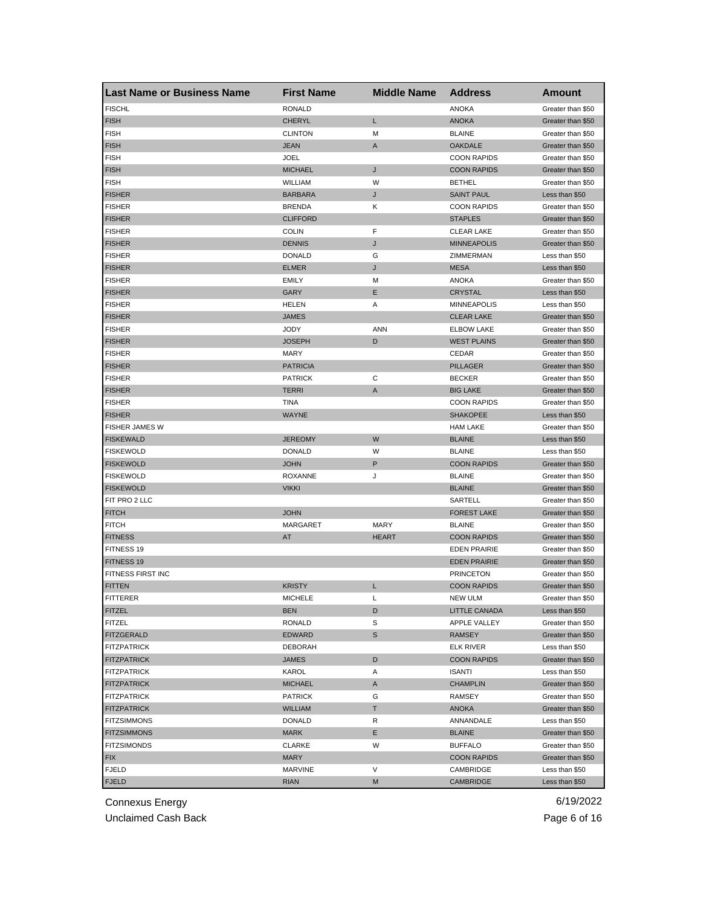| <b>Last Name or Business Name</b>        | <b>First Name</b> | <b>Middle Name</b> | <b>Address</b>                         | <b>Amount</b>                       |
|------------------------------------------|-------------------|--------------------|----------------------------------------|-------------------------------------|
| <b>FISCHL</b>                            | <b>RONALD</b>     |                    | <b>ANOKA</b>                           | Greater than \$50                   |
| <b>FISH</b>                              | <b>CHERYL</b>     | L                  | <b>ANOKA</b>                           | Greater than \$50                   |
| <b>FISH</b>                              | <b>CLINTON</b>    | M                  | <b>BLAINE</b>                          | Greater than \$50                   |
| <b>FISH</b>                              | <b>JEAN</b>       | A                  | <b>OAKDALE</b>                         | Greater than \$50                   |
| <b>FISH</b>                              | <b>JOEL</b>       |                    | <b>COON RAPIDS</b>                     | Greater than \$50                   |
| <b>FISH</b>                              | <b>MICHAEL</b>    | J                  | <b>COON RAPIDS</b>                     | Greater than \$50                   |
| <b>FISH</b>                              | WILLIAM           | W                  | <b>BETHEL</b>                          | Greater than \$50                   |
| <b>FISHER</b>                            | <b>BARBARA</b>    | J                  | <b>SAINT PAUL</b>                      | Less than \$50                      |
| <b>FISHER</b>                            | <b>BRENDA</b>     | Κ                  | <b>COON RAPIDS</b>                     | Greater than \$50                   |
| <b>FISHER</b>                            | <b>CLIFFORD</b>   |                    | <b>STAPLES</b>                         | Greater than \$50                   |
| <b>FISHER</b>                            | <b>COLIN</b>      | F                  | <b>CLEAR LAKE</b>                      | Greater than \$50                   |
| <b>FISHER</b>                            | <b>DENNIS</b>     | J                  | <b>MINNEAPOLIS</b>                     | Greater than \$50                   |
| <b>FISHER</b>                            | <b>DONALD</b>     | G                  | ZIMMERMAN                              | Less than \$50                      |
| <b>FISHER</b>                            | <b>ELMER</b>      | J                  | <b>MESA</b>                            | Less than \$50                      |
| <b>FISHER</b>                            | <b>EMILY</b>      | M                  | <b>ANOKA</b>                           | Greater than \$50                   |
| <b>FISHER</b>                            | GARY              | Е                  | <b>CRYSTAL</b>                         | Less than \$50                      |
| <b>FISHER</b>                            | <b>HELEN</b>      | Α                  | <b>MINNEAPOLIS</b>                     | Less than \$50                      |
| <b>FISHER</b>                            | <b>JAMES</b>      |                    | <b>CLEAR LAKE</b>                      | Greater than \$50                   |
| <b>FISHER</b>                            | JODY              | <b>ANN</b>         | <b>ELBOW LAKE</b>                      | Greater than \$50                   |
| <b>FISHER</b>                            | <b>JOSEPH</b>     | D                  | <b>WEST PLAINS</b>                     | Greater than \$50                   |
| <b>FISHER</b>                            | MARY              |                    | CEDAR                                  | Greater than \$50                   |
| <b>FISHER</b>                            | <b>PATRICIA</b>   |                    | <b>PILLAGER</b>                        | Greater than \$50                   |
| <b>FISHER</b>                            | <b>PATRICK</b>    | С                  | <b>BECKER</b>                          | Greater than \$50                   |
| <b>FISHER</b>                            | <b>TERRI</b>      | A                  | <b>BIG LAKE</b>                        | Greater than \$50                   |
| <b>FISHER</b>                            | TINA              |                    | <b>COON RAPIDS</b>                     | Greater than \$50                   |
| <b>FISHER</b>                            | WAYNE             |                    | <b>SHAKOPEE</b>                        | Less than \$50                      |
| FISHER JAMES W                           |                   |                    | <b>HAM LAKE</b>                        | Greater than \$50                   |
| <b>FISKEWALD</b>                         | <b>JEREOMY</b>    | W                  | <b>BLAINE</b>                          | Less than \$50                      |
| <b>FISKEWOLD</b>                         | <b>DONALD</b>     | W                  | <b>BLAINE</b>                          | Less than \$50                      |
| <b>FISKEWOLD</b>                         | JOHN              | P                  | <b>COON RAPIDS</b>                     | Greater than \$50                   |
| <b>FISKEWOLD</b>                         | <b>ROXANNE</b>    | J                  | <b>BLAINE</b>                          | Greater than \$50                   |
| <b>FISKEWOLD</b>                         | <b>VIKKI</b>      |                    | <b>BLAINE</b>                          | Greater than \$50                   |
| FIT PRO 2 LLC                            |                   |                    | SARTELL                                | Greater than \$50                   |
| <b>FITCH</b>                             | <b>JOHN</b>       |                    | <b>FOREST LAKE</b>                     | Greater than \$50                   |
| <b>FITCH</b>                             | MARGARET          | <b>MARY</b>        | <b>BLAINE</b>                          | Greater than \$50                   |
| <b>FITNESS</b>                           | AT                | <b>HEART</b>       | <b>COON RAPIDS</b>                     | Greater than \$50                   |
| FITNESS 19                               |                   |                    | <b>EDEN PRAIRIE</b>                    | Greater than \$50                   |
| FITNESS 19                               |                   |                    | <b>EDEN PRAIRIE</b>                    | Greater than \$50                   |
| FITNESS FIRST INC                        |                   |                    | <b>PRINCETON</b>                       | Greater than \$50                   |
| <b>FITTEN</b>                            | <b>KRISTY</b>     | L                  | <b>COON RAPIDS</b>                     | Greater than \$50                   |
|                                          | MICHELE           | L                  | NEW ULM                                |                                     |
| <b>FITTERER</b><br><b>FITZEL</b>         | <b>BEN</b>        | D                  | LITTLE CANADA                          | Greater than \$50<br>Less than \$50 |
| <b>FITZEL</b>                            | <b>RONALD</b>     | S                  | APPLE VALLEY                           | Greater than \$50                   |
| <b>FITZGERALD</b>                        | <b>EDWARD</b>     | S                  | RAMSEY                                 | Greater than \$50                   |
|                                          | <b>DEBORAH</b>    |                    |                                        | Less than \$50                      |
| <b>FITZPATRICK</b><br><b>FITZPATRICK</b> | JAMES             | D                  | <b>ELK RIVER</b><br><b>COON RAPIDS</b> |                                     |
|                                          |                   |                    |                                        | Greater than \$50<br>Less than \$50 |
| <b>FITZPATRICK</b>                       | KAROL             | Α                  | ISANTI                                 |                                     |
| <b>FITZPATRICK</b>                       | <b>MICHAEL</b>    | A                  | <b>CHAMPLIN</b>                        | Greater than \$50                   |
| <b>FITZPATRICK</b>                       | <b>PATRICK</b>    | G                  | RAMSEY                                 | Greater than \$50                   |
| <b>FITZPATRICK</b>                       | <b>WILLIAM</b>    | T.                 | ANOKA                                  | Greater than \$50                   |
| <b>FITZSIMMONS</b>                       | DONALD            | R                  | ANNANDALE                              | Less than \$50                      |
| <b>FITZSIMMONS</b>                       | MARK              | Е                  | <b>BLAINE</b>                          | Greater than \$50                   |
| <b>FITZSIMONDS</b>                       | CLARKE            | W                  | <b>BUFFALO</b>                         | Greater than \$50                   |
| <b>FIX</b>                               | MARY              |                    | <b>COON RAPIDS</b>                     | Greater than \$50                   |
| <b>FJELD</b>                             | MARVINE           | V                  | CAMBRIDGE                              | Less than \$50                      |
| <b>FJELD</b>                             | <b>RIAN</b>       | M                  | <b>CAMBRIDGE</b>                       | Less than \$50                      |

Unclaimed Cash Back **Page 6 of 16**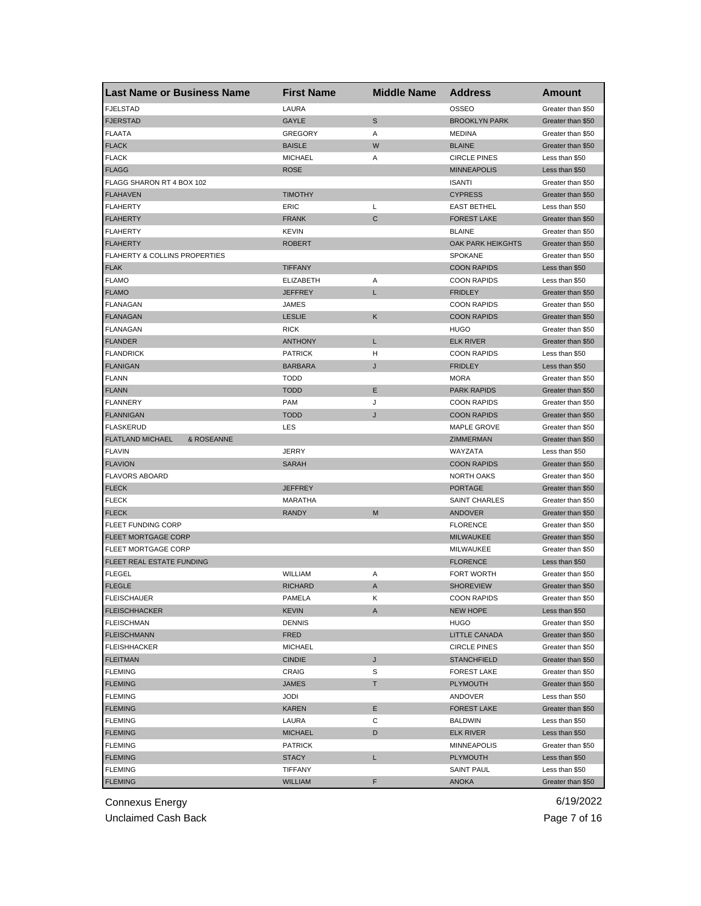| <b>Last Name or Business Name</b>        | <b>First Name</b> | <b>Middle Name</b> | <b>Address</b>           | Amount            |
|------------------------------------------|-------------------|--------------------|--------------------------|-------------------|
| <b>FJELSTAD</b>                          | LAURA             |                    | OSSEO                    | Greater than \$50 |
| <b>FJERSTAD</b>                          | GAYLE             | S                  | <b>BROOKLYN PARK</b>     | Greater than \$50 |
| <b>FLAATA</b>                            | <b>GREGORY</b>    | Α                  | <b>MEDINA</b>            | Greater than \$50 |
| <b>FLACK</b>                             | <b>BAISLE</b>     | W                  | <b>BLAINE</b>            | Greater than \$50 |
| <b>FLACK</b>                             | <b>MICHAEL</b>    | Α                  | <b>CIRCLE PINES</b>      | Less than \$50    |
| <b>FLAGG</b>                             | <b>ROSE</b>       |                    | <b>MINNEAPOLIS</b>       | Less than \$50    |
| FLAGG SHARON RT 4 BOX 102                |                   |                    | <b>ISANTI</b>            | Greater than \$50 |
| <b>FLAHAVEN</b>                          | <b>TIMOTHY</b>    |                    | <b>CYPRESS</b>           | Greater than \$50 |
| <b>FLAHERTY</b>                          | ERIC              | Г                  | <b>EAST BETHEL</b>       | Less than \$50    |
| <b>FLAHERTY</b>                          | <b>FRANK</b>      | $\mathsf{C}$       | <b>FOREST LAKE</b>       | Greater than \$50 |
| <b>FLAHERTY</b>                          | KEVIN             |                    | <b>BLAINE</b>            | Greater than \$50 |
| <b>FLAHERTY</b>                          | <b>ROBERT</b>     |                    | <b>OAK PARK HEIKGHTS</b> | Greater than \$50 |
| <b>FLAHERTY &amp; COLLINS PROPERTIES</b> |                   |                    | <b>SPOKANE</b>           | Greater than \$50 |
| <b>FLAK</b>                              | <b>TIFFANY</b>    |                    | <b>COON RAPIDS</b>       | Less than \$50    |
| <b>FLAMO</b>                             | <b>ELIZABETH</b>  | Α                  | <b>COON RAPIDS</b>       | Less than \$50    |
| <b>FLAMO</b>                             | <b>JEFFREY</b>    | L                  | <b>FRIDLEY</b>           | Greater than \$50 |
| <b>FLANAGAN</b>                          | JAMES             |                    | <b>COON RAPIDS</b>       | Greater than \$50 |
| <b>FLANAGAN</b>                          | <b>LESLIE</b>     | Κ                  | <b>COON RAPIDS</b>       | Greater than \$50 |
| FLANAGAN                                 | <b>RICK</b>       |                    | <b>HUGO</b>              | Greater than \$50 |
| <b>FLANDER</b>                           | <b>ANTHONY</b>    | L                  | <b>ELK RIVER</b>         | Greater than \$50 |
| <b>FLANDRICK</b>                         | <b>PATRICK</b>    | н                  | <b>COON RAPIDS</b>       | Less than \$50    |
| <b>FLANIGAN</b>                          | <b>BARBARA</b>    | J                  | <b>FRIDLEY</b>           | Less than \$50    |
| <b>FLANN</b>                             | <b>TODD</b>       |                    | <b>MORA</b>              | Greater than \$50 |
| <b>FLANN</b>                             | <b>TODD</b>       | Ε                  | <b>PARK RAPIDS</b>       | Greater than \$50 |
| <b>FLANNERY</b>                          | <b>PAM</b>        | J                  | <b>COON RAPIDS</b>       | Greater than \$50 |
| <b>FLANNIGAN</b>                         | <b>TODD</b>       | J                  | <b>COON RAPIDS</b>       | Greater than \$50 |
| <b>FLASKERUD</b>                         | LES               |                    | MAPLE GROVE              | Greater than \$50 |
| <b>FLATLAND MICHAEL</b><br>& ROSEANNE    |                   |                    | <b>ZIMMERMAN</b>         | Greater than \$50 |
| <b>FLAVIN</b>                            | <b>JERRY</b>      |                    | WAYZATA                  | Less than \$50    |
| <b>FLAVION</b>                           | <b>SARAH</b>      |                    | <b>COON RAPIDS</b>       | Greater than \$50 |
| <b>FLAVORS ABOARD</b>                    |                   |                    | NORTH OAKS               | Greater than \$50 |
| <b>FLECK</b>                             | <b>JEFFREY</b>    |                    | <b>PORTAGE</b>           | Greater than \$50 |
| <b>FLECK</b>                             | MARATHA           |                    | <b>SAINT CHARLES</b>     | Greater than \$50 |
| <b>FLECK</b>                             | <b>RANDY</b>      | M                  | ANDOVER                  | Greater than \$50 |
| <b>FLEET FUNDING CORP</b>                |                   |                    | <b>FLORENCE</b>          | Greater than \$50 |
| <b>FLEET MORTGAGE CORP</b>               |                   |                    | <b>MILWAUKEE</b>         | Greater than \$50 |
| FLEET MORTGAGE CORP                      |                   |                    | MILWAUKEE                | Greater than \$50 |
| FLEET REAL ESTATE FUNDING                |                   |                    | <b>FLORENCE</b>          | Less than \$50    |
| FLEGEL                                   | WILLIAM           | Α                  | <b>FORT WORTH</b>        | Greater than \$50 |
| <b>FLEGLE</b>                            | <b>RICHARD</b>    | A                  | <b>SHOREVIEW</b>         | Greater than \$50 |
| <b>FLEISCHAUER</b>                       | PAMELA            | Κ                  | <b>COON RAPIDS</b>       | Greater than \$50 |
| <b>FLEISCHHACKER</b>                     | <b>KEVIN</b>      | A                  | <b>NEW HOPE</b>          | Less than \$50    |
| <b>FLEISCHMAN</b>                        | DENNIS            |                    | <b>HUGO</b>              | Greater than \$50 |
| <b>FLEISCHMANN</b>                       | FRED              |                    | LITTLE CANADA            | Greater than \$50 |
| <b>FLEISHHACKER</b>                      | <b>MICHAEL</b>    |                    | <b>CIRCLE PINES</b>      | Greater than \$50 |
| <b>FLEITMAN</b>                          | <b>CINDIE</b>     | J                  | <b>STANCHFIELD</b>       | Greater than \$50 |
| <b>FLEMING</b>                           | CRAIG             | S                  | <b>FOREST LAKE</b>       | Greater than \$50 |
| <b>FLEMING</b>                           | <b>JAMES</b>      | T.                 | <b>PLYMOUTH</b>          | Greater than \$50 |
| <b>FLEMING</b>                           | JODI              |                    | ANDOVER                  | Less than \$50    |
| <b>FLEMING</b>                           | KAREN             | Е                  | <b>FOREST LAKE</b>       | Greater than \$50 |
| <b>FLEMING</b>                           | LAURA             | С                  | BALDWIN                  | Less than \$50    |
| <b>FLEMING</b>                           | <b>MICHAEL</b>    | D                  | <b>ELK RIVER</b>         | Less than \$50    |
| <b>FLEMING</b>                           | <b>PATRICK</b>    |                    | MINNEAPOLIS              | Greater than \$50 |
| <b>FLEMING</b>                           | STACY             | L                  | <b>PLYMOUTH</b>          | Less than \$50    |
| <b>FLEMING</b>                           | TIFFANY           |                    | SAINT PAUL               | Less than \$50    |
| <b>FLEMING</b>                           | WILLIAM           | F                  | <b>ANOKA</b>             | Greater than \$50 |

Unclaimed Cash Back **Page 7 of 16**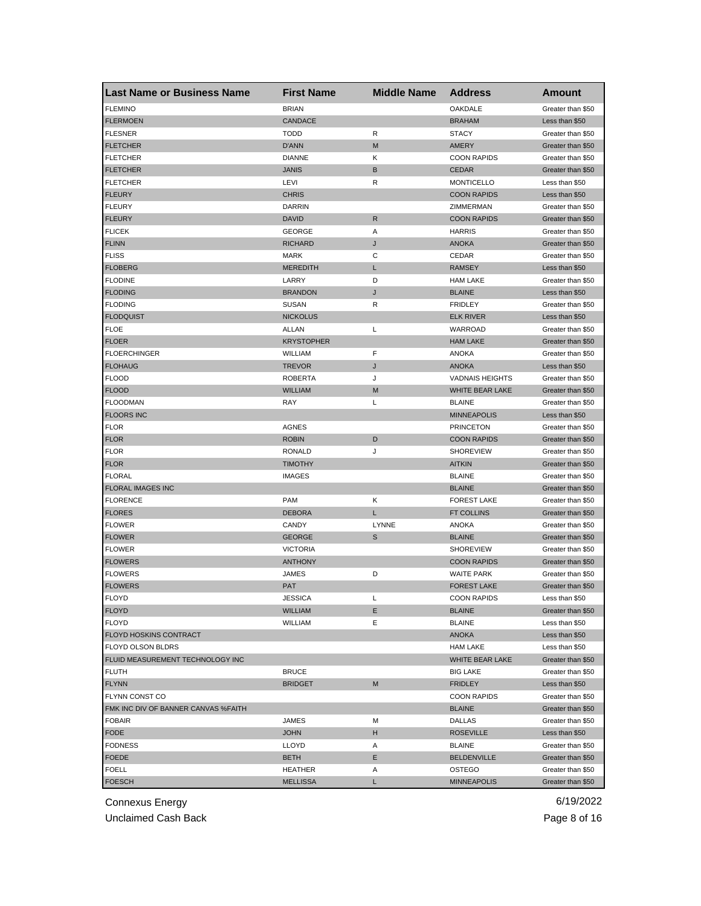| <b>Last Name or Business Name</b>   | <b>First Name</b> | <b>Middle Name</b> | <b>Address</b>         | <b>Amount</b>     |
|-------------------------------------|-------------------|--------------------|------------------------|-------------------|
| <b>FLEMINO</b>                      | <b>BRIAN</b>      |                    | OAKDALE                | Greater than \$50 |
| <b>FLERMOEN</b>                     | CANDACE           |                    | <b>BRAHAM</b>          | Less than \$50    |
| <b>FLESNER</b>                      | <b>TODD</b>       | R                  | <b>STACY</b>           | Greater than \$50 |
| <b>FLETCHER</b>                     | D'ANN             | M                  | AMERY                  | Greater than \$50 |
| <b>FLETCHER</b>                     | <b>DIANNE</b>     | Κ                  | <b>COON RAPIDS</b>     | Greater than \$50 |
| <b>FLETCHER</b>                     | <b>JANIS</b>      | В                  | <b>CEDAR</b>           | Greater than \$50 |
| <b>FLETCHER</b>                     | LEVI              | R                  | <b>MONTICELLO</b>      | Less than \$50    |
| <b>FLEURY</b>                       | <b>CHRIS</b>      |                    | <b>COON RAPIDS</b>     | Less than \$50    |
| <b>FLEURY</b>                       | <b>DARRIN</b>     |                    | ZIMMERMAN              | Greater than \$50 |
| <b>FLEURY</b>                       | <b>DAVID</b>      | R                  | <b>COON RAPIDS</b>     | Greater than \$50 |
| <b>FLICEK</b>                       | <b>GEORGE</b>     | Α                  | <b>HARRIS</b>          | Greater than \$50 |
| <b>FLINN</b>                        | <b>RICHARD</b>    | J                  | <b>ANOKA</b>           | Greater than \$50 |
| <b>FLISS</b>                        | MARK              | С                  | CEDAR                  | Greater than \$50 |
| <b>FLOBERG</b>                      | <b>MEREDITH</b>   | L                  | <b>RAMSEY</b>          | Less than \$50    |
| <b>FLODINE</b>                      | LARRY             | D                  | <b>HAM LAKE</b>        | Greater than \$50 |
| <b>FLODING</b>                      | <b>BRANDON</b>    | J                  | <b>BLAINE</b>          | Less than \$50    |
| <b>FLODING</b>                      | <b>SUSAN</b>      | R                  | <b>FRIDLEY</b>         | Greater than \$50 |
| <b>FLODQUIST</b>                    | <b>NICKOLUS</b>   |                    | <b>ELK RIVER</b>       | Less than \$50    |
| <b>FLOE</b>                         | ALLAN             | L                  | WARROAD                | Greater than \$50 |
| <b>FLOER</b>                        | <b>KRYSTOPHER</b> |                    | <b>HAM LAKE</b>        | Greater than \$50 |
| <b>FLOERCHINGER</b>                 | WILLIAM           | F                  | <b>ANOKA</b>           | Greater than \$50 |
| <b>FLOHAUG</b>                      | <b>TREVOR</b>     | J                  | <b>ANOKA</b>           | Less than \$50    |
| <b>FLOOD</b>                        | <b>ROBERTA</b>    | J                  | <b>VADNAIS HEIGHTS</b> | Greater than \$50 |
| <b>FLOOD</b>                        | <b>WILLIAM</b>    | M                  | WHITE BEAR LAKE        | Greater than \$50 |
| <b>FLOODMAN</b>                     | RAY               | L                  | <b>BLAINE</b>          | Greater than \$50 |
|                                     |                   |                    | <b>MINNEAPOLIS</b>     |                   |
| <b>FLOORS INC</b>                   | <b>AGNES</b>      |                    |                        | Less than \$50    |
| <b>FLOR</b>                         |                   |                    | <b>PRINCETON</b>       | Greater than \$50 |
| <b>FLOR</b>                         | <b>ROBIN</b>      | D                  | <b>COON RAPIDS</b>     | Greater than \$50 |
| <b>FLOR</b>                         | RONALD            | J                  | <b>SHOREVIEW</b>       | Greater than \$50 |
| <b>FLOR</b>                         | <b>TIMOTHY</b>    |                    | <b>AITKIN</b>          | Greater than \$50 |
| <b>FLORAL</b>                       | <b>IMAGES</b>     |                    | <b>BLAINE</b>          | Greater than \$50 |
| <b>FLORAL IMAGES INC</b>            |                   |                    | <b>BLAINE</b>          | Greater than \$50 |
| <b>FLORENCE</b>                     | <b>PAM</b>        | Κ                  | <b>FOREST LAKE</b>     | Greater than \$50 |
| <b>FLORES</b>                       | <b>DEBORA</b>     | L                  | <b>FT COLLINS</b>      | Greater than \$50 |
| <b>FLOWER</b>                       | CANDY             | LYNNE              | <b>ANOKA</b>           | Greater than \$50 |
| <b>FLOWER</b>                       | <b>GEORGE</b>     | $\mathbb S$        | <b>BLAINE</b>          | Greater than \$50 |
| <b>FLOWER</b>                       | <b>VICTORIA</b>   |                    | <b>SHOREVIEW</b>       | Greater than \$50 |
| <b>FLOWERS</b>                      | <b>ANTHONY</b>    |                    | <b>COON RAPIDS</b>     | Greater than \$50 |
| <b>FLOWERS</b>                      | JAMES             | D                  | <b>WAITE PARK</b>      | Greater than \$50 |
| <b>FLOWERS</b>                      | <b>PAT</b>        |                    | <b>FOREST LAKE</b>     | Greater than \$50 |
| <b>FLOYD</b>                        | JESSICA           | L                  | <b>COON RAPIDS</b>     | Less than \$50    |
| <b>FLOYD</b>                        | <b>WILLIAM</b>    | Ε                  | <b>BLAINE</b>          | Greater than \$50 |
| <b>FLOYD</b>                        | WILLIAM           | Ε                  | <b>BLAINE</b>          | Less than \$50    |
| FLOYD HOSKINS CONTRACT              |                   |                    | ANOKA                  | Less than \$50    |
| FLOYD OLSON BLDRS                   |                   |                    | <b>HAM LAKE</b>        | Less than \$50    |
| FLUID MEASUREMENT TECHNOLOGY INC    |                   |                    | WHITE BEAR LAKE        | Greater than \$50 |
| <b>FLUTH</b>                        | <b>BRUCE</b>      |                    | <b>BIG LAKE</b>        | Greater than \$50 |
| <b>FLYNN</b>                        | <b>BRIDGET</b>    | M                  | <b>FRIDLEY</b>         | Less than \$50    |
| FLYNN CONST CO                      |                   |                    | <b>COON RAPIDS</b>     | Greater than \$50 |
| FMK INC DIV OF BANNER CANVAS %FAITH |                   |                    | <b>BLAINE</b>          | Greater than \$50 |
| <b>FOBAIR</b>                       | JAMES             | М                  | DALLAS                 | Greater than \$50 |
| <b>FODE</b>                         | <b>JOHN</b>       | H                  | <b>ROSEVILLE</b>       | Less than \$50    |
| <b>FODNESS</b>                      | LLOYD             | Α                  | <b>BLAINE</b>          | Greater than \$50 |
| <b>FOEDE</b>                        | <b>BETH</b>       | Ε                  | <b>BELDENVILLE</b>     | Greater than \$50 |
| FOELL                               | HEATHER           | Α                  | OSTEGO                 | Greater than \$50 |
| <b>FOESCH</b>                       | <b>MELLISSA</b>   | L                  | <b>MINNEAPOLIS</b>     | Greater than \$50 |

Unclaimed Cash Back **Page 8 of 16**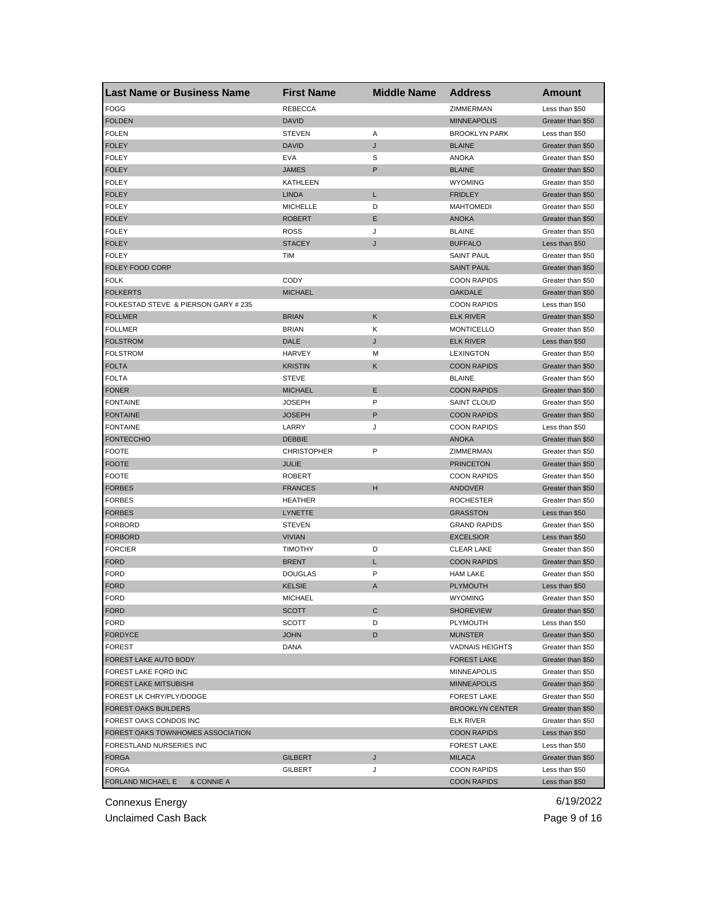| <b>FOGG</b><br><b>REBECCA</b><br>ZIMMERMAN<br>Less than \$50<br><b>DAVID</b><br><b>FOLDEN</b><br><b>MINNEAPOLIS</b><br>Greater than \$50<br><b>FOLEN</b><br><b>STEVEN</b><br>Α<br><b>BROOKLYN PARK</b><br>Less than \$50<br><b>FOLEY</b><br><b>DAVID</b><br>J<br><b>BLAINE</b><br>Greater than \$50<br><b>FOLEY</b><br><b>EVA</b><br>S<br><b>ANOKA</b><br>Greater than \$50<br>P<br><b>FOLEY</b><br><b>JAMES</b><br><b>BLAINE</b><br>Greater than \$50<br><b>FOLEY</b><br>KATHLEEN<br><b>WYOMING</b><br>Greater than \$50<br><b>FOLEY</b><br><b>LINDA</b><br>L<br><b>FRIDLEY</b><br>Greater than \$50<br><b>FOLEY</b><br><b>MICHELLE</b><br>D<br><b>MAHTOMEDI</b><br>Greater than \$50<br>Е<br><b>ANOKA</b><br><b>FOLEY</b><br>ROBERT<br>Greater than \$50<br><b>FOLEY</b><br>J<br><b>BLAINE</b><br>ROSS<br>Greater than \$50<br><b>FOLEY</b><br><b>STACEY</b><br><b>BUFFALO</b><br>Less than \$50<br>J<br><b>FOLEY</b><br><b>SAINT PAUL</b><br>TIM<br>Greater than \$50<br>FOLEY FOOD CORP<br><b>SAINT PAUL</b><br>Greater than \$50<br><b>FOLK</b><br>CODY<br><b>COON RAPIDS</b><br>Greater than \$50<br><b>FOLKERTS</b><br><b>MICHAEL</b><br><b>OAKDALE</b><br>Greater than \$50<br>FOLKESTAD STEVE & PIERSON GARY # 235<br><b>COON RAPIDS</b><br>Less than \$50<br><b>FOLLMER</b><br><b>BRIAN</b><br>Κ<br><b>ELK RIVER</b><br>Greater than \$50<br><b>BRIAN</b><br>Κ<br><b>FOLLMER</b><br><b>MONTICELLO</b><br>Greater than \$50<br><b>FOLSTROM</b><br>DALE<br>J<br><b>ELK RIVER</b><br>Less than \$50<br><b>FOLSTROM</b><br><b>HARVEY</b><br><b>LEXINGTON</b><br>Greater than \$50<br>м<br><b>FOLTA</b><br><b>KRISTIN</b><br>Κ<br><b>COON RAPIDS</b><br>Greater than \$50<br><b>FOLTA</b><br><b>STEVE</b><br><b>BLAINE</b><br>Greater than \$50<br>Ε<br><b>FONER</b><br><b>MICHAEL</b><br><b>COON RAPIDS</b><br>Greater than \$50<br>P<br><b>FONTAINE</b><br>JOSEPH<br><b>SAINT CLOUD</b><br>Greater than \$50<br>P<br><b>FONTAINE</b><br>JOSEPH<br><b>COON RAPIDS</b><br>Greater than \$50<br><b>FONTAINE</b><br>LARRY<br>J<br><b>COON RAPIDS</b><br>Less than \$50<br><b>FONTECCHIO</b><br><b>DEBBIE</b><br><b>ANOKA</b><br>Greater than \$50<br>P<br><b>FOOTE</b><br><b>CHRISTOPHER</b><br>ZIMMERMAN<br>Greater than \$50<br><b>FOOTE</b><br>JULIE<br><b>PRINCETON</b><br>Greater than \$50<br><b>FOOTE</b><br><b>ROBERT</b><br><b>COON RAPIDS</b><br>Greater than \$50<br>н<br><b>FRANCES</b><br><b>ANDOVER</b><br><b>FORBES</b><br>Greater than \$50<br><b>FORBES</b><br><b>HEATHER</b><br><b>ROCHESTER</b><br>Greater than \$50<br><b>FORBES</b><br>LYNETTE<br><b>GRASSTON</b><br>Less than \$50<br><b>FORBORD</b><br><b>STEVEN</b><br><b>GRAND RAPIDS</b><br>Greater than \$50<br><b>FORBORD</b><br><b>VIVIAN</b><br><b>EXCELSIOR</b><br>Less than \$50<br><b>FORCIER</b><br><b>TIMOTHY</b><br>D<br><b>CLEAR LAKE</b><br>Greater than \$50<br><b>FORD</b><br><b>BRENT</b><br><b>COON RAPIDS</b><br>L<br>Greater than \$50<br><b>FORD</b><br>P<br><b>DOUGLAS</b><br><b>HAM LAKE</b><br>Greater than \$50<br><b>FORD</b><br><b>KELSIE</b><br><b>PLYMOUTH</b><br>A<br>Less than \$50<br><b>FORD</b><br>MICHAEL<br><b>WYOMING</b><br>Greater than \$50<br>C<br><b>FORD</b><br><b>SHOREVIEW</b><br><b>SCOTT</b><br>Greater than \$50<br><b>FORD</b><br><b>SCOTT</b><br>D<br>PLYMOUTH<br>Less than \$50<br><b>FORDYCE</b><br><b>JOHN</b><br>D<br><b>MUNSTER</b><br>Greater than \$50<br><b>FOREST</b><br>DANA<br><b>VADNAIS HEIGHTS</b><br>Greater than \$50<br>FOREST LAKE AUTO BODY<br><b>FOREST LAKE</b><br>Greater than \$50<br>FOREST LAKE FORD INC<br><b>MINNEAPOLIS</b><br>Greater than \$50<br><b>FOREST LAKE MITSUBISHI</b><br><b>MINNEAPOLIS</b><br>Greater than \$50<br>FOREST LK CHRY/PLY/DODGE<br><b>FOREST LAKE</b><br>Greater than \$50<br><b>FOREST OAKS BUILDERS</b><br><b>BROOKLYN CENTER</b><br>Greater than \$50<br>FOREST OAKS CONDOS INC<br><b>ELK RIVER</b><br>Greater than \$50<br>FOREST OAKS TOWNHOMES ASSOCIATION<br><b>COON RAPIDS</b><br>Less than \$50<br>FORESTLAND NURSERIES INC<br><b>FOREST LAKE</b><br>Less than \$50<br><b>FORGA</b><br>GILBERT<br>J<br><b>MILACA</b><br>Greater than \$50<br><b>FORGA</b><br>GILBERT<br><b>COON RAPIDS</b><br>Less than \$50<br>J | <b>Last Name or Business Name</b> | <b>First Name</b> | <b>Middle Name</b> | <b>Address</b>     | <b>Amount</b>  |
|--------------------------------------------------------------------------------------------------------------------------------------------------------------------------------------------------------------------------------------------------------------------------------------------------------------------------------------------------------------------------------------------------------------------------------------------------------------------------------------------------------------------------------------------------------------------------------------------------------------------------------------------------------------------------------------------------------------------------------------------------------------------------------------------------------------------------------------------------------------------------------------------------------------------------------------------------------------------------------------------------------------------------------------------------------------------------------------------------------------------------------------------------------------------------------------------------------------------------------------------------------------------------------------------------------------------------------------------------------------------------------------------------------------------------------------------------------------------------------------------------------------------------------------------------------------------------------------------------------------------------------------------------------------------------------------------------------------------------------------------------------------------------------------------------------------------------------------------------------------------------------------------------------------------------------------------------------------------------------------------------------------------------------------------------------------------------------------------------------------------------------------------------------------------------------------------------------------------------------------------------------------------------------------------------------------------------------------------------------------------------------------------------------------------------------------------------------------------------------------------------------------------------------------------------------------------------------------------------------------------------------------------------------------------------------------------------------------------------------------------------------------------------------------------------------------------------------------------------------------------------------------------------------------------------------------------------------------------------------------------------------------------------------------------------------------------------------------------------------------------------------------------------------------------------------------------------------------------------------------------------------------------------------------------------------------------------------------------------------------------------------------------------------------------------------------------------------------------------------------------------------------------------------------------------------------------------------------------------------------------------------------------------------------------------------------------------------------------------------------------------------------------------------------------------------------------------------------------------------------------------------------------------------------------------------------------------------------------------------------------------------------------------------------------------------------------------------------------------------------------------------------------------------------------------------------------------------------|-----------------------------------|-------------------|--------------------|--------------------|----------------|
|                                                                                                                                                                                                                                                                                                                                                                                                                                                                                                                                                                                                                                                                                                                                                                                                                                                                                                                                                                                                                                                                                                                                                                                                                                                                                                                                                                                                                                                                                                                                                                                                                                                                                                                                                                                                                                                                                                                                                                                                                                                                                                                                                                                                                                                                                                                                                                                                                                                                                                                                                                                                                                                                                                                                                                                                                                                                                                                                                                                                                                                                                                                                                                                                                                                                                                                                                                                                                                                                                                                                                                                                                                                                                                                                                                                                                                                                                                                                                                                                                                                                                                                                                                                                              |                                   |                   |                    |                    |                |
|                                                                                                                                                                                                                                                                                                                                                                                                                                                                                                                                                                                                                                                                                                                                                                                                                                                                                                                                                                                                                                                                                                                                                                                                                                                                                                                                                                                                                                                                                                                                                                                                                                                                                                                                                                                                                                                                                                                                                                                                                                                                                                                                                                                                                                                                                                                                                                                                                                                                                                                                                                                                                                                                                                                                                                                                                                                                                                                                                                                                                                                                                                                                                                                                                                                                                                                                                                                                                                                                                                                                                                                                                                                                                                                                                                                                                                                                                                                                                                                                                                                                                                                                                                                                              |                                   |                   |                    |                    |                |
|                                                                                                                                                                                                                                                                                                                                                                                                                                                                                                                                                                                                                                                                                                                                                                                                                                                                                                                                                                                                                                                                                                                                                                                                                                                                                                                                                                                                                                                                                                                                                                                                                                                                                                                                                                                                                                                                                                                                                                                                                                                                                                                                                                                                                                                                                                                                                                                                                                                                                                                                                                                                                                                                                                                                                                                                                                                                                                                                                                                                                                                                                                                                                                                                                                                                                                                                                                                                                                                                                                                                                                                                                                                                                                                                                                                                                                                                                                                                                                                                                                                                                                                                                                                                              |                                   |                   |                    |                    |                |
|                                                                                                                                                                                                                                                                                                                                                                                                                                                                                                                                                                                                                                                                                                                                                                                                                                                                                                                                                                                                                                                                                                                                                                                                                                                                                                                                                                                                                                                                                                                                                                                                                                                                                                                                                                                                                                                                                                                                                                                                                                                                                                                                                                                                                                                                                                                                                                                                                                                                                                                                                                                                                                                                                                                                                                                                                                                                                                                                                                                                                                                                                                                                                                                                                                                                                                                                                                                                                                                                                                                                                                                                                                                                                                                                                                                                                                                                                                                                                                                                                                                                                                                                                                                                              |                                   |                   |                    |                    |                |
|                                                                                                                                                                                                                                                                                                                                                                                                                                                                                                                                                                                                                                                                                                                                                                                                                                                                                                                                                                                                                                                                                                                                                                                                                                                                                                                                                                                                                                                                                                                                                                                                                                                                                                                                                                                                                                                                                                                                                                                                                                                                                                                                                                                                                                                                                                                                                                                                                                                                                                                                                                                                                                                                                                                                                                                                                                                                                                                                                                                                                                                                                                                                                                                                                                                                                                                                                                                                                                                                                                                                                                                                                                                                                                                                                                                                                                                                                                                                                                                                                                                                                                                                                                                                              |                                   |                   |                    |                    |                |
|                                                                                                                                                                                                                                                                                                                                                                                                                                                                                                                                                                                                                                                                                                                                                                                                                                                                                                                                                                                                                                                                                                                                                                                                                                                                                                                                                                                                                                                                                                                                                                                                                                                                                                                                                                                                                                                                                                                                                                                                                                                                                                                                                                                                                                                                                                                                                                                                                                                                                                                                                                                                                                                                                                                                                                                                                                                                                                                                                                                                                                                                                                                                                                                                                                                                                                                                                                                                                                                                                                                                                                                                                                                                                                                                                                                                                                                                                                                                                                                                                                                                                                                                                                                                              |                                   |                   |                    |                    |                |
|                                                                                                                                                                                                                                                                                                                                                                                                                                                                                                                                                                                                                                                                                                                                                                                                                                                                                                                                                                                                                                                                                                                                                                                                                                                                                                                                                                                                                                                                                                                                                                                                                                                                                                                                                                                                                                                                                                                                                                                                                                                                                                                                                                                                                                                                                                                                                                                                                                                                                                                                                                                                                                                                                                                                                                                                                                                                                                                                                                                                                                                                                                                                                                                                                                                                                                                                                                                                                                                                                                                                                                                                                                                                                                                                                                                                                                                                                                                                                                                                                                                                                                                                                                                                              |                                   |                   |                    |                    |                |
|                                                                                                                                                                                                                                                                                                                                                                                                                                                                                                                                                                                                                                                                                                                                                                                                                                                                                                                                                                                                                                                                                                                                                                                                                                                                                                                                                                                                                                                                                                                                                                                                                                                                                                                                                                                                                                                                                                                                                                                                                                                                                                                                                                                                                                                                                                                                                                                                                                                                                                                                                                                                                                                                                                                                                                                                                                                                                                                                                                                                                                                                                                                                                                                                                                                                                                                                                                                                                                                                                                                                                                                                                                                                                                                                                                                                                                                                                                                                                                                                                                                                                                                                                                                                              |                                   |                   |                    |                    |                |
|                                                                                                                                                                                                                                                                                                                                                                                                                                                                                                                                                                                                                                                                                                                                                                                                                                                                                                                                                                                                                                                                                                                                                                                                                                                                                                                                                                                                                                                                                                                                                                                                                                                                                                                                                                                                                                                                                                                                                                                                                                                                                                                                                                                                                                                                                                                                                                                                                                                                                                                                                                                                                                                                                                                                                                                                                                                                                                                                                                                                                                                                                                                                                                                                                                                                                                                                                                                                                                                                                                                                                                                                                                                                                                                                                                                                                                                                                                                                                                                                                                                                                                                                                                                                              |                                   |                   |                    |                    |                |
|                                                                                                                                                                                                                                                                                                                                                                                                                                                                                                                                                                                                                                                                                                                                                                                                                                                                                                                                                                                                                                                                                                                                                                                                                                                                                                                                                                                                                                                                                                                                                                                                                                                                                                                                                                                                                                                                                                                                                                                                                                                                                                                                                                                                                                                                                                                                                                                                                                                                                                                                                                                                                                                                                                                                                                                                                                                                                                                                                                                                                                                                                                                                                                                                                                                                                                                                                                                                                                                                                                                                                                                                                                                                                                                                                                                                                                                                                                                                                                                                                                                                                                                                                                                                              |                                   |                   |                    |                    |                |
|                                                                                                                                                                                                                                                                                                                                                                                                                                                                                                                                                                                                                                                                                                                                                                                                                                                                                                                                                                                                                                                                                                                                                                                                                                                                                                                                                                                                                                                                                                                                                                                                                                                                                                                                                                                                                                                                                                                                                                                                                                                                                                                                                                                                                                                                                                                                                                                                                                                                                                                                                                                                                                                                                                                                                                                                                                                                                                                                                                                                                                                                                                                                                                                                                                                                                                                                                                                                                                                                                                                                                                                                                                                                                                                                                                                                                                                                                                                                                                                                                                                                                                                                                                                                              |                                   |                   |                    |                    |                |
|                                                                                                                                                                                                                                                                                                                                                                                                                                                                                                                                                                                                                                                                                                                                                                                                                                                                                                                                                                                                                                                                                                                                                                                                                                                                                                                                                                                                                                                                                                                                                                                                                                                                                                                                                                                                                                                                                                                                                                                                                                                                                                                                                                                                                                                                                                                                                                                                                                                                                                                                                                                                                                                                                                                                                                                                                                                                                                                                                                                                                                                                                                                                                                                                                                                                                                                                                                                                                                                                                                                                                                                                                                                                                                                                                                                                                                                                                                                                                                                                                                                                                                                                                                                                              |                                   |                   |                    |                    |                |
|                                                                                                                                                                                                                                                                                                                                                                                                                                                                                                                                                                                                                                                                                                                                                                                                                                                                                                                                                                                                                                                                                                                                                                                                                                                                                                                                                                                                                                                                                                                                                                                                                                                                                                                                                                                                                                                                                                                                                                                                                                                                                                                                                                                                                                                                                                                                                                                                                                                                                                                                                                                                                                                                                                                                                                                                                                                                                                                                                                                                                                                                                                                                                                                                                                                                                                                                                                                                                                                                                                                                                                                                                                                                                                                                                                                                                                                                                                                                                                                                                                                                                                                                                                                                              |                                   |                   |                    |                    |                |
|                                                                                                                                                                                                                                                                                                                                                                                                                                                                                                                                                                                                                                                                                                                                                                                                                                                                                                                                                                                                                                                                                                                                                                                                                                                                                                                                                                                                                                                                                                                                                                                                                                                                                                                                                                                                                                                                                                                                                                                                                                                                                                                                                                                                                                                                                                                                                                                                                                                                                                                                                                                                                                                                                                                                                                                                                                                                                                                                                                                                                                                                                                                                                                                                                                                                                                                                                                                                                                                                                                                                                                                                                                                                                                                                                                                                                                                                                                                                                                                                                                                                                                                                                                                                              |                                   |                   |                    |                    |                |
|                                                                                                                                                                                                                                                                                                                                                                                                                                                                                                                                                                                                                                                                                                                                                                                                                                                                                                                                                                                                                                                                                                                                                                                                                                                                                                                                                                                                                                                                                                                                                                                                                                                                                                                                                                                                                                                                                                                                                                                                                                                                                                                                                                                                                                                                                                                                                                                                                                                                                                                                                                                                                                                                                                                                                                                                                                                                                                                                                                                                                                                                                                                                                                                                                                                                                                                                                                                                                                                                                                                                                                                                                                                                                                                                                                                                                                                                                                                                                                                                                                                                                                                                                                                                              |                                   |                   |                    |                    |                |
|                                                                                                                                                                                                                                                                                                                                                                                                                                                                                                                                                                                                                                                                                                                                                                                                                                                                                                                                                                                                                                                                                                                                                                                                                                                                                                                                                                                                                                                                                                                                                                                                                                                                                                                                                                                                                                                                                                                                                                                                                                                                                                                                                                                                                                                                                                                                                                                                                                                                                                                                                                                                                                                                                                                                                                                                                                                                                                                                                                                                                                                                                                                                                                                                                                                                                                                                                                                                                                                                                                                                                                                                                                                                                                                                                                                                                                                                                                                                                                                                                                                                                                                                                                                                              |                                   |                   |                    |                    |                |
|                                                                                                                                                                                                                                                                                                                                                                                                                                                                                                                                                                                                                                                                                                                                                                                                                                                                                                                                                                                                                                                                                                                                                                                                                                                                                                                                                                                                                                                                                                                                                                                                                                                                                                                                                                                                                                                                                                                                                                                                                                                                                                                                                                                                                                                                                                                                                                                                                                                                                                                                                                                                                                                                                                                                                                                                                                                                                                                                                                                                                                                                                                                                                                                                                                                                                                                                                                                                                                                                                                                                                                                                                                                                                                                                                                                                                                                                                                                                                                                                                                                                                                                                                                                                              |                                   |                   |                    |                    |                |
|                                                                                                                                                                                                                                                                                                                                                                                                                                                                                                                                                                                                                                                                                                                                                                                                                                                                                                                                                                                                                                                                                                                                                                                                                                                                                                                                                                                                                                                                                                                                                                                                                                                                                                                                                                                                                                                                                                                                                                                                                                                                                                                                                                                                                                                                                                                                                                                                                                                                                                                                                                                                                                                                                                                                                                                                                                                                                                                                                                                                                                                                                                                                                                                                                                                                                                                                                                                                                                                                                                                                                                                                                                                                                                                                                                                                                                                                                                                                                                                                                                                                                                                                                                                                              |                                   |                   |                    |                    |                |
|                                                                                                                                                                                                                                                                                                                                                                                                                                                                                                                                                                                                                                                                                                                                                                                                                                                                                                                                                                                                                                                                                                                                                                                                                                                                                                                                                                                                                                                                                                                                                                                                                                                                                                                                                                                                                                                                                                                                                                                                                                                                                                                                                                                                                                                                                                                                                                                                                                                                                                                                                                                                                                                                                                                                                                                                                                                                                                                                                                                                                                                                                                                                                                                                                                                                                                                                                                                                                                                                                                                                                                                                                                                                                                                                                                                                                                                                                                                                                                                                                                                                                                                                                                                                              |                                   |                   |                    |                    |                |
|                                                                                                                                                                                                                                                                                                                                                                                                                                                                                                                                                                                                                                                                                                                                                                                                                                                                                                                                                                                                                                                                                                                                                                                                                                                                                                                                                                                                                                                                                                                                                                                                                                                                                                                                                                                                                                                                                                                                                                                                                                                                                                                                                                                                                                                                                                                                                                                                                                                                                                                                                                                                                                                                                                                                                                                                                                                                                                                                                                                                                                                                                                                                                                                                                                                                                                                                                                                                                                                                                                                                                                                                                                                                                                                                                                                                                                                                                                                                                                                                                                                                                                                                                                                                              |                                   |                   |                    |                    |                |
|                                                                                                                                                                                                                                                                                                                                                                                                                                                                                                                                                                                                                                                                                                                                                                                                                                                                                                                                                                                                                                                                                                                                                                                                                                                                                                                                                                                                                                                                                                                                                                                                                                                                                                                                                                                                                                                                                                                                                                                                                                                                                                                                                                                                                                                                                                                                                                                                                                                                                                                                                                                                                                                                                                                                                                                                                                                                                                                                                                                                                                                                                                                                                                                                                                                                                                                                                                                                                                                                                                                                                                                                                                                                                                                                                                                                                                                                                                                                                                                                                                                                                                                                                                                                              |                                   |                   |                    |                    |                |
|                                                                                                                                                                                                                                                                                                                                                                                                                                                                                                                                                                                                                                                                                                                                                                                                                                                                                                                                                                                                                                                                                                                                                                                                                                                                                                                                                                                                                                                                                                                                                                                                                                                                                                                                                                                                                                                                                                                                                                                                                                                                                                                                                                                                                                                                                                                                                                                                                                                                                                                                                                                                                                                                                                                                                                                                                                                                                                                                                                                                                                                                                                                                                                                                                                                                                                                                                                                                                                                                                                                                                                                                                                                                                                                                                                                                                                                                                                                                                                                                                                                                                                                                                                                                              |                                   |                   |                    |                    |                |
|                                                                                                                                                                                                                                                                                                                                                                                                                                                                                                                                                                                                                                                                                                                                                                                                                                                                                                                                                                                                                                                                                                                                                                                                                                                                                                                                                                                                                                                                                                                                                                                                                                                                                                                                                                                                                                                                                                                                                                                                                                                                                                                                                                                                                                                                                                                                                                                                                                                                                                                                                                                                                                                                                                                                                                                                                                                                                                                                                                                                                                                                                                                                                                                                                                                                                                                                                                                                                                                                                                                                                                                                                                                                                                                                                                                                                                                                                                                                                                                                                                                                                                                                                                                                              |                                   |                   |                    |                    |                |
|                                                                                                                                                                                                                                                                                                                                                                                                                                                                                                                                                                                                                                                                                                                                                                                                                                                                                                                                                                                                                                                                                                                                                                                                                                                                                                                                                                                                                                                                                                                                                                                                                                                                                                                                                                                                                                                                                                                                                                                                                                                                                                                                                                                                                                                                                                                                                                                                                                                                                                                                                                                                                                                                                                                                                                                                                                                                                                                                                                                                                                                                                                                                                                                                                                                                                                                                                                                                                                                                                                                                                                                                                                                                                                                                                                                                                                                                                                                                                                                                                                                                                                                                                                                                              |                                   |                   |                    |                    |                |
|                                                                                                                                                                                                                                                                                                                                                                                                                                                                                                                                                                                                                                                                                                                                                                                                                                                                                                                                                                                                                                                                                                                                                                                                                                                                                                                                                                                                                                                                                                                                                                                                                                                                                                                                                                                                                                                                                                                                                                                                                                                                                                                                                                                                                                                                                                                                                                                                                                                                                                                                                                                                                                                                                                                                                                                                                                                                                                                                                                                                                                                                                                                                                                                                                                                                                                                                                                                                                                                                                                                                                                                                                                                                                                                                                                                                                                                                                                                                                                                                                                                                                                                                                                                                              |                                   |                   |                    |                    |                |
|                                                                                                                                                                                                                                                                                                                                                                                                                                                                                                                                                                                                                                                                                                                                                                                                                                                                                                                                                                                                                                                                                                                                                                                                                                                                                                                                                                                                                                                                                                                                                                                                                                                                                                                                                                                                                                                                                                                                                                                                                                                                                                                                                                                                                                                                                                                                                                                                                                                                                                                                                                                                                                                                                                                                                                                                                                                                                                                                                                                                                                                                                                                                                                                                                                                                                                                                                                                                                                                                                                                                                                                                                                                                                                                                                                                                                                                                                                                                                                                                                                                                                                                                                                                                              |                                   |                   |                    |                    |                |
|                                                                                                                                                                                                                                                                                                                                                                                                                                                                                                                                                                                                                                                                                                                                                                                                                                                                                                                                                                                                                                                                                                                                                                                                                                                                                                                                                                                                                                                                                                                                                                                                                                                                                                                                                                                                                                                                                                                                                                                                                                                                                                                                                                                                                                                                                                                                                                                                                                                                                                                                                                                                                                                                                                                                                                                                                                                                                                                                                                                                                                                                                                                                                                                                                                                                                                                                                                                                                                                                                                                                                                                                                                                                                                                                                                                                                                                                                                                                                                                                                                                                                                                                                                                                              |                                   |                   |                    |                    |                |
|                                                                                                                                                                                                                                                                                                                                                                                                                                                                                                                                                                                                                                                                                                                                                                                                                                                                                                                                                                                                                                                                                                                                                                                                                                                                                                                                                                                                                                                                                                                                                                                                                                                                                                                                                                                                                                                                                                                                                                                                                                                                                                                                                                                                                                                                                                                                                                                                                                                                                                                                                                                                                                                                                                                                                                                                                                                                                                                                                                                                                                                                                                                                                                                                                                                                                                                                                                                                                                                                                                                                                                                                                                                                                                                                                                                                                                                                                                                                                                                                                                                                                                                                                                                                              |                                   |                   |                    |                    |                |
|                                                                                                                                                                                                                                                                                                                                                                                                                                                                                                                                                                                                                                                                                                                                                                                                                                                                                                                                                                                                                                                                                                                                                                                                                                                                                                                                                                                                                                                                                                                                                                                                                                                                                                                                                                                                                                                                                                                                                                                                                                                                                                                                                                                                                                                                                                                                                                                                                                                                                                                                                                                                                                                                                                                                                                                                                                                                                                                                                                                                                                                                                                                                                                                                                                                                                                                                                                                                                                                                                                                                                                                                                                                                                                                                                                                                                                                                                                                                                                                                                                                                                                                                                                                                              |                                   |                   |                    |                    |                |
|                                                                                                                                                                                                                                                                                                                                                                                                                                                                                                                                                                                                                                                                                                                                                                                                                                                                                                                                                                                                                                                                                                                                                                                                                                                                                                                                                                                                                                                                                                                                                                                                                                                                                                                                                                                                                                                                                                                                                                                                                                                                                                                                                                                                                                                                                                                                                                                                                                                                                                                                                                                                                                                                                                                                                                                                                                                                                                                                                                                                                                                                                                                                                                                                                                                                                                                                                                                                                                                                                                                                                                                                                                                                                                                                                                                                                                                                                                                                                                                                                                                                                                                                                                                                              |                                   |                   |                    |                    |                |
|                                                                                                                                                                                                                                                                                                                                                                                                                                                                                                                                                                                                                                                                                                                                                                                                                                                                                                                                                                                                                                                                                                                                                                                                                                                                                                                                                                                                                                                                                                                                                                                                                                                                                                                                                                                                                                                                                                                                                                                                                                                                                                                                                                                                                                                                                                                                                                                                                                                                                                                                                                                                                                                                                                                                                                                                                                                                                                                                                                                                                                                                                                                                                                                                                                                                                                                                                                                                                                                                                                                                                                                                                                                                                                                                                                                                                                                                                                                                                                                                                                                                                                                                                                                                              |                                   |                   |                    |                    |                |
|                                                                                                                                                                                                                                                                                                                                                                                                                                                                                                                                                                                                                                                                                                                                                                                                                                                                                                                                                                                                                                                                                                                                                                                                                                                                                                                                                                                                                                                                                                                                                                                                                                                                                                                                                                                                                                                                                                                                                                                                                                                                                                                                                                                                                                                                                                                                                                                                                                                                                                                                                                                                                                                                                                                                                                                                                                                                                                                                                                                                                                                                                                                                                                                                                                                                                                                                                                                                                                                                                                                                                                                                                                                                                                                                                                                                                                                                                                                                                                                                                                                                                                                                                                                                              |                                   |                   |                    |                    |                |
|                                                                                                                                                                                                                                                                                                                                                                                                                                                                                                                                                                                                                                                                                                                                                                                                                                                                                                                                                                                                                                                                                                                                                                                                                                                                                                                                                                                                                                                                                                                                                                                                                                                                                                                                                                                                                                                                                                                                                                                                                                                                                                                                                                                                                                                                                                                                                                                                                                                                                                                                                                                                                                                                                                                                                                                                                                                                                                                                                                                                                                                                                                                                                                                                                                                                                                                                                                                                                                                                                                                                                                                                                                                                                                                                                                                                                                                                                                                                                                                                                                                                                                                                                                                                              |                                   |                   |                    |                    |                |
|                                                                                                                                                                                                                                                                                                                                                                                                                                                                                                                                                                                                                                                                                                                                                                                                                                                                                                                                                                                                                                                                                                                                                                                                                                                                                                                                                                                                                                                                                                                                                                                                                                                                                                                                                                                                                                                                                                                                                                                                                                                                                                                                                                                                                                                                                                                                                                                                                                                                                                                                                                                                                                                                                                                                                                                                                                                                                                                                                                                                                                                                                                                                                                                                                                                                                                                                                                                                                                                                                                                                                                                                                                                                                                                                                                                                                                                                                                                                                                                                                                                                                                                                                                                                              |                                   |                   |                    |                    |                |
|                                                                                                                                                                                                                                                                                                                                                                                                                                                                                                                                                                                                                                                                                                                                                                                                                                                                                                                                                                                                                                                                                                                                                                                                                                                                                                                                                                                                                                                                                                                                                                                                                                                                                                                                                                                                                                                                                                                                                                                                                                                                                                                                                                                                                                                                                                                                                                                                                                                                                                                                                                                                                                                                                                                                                                                                                                                                                                                                                                                                                                                                                                                                                                                                                                                                                                                                                                                                                                                                                                                                                                                                                                                                                                                                                                                                                                                                                                                                                                                                                                                                                                                                                                                                              |                                   |                   |                    |                    |                |
|                                                                                                                                                                                                                                                                                                                                                                                                                                                                                                                                                                                                                                                                                                                                                                                                                                                                                                                                                                                                                                                                                                                                                                                                                                                                                                                                                                                                                                                                                                                                                                                                                                                                                                                                                                                                                                                                                                                                                                                                                                                                                                                                                                                                                                                                                                                                                                                                                                                                                                                                                                                                                                                                                                                                                                                                                                                                                                                                                                                                                                                                                                                                                                                                                                                                                                                                                                                                                                                                                                                                                                                                                                                                                                                                                                                                                                                                                                                                                                                                                                                                                                                                                                                                              |                                   |                   |                    |                    |                |
|                                                                                                                                                                                                                                                                                                                                                                                                                                                                                                                                                                                                                                                                                                                                                                                                                                                                                                                                                                                                                                                                                                                                                                                                                                                                                                                                                                                                                                                                                                                                                                                                                                                                                                                                                                                                                                                                                                                                                                                                                                                                                                                                                                                                                                                                                                                                                                                                                                                                                                                                                                                                                                                                                                                                                                                                                                                                                                                                                                                                                                                                                                                                                                                                                                                                                                                                                                                                                                                                                                                                                                                                                                                                                                                                                                                                                                                                                                                                                                                                                                                                                                                                                                                                              |                                   |                   |                    |                    |                |
|                                                                                                                                                                                                                                                                                                                                                                                                                                                                                                                                                                                                                                                                                                                                                                                                                                                                                                                                                                                                                                                                                                                                                                                                                                                                                                                                                                                                                                                                                                                                                                                                                                                                                                                                                                                                                                                                                                                                                                                                                                                                                                                                                                                                                                                                                                                                                                                                                                                                                                                                                                                                                                                                                                                                                                                                                                                                                                                                                                                                                                                                                                                                                                                                                                                                                                                                                                                                                                                                                                                                                                                                                                                                                                                                                                                                                                                                                                                                                                                                                                                                                                                                                                                                              |                                   |                   |                    |                    |                |
|                                                                                                                                                                                                                                                                                                                                                                                                                                                                                                                                                                                                                                                                                                                                                                                                                                                                                                                                                                                                                                                                                                                                                                                                                                                                                                                                                                                                                                                                                                                                                                                                                                                                                                                                                                                                                                                                                                                                                                                                                                                                                                                                                                                                                                                                                                                                                                                                                                                                                                                                                                                                                                                                                                                                                                                                                                                                                                                                                                                                                                                                                                                                                                                                                                                                                                                                                                                                                                                                                                                                                                                                                                                                                                                                                                                                                                                                                                                                                                                                                                                                                                                                                                                                              |                                   |                   |                    |                    |                |
|                                                                                                                                                                                                                                                                                                                                                                                                                                                                                                                                                                                                                                                                                                                                                                                                                                                                                                                                                                                                                                                                                                                                                                                                                                                                                                                                                                                                                                                                                                                                                                                                                                                                                                                                                                                                                                                                                                                                                                                                                                                                                                                                                                                                                                                                                                                                                                                                                                                                                                                                                                                                                                                                                                                                                                                                                                                                                                                                                                                                                                                                                                                                                                                                                                                                                                                                                                                                                                                                                                                                                                                                                                                                                                                                                                                                                                                                                                                                                                                                                                                                                                                                                                                                              |                                   |                   |                    |                    |                |
|                                                                                                                                                                                                                                                                                                                                                                                                                                                                                                                                                                                                                                                                                                                                                                                                                                                                                                                                                                                                                                                                                                                                                                                                                                                                                                                                                                                                                                                                                                                                                                                                                                                                                                                                                                                                                                                                                                                                                                                                                                                                                                                                                                                                                                                                                                                                                                                                                                                                                                                                                                                                                                                                                                                                                                                                                                                                                                                                                                                                                                                                                                                                                                                                                                                                                                                                                                                                                                                                                                                                                                                                                                                                                                                                                                                                                                                                                                                                                                                                                                                                                                                                                                                                              |                                   |                   |                    |                    |                |
|                                                                                                                                                                                                                                                                                                                                                                                                                                                                                                                                                                                                                                                                                                                                                                                                                                                                                                                                                                                                                                                                                                                                                                                                                                                                                                                                                                                                                                                                                                                                                                                                                                                                                                                                                                                                                                                                                                                                                                                                                                                                                                                                                                                                                                                                                                                                                                                                                                                                                                                                                                                                                                                                                                                                                                                                                                                                                                                                                                                                                                                                                                                                                                                                                                                                                                                                                                                                                                                                                                                                                                                                                                                                                                                                                                                                                                                                                                                                                                                                                                                                                                                                                                                                              |                                   |                   |                    |                    |                |
|                                                                                                                                                                                                                                                                                                                                                                                                                                                                                                                                                                                                                                                                                                                                                                                                                                                                                                                                                                                                                                                                                                                                                                                                                                                                                                                                                                                                                                                                                                                                                                                                                                                                                                                                                                                                                                                                                                                                                                                                                                                                                                                                                                                                                                                                                                                                                                                                                                                                                                                                                                                                                                                                                                                                                                                                                                                                                                                                                                                                                                                                                                                                                                                                                                                                                                                                                                                                                                                                                                                                                                                                                                                                                                                                                                                                                                                                                                                                                                                                                                                                                                                                                                                                              |                                   |                   |                    |                    |                |
|                                                                                                                                                                                                                                                                                                                                                                                                                                                                                                                                                                                                                                                                                                                                                                                                                                                                                                                                                                                                                                                                                                                                                                                                                                                                                                                                                                                                                                                                                                                                                                                                                                                                                                                                                                                                                                                                                                                                                                                                                                                                                                                                                                                                                                                                                                                                                                                                                                                                                                                                                                                                                                                                                                                                                                                                                                                                                                                                                                                                                                                                                                                                                                                                                                                                                                                                                                                                                                                                                                                                                                                                                                                                                                                                                                                                                                                                                                                                                                                                                                                                                                                                                                                                              |                                   |                   |                    |                    |                |
|                                                                                                                                                                                                                                                                                                                                                                                                                                                                                                                                                                                                                                                                                                                                                                                                                                                                                                                                                                                                                                                                                                                                                                                                                                                                                                                                                                                                                                                                                                                                                                                                                                                                                                                                                                                                                                                                                                                                                                                                                                                                                                                                                                                                                                                                                                                                                                                                                                                                                                                                                                                                                                                                                                                                                                                                                                                                                                                                                                                                                                                                                                                                                                                                                                                                                                                                                                                                                                                                                                                                                                                                                                                                                                                                                                                                                                                                                                                                                                                                                                                                                                                                                                                                              |                                   |                   |                    |                    |                |
|                                                                                                                                                                                                                                                                                                                                                                                                                                                                                                                                                                                                                                                                                                                                                                                                                                                                                                                                                                                                                                                                                                                                                                                                                                                                                                                                                                                                                                                                                                                                                                                                                                                                                                                                                                                                                                                                                                                                                                                                                                                                                                                                                                                                                                                                                                                                                                                                                                                                                                                                                                                                                                                                                                                                                                                                                                                                                                                                                                                                                                                                                                                                                                                                                                                                                                                                                                                                                                                                                                                                                                                                                                                                                                                                                                                                                                                                                                                                                                                                                                                                                                                                                                                                              |                                   |                   |                    |                    |                |
|                                                                                                                                                                                                                                                                                                                                                                                                                                                                                                                                                                                                                                                                                                                                                                                                                                                                                                                                                                                                                                                                                                                                                                                                                                                                                                                                                                                                                                                                                                                                                                                                                                                                                                                                                                                                                                                                                                                                                                                                                                                                                                                                                                                                                                                                                                                                                                                                                                                                                                                                                                                                                                                                                                                                                                                                                                                                                                                                                                                                                                                                                                                                                                                                                                                                                                                                                                                                                                                                                                                                                                                                                                                                                                                                                                                                                                                                                                                                                                                                                                                                                                                                                                                                              |                                   |                   |                    |                    |                |
|                                                                                                                                                                                                                                                                                                                                                                                                                                                                                                                                                                                                                                                                                                                                                                                                                                                                                                                                                                                                                                                                                                                                                                                                                                                                                                                                                                                                                                                                                                                                                                                                                                                                                                                                                                                                                                                                                                                                                                                                                                                                                                                                                                                                                                                                                                                                                                                                                                                                                                                                                                                                                                                                                                                                                                                                                                                                                                                                                                                                                                                                                                                                                                                                                                                                                                                                                                                                                                                                                                                                                                                                                                                                                                                                                                                                                                                                                                                                                                                                                                                                                                                                                                                                              |                                   |                   |                    |                    |                |
|                                                                                                                                                                                                                                                                                                                                                                                                                                                                                                                                                                                                                                                                                                                                                                                                                                                                                                                                                                                                                                                                                                                                                                                                                                                                                                                                                                                                                                                                                                                                                                                                                                                                                                                                                                                                                                                                                                                                                                                                                                                                                                                                                                                                                                                                                                                                                                                                                                                                                                                                                                                                                                                                                                                                                                                                                                                                                                                                                                                                                                                                                                                                                                                                                                                                                                                                                                                                                                                                                                                                                                                                                                                                                                                                                                                                                                                                                                                                                                                                                                                                                                                                                                                                              |                                   |                   |                    |                    |                |
|                                                                                                                                                                                                                                                                                                                                                                                                                                                                                                                                                                                                                                                                                                                                                                                                                                                                                                                                                                                                                                                                                                                                                                                                                                                                                                                                                                                                                                                                                                                                                                                                                                                                                                                                                                                                                                                                                                                                                                                                                                                                                                                                                                                                                                                                                                                                                                                                                                                                                                                                                                                                                                                                                                                                                                                                                                                                                                                                                                                                                                                                                                                                                                                                                                                                                                                                                                                                                                                                                                                                                                                                                                                                                                                                                                                                                                                                                                                                                                                                                                                                                                                                                                                                              |                                   |                   |                    |                    |                |
|                                                                                                                                                                                                                                                                                                                                                                                                                                                                                                                                                                                                                                                                                                                                                                                                                                                                                                                                                                                                                                                                                                                                                                                                                                                                                                                                                                                                                                                                                                                                                                                                                                                                                                                                                                                                                                                                                                                                                                                                                                                                                                                                                                                                                                                                                                                                                                                                                                                                                                                                                                                                                                                                                                                                                                                                                                                                                                                                                                                                                                                                                                                                                                                                                                                                                                                                                                                                                                                                                                                                                                                                                                                                                                                                                                                                                                                                                                                                                                                                                                                                                                                                                                                                              |                                   |                   |                    |                    |                |
|                                                                                                                                                                                                                                                                                                                                                                                                                                                                                                                                                                                                                                                                                                                                                                                                                                                                                                                                                                                                                                                                                                                                                                                                                                                                                                                                                                                                                                                                                                                                                                                                                                                                                                                                                                                                                                                                                                                                                                                                                                                                                                                                                                                                                                                                                                                                                                                                                                                                                                                                                                                                                                                                                                                                                                                                                                                                                                                                                                                                                                                                                                                                                                                                                                                                                                                                                                                                                                                                                                                                                                                                                                                                                                                                                                                                                                                                                                                                                                                                                                                                                                                                                                                                              |                                   |                   |                    |                    |                |
|                                                                                                                                                                                                                                                                                                                                                                                                                                                                                                                                                                                                                                                                                                                                                                                                                                                                                                                                                                                                                                                                                                                                                                                                                                                                                                                                                                                                                                                                                                                                                                                                                                                                                                                                                                                                                                                                                                                                                                                                                                                                                                                                                                                                                                                                                                                                                                                                                                                                                                                                                                                                                                                                                                                                                                                                                                                                                                                                                                                                                                                                                                                                                                                                                                                                                                                                                                                                                                                                                                                                                                                                                                                                                                                                                                                                                                                                                                                                                                                                                                                                                                                                                                                                              |                                   |                   |                    |                    |                |
|                                                                                                                                                                                                                                                                                                                                                                                                                                                                                                                                                                                                                                                                                                                                                                                                                                                                                                                                                                                                                                                                                                                                                                                                                                                                                                                                                                                                                                                                                                                                                                                                                                                                                                                                                                                                                                                                                                                                                                                                                                                                                                                                                                                                                                                                                                                                                                                                                                                                                                                                                                                                                                                                                                                                                                                                                                                                                                                                                                                                                                                                                                                                                                                                                                                                                                                                                                                                                                                                                                                                                                                                                                                                                                                                                                                                                                                                                                                                                                                                                                                                                                                                                                                                              |                                   |                   |                    |                    |                |
|                                                                                                                                                                                                                                                                                                                                                                                                                                                                                                                                                                                                                                                                                                                                                                                                                                                                                                                                                                                                                                                                                                                                                                                                                                                                                                                                                                                                                                                                                                                                                                                                                                                                                                                                                                                                                                                                                                                                                                                                                                                                                                                                                                                                                                                                                                                                                                                                                                                                                                                                                                                                                                                                                                                                                                                                                                                                                                                                                                                                                                                                                                                                                                                                                                                                                                                                                                                                                                                                                                                                                                                                                                                                                                                                                                                                                                                                                                                                                                                                                                                                                                                                                                                                              |                                   |                   |                    |                    |                |
|                                                                                                                                                                                                                                                                                                                                                                                                                                                                                                                                                                                                                                                                                                                                                                                                                                                                                                                                                                                                                                                                                                                                                                                                                                                                                                                                                                                                                                                                                                                                                                                                                                                                                                                                                                                                                                                                                                                                                                                                                                                                                                                                                                                                                                                                                                                                                                                                                                                                                                                                                                                                                                                                                                                                                                                                                                                                                                                                                                                                                                                                                                                                                                                                                                                                                                                                                                                                                                                                                                                                                                                                                                                                                                                                                                                                                                                                                                                                                                                                                                                                                                                                                                                                              |                                   |                   |                    |                    |                |
|                                                                                                                                                                                                                                                                                                                                                                                                                                                                                                                                                                                                                                                                                                                                                                                                                                                                                                                                                                                                                                                                                                                                                                                                                                                                                                                                                                                                                                                                                                                                                                                                                                                                                                                                                                                                                                                                                                                                                                                                                                                                                                                                                                                                                                                                                                                                                                                                                                                                                                                                                                                                                                                                                                                                                                                                                                                                                                                                                                                                                                                                                                                                                                                                                                                                                                                                                                                                                                                                                                                                                                                                                                                                                                                                                                                                                                                                                                                                                                                                                                                                                                                                                                                                              | FORLAND MICHAEL E<br>& CONNIE A   |                   |                    | <b>COON RAPIDS</b> | Less than \$50 |

Unclaimed Cash Back **Page 9 of 16**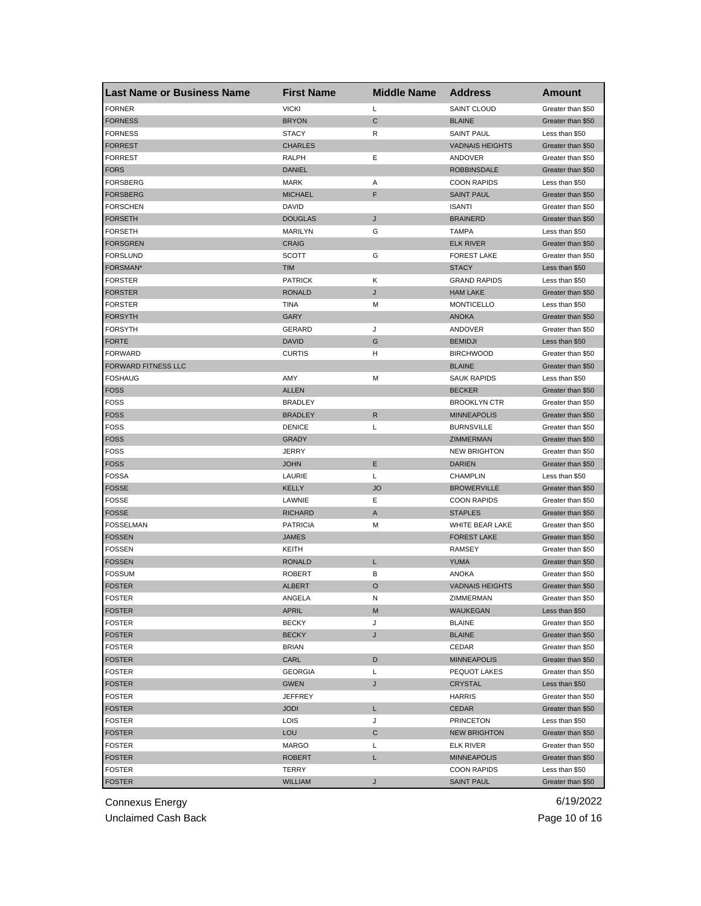| <b>Last Name or Business Name</b> | <b>First Name</b> | <b>Middle Name</b> | <b>Address</b>         | Amount            |
|-----------------------------------|-------------------|--------------------|------------------------|-------------------|
| <b>FORNER</b>                     | <b>VICKI</b>      | L                  | SAINT CLOUD            | Greater than \$50 |
| <b>FORNESS</b>                    | <b>BRYON</b>      | C                  | <b>BLAINE</b>          | Greater than \$50 |
| <b>FORNESS</b>                    | <b>STACY</b>      | R                  | <b>SAINT PAUL</b>      | Less than \$50    |
| <b>FORREST</b>                    | <b>CHARLES</b>    |                    | <b>VADNAIS HEIGHTS</b> | Greater than \$50 |
| <b>FORREST</b>                    | RALPH             | Ε                  | ANDOVER                | Greater than \$50 |
| <b>FORS</b>                       | <b>DANIEL</b>     |                    | <b>ROBBINSDALE</b>     | Greater than \$50 |
| FORSBERG                          | <b>MARK</b>       | Α                  | <b>COON RAPIDS</b>     | Less than \$50    |
| <b>FORSBERG</b>                   | <b>MICHAEL</b>    | F                  | <b>SAINT PAUL</b>      | Greater than \$50 |
| FORSCHEN                          | DAVID             |                    | <b>ISANTI</b>          | Greater than \$50 |
| <b>FORSETH</b>                    | <b>DOUGLAS</b>    | J                  | <b>BRAINERD</b>        | Greater than \$50 |
| FORSETH                           | <b>MARILYN</b>    | G                  | <b>TAMPA</b>           | Less than \$50    |
| <b>FORSGREN</b>                   | <b>CRAIG</b>      |                    | <b>ELK RIVER</b>       | Greater than \$50 |
| <b>FORSLUND</b>                   | SCOTT             | G                  | <b>FOREST LAKE</b>     | Greater than \$50 |
| FORSMAN*                          | <b>TIM</b>        |                    | <b>STACY</b>           | Less than \$50    |
| <b>FORSTER</b>                    | <b>PATRICK</b>    | Κ                  | <b>GRAND RAPIDS</b>    | Less than \$50    |
| FORSTER                           | <b>RONALD</b>     | J                  | <b>HAM LAKE</b>        | Greater than \$50 |
| <b>FORSTER</b>                    | <b>TINA</b>       | М                  | <b>MONTICELLO</b>      | Less than \$50    |
| <b>FORSYTH</b>                    | GARY              |                    | <b>ANOKA</b>           | Greater than \$50 |
| <b>FORSYTH</b>                    | GERARD            | J                  | ANDOVER                | Greater than \$50 |
| <b>FORTE</b>                      | <b>DAVID</b>      | G                  | <b>BEMIDJI</b>         | Less than \$50    |
| <b>FORWARD</b>                    | <b>CURTIS</b>     | H                  | <b>BIRCHWOOD</b>       | Greater than \$50 |
| <b>FORWARD FITNESS LLC</b>        |                   |                    | <b>BLAINE</b>          | Greater than \$50 |
| <b>FOSHAUG</b>                    | AMY               | M                  | <b>SAUK RAPIDS</b>     | Less than \$50    |
| <b>FOSS</b>                       | <b>ALLEN</b>      |                    | <b>BECKER</b>          | Greater than \$50 |
| FOSS                              | <b>BRADLEY</b>    |                    | <b>BROOKLYN CTR</b>    | Greater than \$50 |
| <b>FOSS</b>                       | <b>BRADLEY</b>    | R                  | <b>MINNEAPOLIS</b>     | Greater than \$50 |
| <b>FOSS</b>                       | <b>DENICE</b>     | L                  | <b>BURNSVILLE</b>      | Greater than \$50 |
| <b>FOSS</b>                       | <b>GRADY</b>      |                    | ZIMMERMAN              | Greater than \$50 |
| <b>FOSS</b>                       | JERRY             |                    | <b>NEW BRIGHTON</b>    | Greater than \$50 |
| <b>FOSS</b>                       | <b>JOHN</b>       | Ε                  | <b>DARIEN</b>          | Greater than \$50 |
| <b>FOSSA</b>                      | LAURIE            | L                  | <b>CHAMPLIN</b>        | Less than \$50    |
| <b>FOSSE</b>                      | KELLY             | <b>JO</b>          | <b>BROWERVILLE</b>     | Greater than \$50 |
| <b>FOSSE</b>                      | LAWNIE            | Ε                  | <b>COON RAPIDS</b>     | Greater than \$50 |
| <b>FOSSE</b>                      | <b>RICHARD</b>    | Α                  | <b>STAPLES</b>         | Greater than \$50 |
| <b>FOSSELMAN</b>                  | <b>PATRICIA</b>   | M                  | WHITE BEAR LAKE        | Greater than \$50 |
| <b>FOSSEN</b>                     | <b>JAMES</b>      |                    | <b>FOREST LAKE</b>     | Greater than \$50 |
| <b>FOSSEN</b>                     | KEITH             |                    | <b>RAMSEY</b>          | Greater than \$50 |
| <b>FOSSEN</b>                     | <b>RONALD</b>     | L                  | <b>YUMA</b>            | Greater than \$50 |
| <b>FOSSUM</b>                     | <b>ROBERT</b>     | в                  | <b>ANOKA</b>           | Greater than \$50 |
| <b>FOSTER</b>                     | <b>ALBERT</b>     | O                  | <b>VADNAIS HEIGHTS</b> | Greater than \$50 |
| <b>FOSTER</b>                     | ANGELA            | N                  | ZIMMERMAN              | Greater than \$50 |
| <b>FOSTER</b>                     | APRIL             | M                  | WAUKEGAN               | Less than \$50    |
| <b>FOSTER</b>                     | <b>BECKY</b>      | J                  | <b>BLAINE</b>          | Greater than \$50 |
| <b>FOSTER</b>                     | <b>BECKY</b>      | J                  | <b>BLAINE</b>          | Greater than \$50 |
| <b>FOSTER</b>                     | <b>BRIAN</b>      |                    | CEDAR                  | Greater than \$50 |
| <b>FOSTER</b>                     | CARL              | D                  | <b>MINNEAPOLIS</b>     | Greater than \$50 |
| <b>FOSTER</b>                     | <b>GEORGIA</b>    | L                  | PEQUOT LAKES           | Greater than \$50 |
| <b>FOSTER</b>                     | <b>GWEN</b>       | J                  | <b>CRYSTAL</b>         | Less than \$50    |
| <b>FOSTER</b>                     | <b>JEFFREY</b>    |                    | <b>HARRIS</b>          | Greater than \$50 |
| <b>FOSTER</b>                     | <b>JODI</b>       | L                  | <b>CEDAR</b>           | Greater than \$50 |
| <b>FOSTER</b>                     | LOIS              | J                  | <b>PRINCETON</b>       | Less than \$50    |
| <b>FOSTER</b>                     | <b>LOU</b>        | С                  | <b>NEW BRIGHTON</b>    | Greater than \$50 |
| FOSTER                            | MARGO             | Г                  | <b>ELK RIVER</b>       | Greater than \$50 |
| <b>FOSTER</b>                     | <b>ROBERT</b>     | L                  | <b>MINNEAPOLIS</b>     | Greater than \$50 |
| <b>FOSTER</b>                     | TERRY             |                    | <b>COON RAPIDS</b>     | Less than \$50    |
| <b>FOSTER</b>                     | <b>WILLIAM</b>    | J                  | <b>SAINT PAUL</b>      | Greater than \$50 |

Unclaimed Cash Back **Page 10 of 16**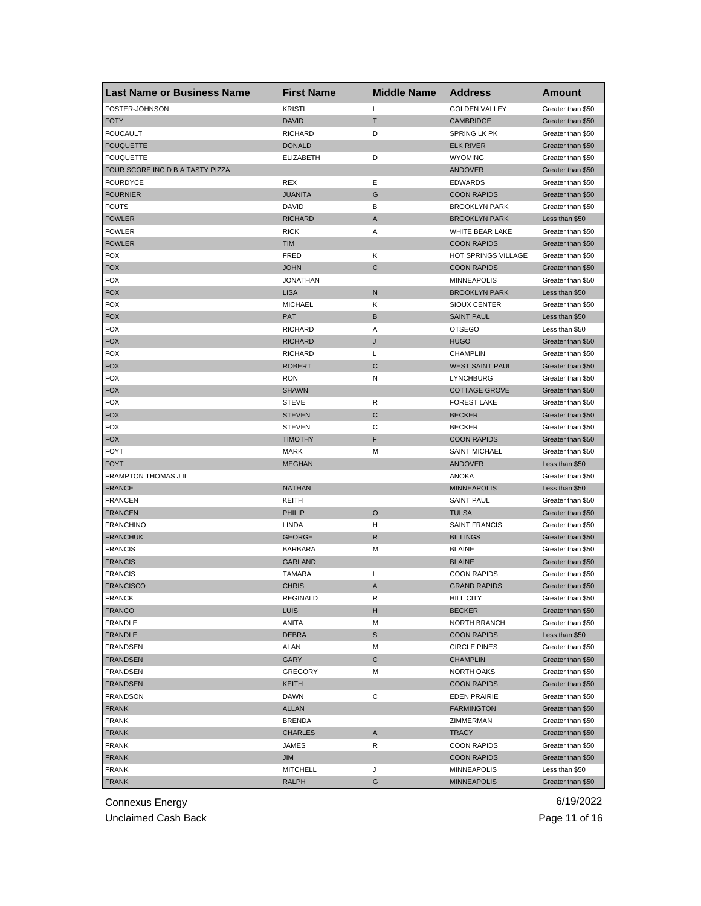| <b>Last Name or Business Name</b> | <b>First Name</b>            | <b>Middle Name</b> | <b>Address</b>         | <b>Amount</b>                          |
|-----------------------------------|------------------------------|--------------------|------------------------|----------------------------------------|
| FOSTER-JOHNSON                    | <b>KRISTI</b>                | L                  | <b>GOLDEN VALLEY</b>   | Greater than \$50                      |
| <b>FOTY</b>                       | <b>DAVID</b>                 | т                  | <b>CAMBRIDGE</b>       | Greater than \$50                      |
| <b>FOUCAULT</b>                   | <b>RICHARD</b>               | D                  | <b>SPRING LK PK</b>    | Greater than \$50                      |
| <b>FOUQUETTE</b>                  | <b>DONALD</b>                |                    | <b>ELK RIVER</b>       | Greater than \$50                      |
| <b>FOUQUETTE</b>                  | <b>ELIZABETH</b>             | D                  | <b>WYOMING</b>         | Greater than \$50                      |
| FOUR SCORE INC D B A TASTY PIZZA  |                              |                    | <b>ANDOVER</b>         | Greater than \$50                      |
| FOURDYCE                          | <b>REX</b>                   | Ε                  | <b>EDWARDS</b>         | Greater than \$50                      |
| <b>FOURNIER</b>                   | <b>JUANITA</b>               | G                  | <b>COON RAPIDS</b>     | Greater than \$50                      |
| <b>FOUTS</b>                      | <b>DAVID</b>                 | В                  | <b>BROOKLYN PARK</b>   | Greater than \$50                      |
| <b>FOWLER</b>                     | <b>RICHARD</b>               | A                  | <b>BROOKLYN PARK</b>   | Less than \$50                         |
| <b>FOWLER</b>                     | <b>RICK</b>                  | Α                  | WHITE BEAR LAKE        | Greater than \$50                      |
| <b>FOWLER</b>                     | <b>TIM</b>                   |                    | <b>COON RAPIDS</b>     | Greater than \$50                      |
| <b>FOX</b>                        | <b>FRED</b>                  | Κ                  | HOT SPRINGS VILLAGE    | Greater than \$50                      |
| <b>FOX</b>                        | <b>JOHN</b>                  | $\mathbf C$        | <b>COON RAPIDS</b>     | Greater than \$50                      |
| <b>FOX</b>                        | <b>JONATHAN</b>              |                    | <b>MINNEAPOLIS</b>     | Greater than \$50                      |
| <b>FOX</b>                        | <b>LISA</b>                  | N                  | <b>BROOKLYN PARK</b>   | Less than \$50                         |
| <b>FOX</b>                        | <b>MICHAEL</b>               | Κ                  | SIOUX CENTER           | Greater than \$50                      |
| <b>FOX</b>                        | <b>PAT</b>                   | B                  | <b>SAINT PAUL</b>      | Less than \$50                         |
| <b>FOX</b>                        | <b>RICHARD</b>               | Α                  | <b>OTSEGO</b>          | Less than \$50                         |
| <b>FOX</b>                        | <b>RICHARD</b>               | J                  | <b>HUGO</b>            | Greater than \$50                      |
| <b>FOX</b>                        | <b>RICHARD</b>               | L                  | <b>CHAMPLIN</b>        | Greater than \$50                      |
| <b>FOX</b>                        | <b>ROBERT</b>                | C                  | <b>WEST SAINT PAUL</b> | Greater than \$50                      |
| <b>FOX</b>                        | <b>RON</b>                   | N                  | <b>LYNCHBURG</b>       | Greater than \$50                      |
|                                   |                              |                    |                        |                                        |
| <b>FOX</b><br><b>FOX</b>          | <b>SHAWN</b><br><b>STEVE</b> | R                  | <b>COTTAGE GROVE</b>   | Greater than \$50<br>Greater than \$50 |
|                                   |                              |                    | <b>FOREST LAKE</b>     |                                        |
| <b>FOX</b>                        | <b>STEVEN</b>                | C                  | <b>BECKER</b>          | Greater than \$50                      |
| <b>FOX</b>                        | <b>STEVEN</b>                | С                  | <b>BECKER</b>          | Greater than \$50                      |
| <b>FOX</b>                        | <b>TIMOTHY</b>               | F                  | <b>COON RAPIDS</b>     | Greater than \$50                      |
| <b>FOYT</b>                       | <b>MARK</b>                  | M                  | <b>SAINT MICHAEL</b>   | Greater than \$50                      |
| <b>FOYT</b>                       | <b>MEGHAN</b>                |                    | ANDOVER                | Less than \$50                         |
| FRAMPTON THOMAS J II              |                              |                    | <b>ANOKA</b>           | Greater than \$50                      |
| <b>FRANCE</b>                     | <b>NATHAN</b>                |                    | <b>MINNEAPOLIS</b>     | Less than \$50                         |
| <b>FRANCEN</b>                    | KEITH                        |                    | <b>SAINT PAUL</b>      | Greater than \$50                      |
| <b>FRANCEN</b>                    | PHILIP                       | $\circ$            | <b>TULSA</b>           | Greater than \$50                      |
| <b>FRANCHINO</b>                  | LINDA                        | н                  | <b>SAINT FRANCIS</b>   | Greater than \$50                      |
| <b>FRANCHUK</b>                   | <b>GEORGE</b>                | R                  | <b>BILLINGS</b>        | Greater than \$50                      |
| <b>FRANCIS</b>                    | <b>BARBARA</b>               | М                  | <b>BLAINE</b>          | Greater than \$50                      |
| <b>FRANCIS</b>                    | <b>GARLAND</b>               |                    | <b>BLAINE</b>          | Greater than \$50                      |
| <b>FRANCIS</b>                    | <b>TAMARA</b>                | Г                  | <b>COON RAPIDS</b>     | Greater than \$50                      |
| <b>FRANCISCO</b>                  | <b>CHRIS</b>                 | A                  | <b>GRAND RAPIDS</b>    | Greater than \$50                      |
| <b>FRANCK</b>                     | REGINALD                     | R                  | <b>HILL CITY</b>       | Greater than \$50                      |
| <b>FRANCO</b>                     | <b>LUIS</b>                  | н                  | <b>BECKER</b>          | Greater than \$50                      |
| <b>FRANDLE</b>                    | ANITA                        | М                  | NORTH BRANCH           | Greater than \$50                      |
| FRANDLE                           | <b>DEBRA</b>                 | $\mathbb S$        | <b>COON RAPIDS</b>     | Less than \$50                         |
| <b>FRANDSEN</b>                   | ALAN                         | M                  | <b>CIRCLE PINES</b>    | Greater than \$50                      |
| <b>FRANDSEN</b>                   | <b>GARY</b>                  | C                  | <b>CHAMPLIN</b>        | Greater than \$50                      |
| <b>FRANDSEN</b>                   | <b>GREGORY</b>               | М                  | NORTH OAKS             | Greater than \$50                      |
| <b>FRANDSEN</b>                   | KEITH                        |                    | <b>COON RAPIDS</b>     | Greater than \$50                      |
| <b>FRANDSON</b>                   | DAWN                         | С                  | <b>EDEN PRAIRIE</b>    | Greater than \$50                      |
| <b>FRANK</b>                      | <b>ALLAN</b>                 |                    | <b>FARMINGTON</b>      | Greater than \$50                      |
| <b>FRANK</b>                      | <b>BRENDA</b>                |                    | ZIMMERMAN              | Greater than \$50                      |
| <b>FRANK</b>                      | <b>CHARLES</b>               | A                  | <b>TRACY</b>           | Greater than \$50                      |
| <b>FRANK</b>                      | JAMES                        | R                  | <b>COON RAPIDS</b>     | Greater than \$50                      |
| <b>FRANK</b>                      | JIM                          |                    | <b>COON RAPIDS</b>     | Greater than \$50                      |
| <b>FRANK</b>                      | <b>MITCHELL</b>              | J                  | <b>MINNEAPOLIS</b>     | Less than \$50                         |
| <b>FRANK</b>                      | RALPH                        | G                  | <b>MINNEAPOLIS</b>     | Greater than \$50                      |
|                                   |                              |                    |                        |                                        |

Unclaimed Cash Back **Page 11 of 16**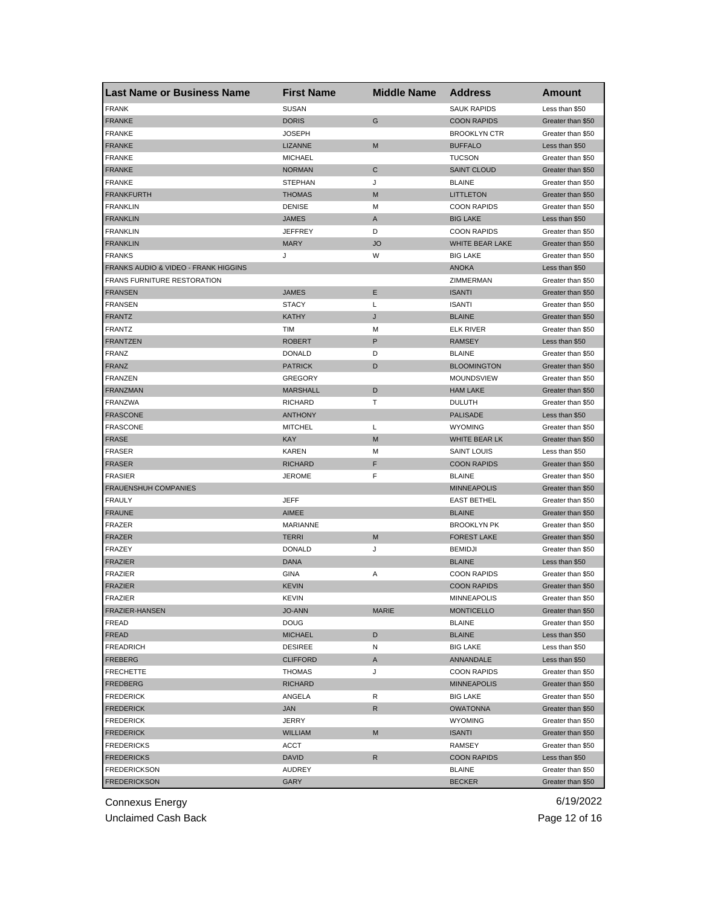| <b>Last Name or Business Name</b>    | <b>First Name</b> | <b>Middle Name</b> | <b>Address</b>         | Amount            |
|--------------------------------------|-------------------|--------------------|------------------------|-------------------|
| <b>FRANK</b>                         | <b>SUSAN</b>      |                    | <b>SAUK RAPIDS</b>     | Less than \$50    |
| <b>FRANKE</b>                        | <b>DORIS</b>      | G                  | <b>COON RAPIDS</b>     | Greater than \$50 |
| <b>FRANKE</b>                        | <b>JOSEPH</b>     |                    | <b>BROOKLYN CTR</b>    | Greater than \$50 |
| <b>FRANKE</b>                        | LIZANNE           | M                  | <b>BUFFALO</b>         | Less than \$50    |
| <b>FRANKE</b>                        | <b>MICHAEL</b>    |                    | <b>TUCSON</b>          | Greater than \$50 |
| <b>FRANKE</b>                        | <b>NORMAN</b>     | C                  | <b>SAINT CLOUD</b>     | Greater than \$50 |
| <b>FRANKE</b>                        | <b>STEPHAN</b>    | J                  | <b>BLAINE</b>          | Greater than \$50 |
| <b>FRANKFURTH</b>                    | <b>THOMAS</b>     | M                  | <b>LITTLETON</b>       | Greater than \$50 |
| <b>FRANKLIN</b>                      | <b>DENISE</b>     | М                  | <b>COON RAPIDS</b>     | Greater than \$50 |
| <b>FRANKLIN</b>                      | <b>JAMES</b>      | A                  | <b>BIG LAKE</b>        | Less than \$50    |
| <b>FRANKLIN</b>                      | <b>JEFFREY</b>    | D                  | <b>COON RAPIDS</b>     | Greater than \$50 |
| <b>FRANKLIN</b>                      | <b>MARY</b>       | <b>JO</b>          | <b>WHITE BEAR LAKE</b> | Greater than \$50 |
| <b>FRANKS</b>                        | J                 | W                  | <b>BIG LAKE</b>        | Greater than \$50 |
| FRANKS AUDIO & VIDEO - FRANK HIGGINS |                   |                    | <b>ANOKA</b>           | Less than \$50    |
| <b>FRANS FURNITURE RESTORATION</b>   |                   |                    | ZIMMERMAN              | Greater than \$50 |
| <b>FRANSEN</b>                       | <b>JAMES</b>      | Ε                  | <b>ISANTI</b>          | Greater than \$50 |
| <b>FRANSEN</b>                       | <b>STACY</b>      | Г                  | <b>ISANTI</b>          | Greater than \$50 |
| <b>FRANTZ</b>                        | <b>KATHY</b>      | J                  | <b>BLAINE</b>          | Greater than \$50 |
| <b>FRANTZ</b>                        | TIM               | М                  | <b>ELK RIVER</b>       | Greater than \$50 |
| <b>FRANTZEN</b>                      | <b>ROBERT</b>     | P                  | <b>RAMSEY</b>          | Less than \$50    |
| FRANZ                                | <b>DONALD</b>     | D                  | <b>BLAINE</b>          | Greater than \$50 |
| <b>FRANZ</b>                         | <b>PATRICK</b>    | D                  | <b>BLOOMINGTON</b>     | Greater than \$50 |
| <b>FRANZEN</b>                       | <b>GREGORY</b>    |                    | MOUNDSVIEW             | Greater than \$50 |
| <b>FRANZMAN</b>                      | <b>MARSHALL</b>   | D                  | <b>HAM LAKE</b>        | Greater than \$50 |
| <b>FRANZWA</b>                       | <b>RICHARD</b>    | т                  | <b>DULUTH</b>          | Greater than \$50 |
| <b>FRASCONE</b>                      | <b>ANTHONY</b>    |                    | <b>PALISADE</b>        | Less than \$50    |
| <b>FRASCONE</b>                      | <b>MITCHEL</b>    | L                  | <b>WYOMING</b>         | Greater than \$50 |
| <b>FRASE</b>                         | <b>KAY</b>        | M                  | WHITE BEAR LK          | Greater than \$50 |
| <b>FRASER</b>                        | <b>KAREN</b>      | М                  | <b>SAINT LOUIS</b>     | Less than \$50    |
| <b>FRASER</b>                        | <b>RICHARD</b>    | F                  | <b>COON RAPIDS</b>     | Greater than \$50 |
| <b>FRASIER</b>                       | <b>JEROME</b>     | F                  | <b>BLAINE</b>          | Greater than \$50 |
| <b>FRAUENSHUH COMPANIES</b>          |                   |                    | <b>MINNEAPOLIS</b>     | Greater than \$50 |
| <b>FRAULY</b>                        | <b>JEFF</b>       |                    | <b>EAST BETHEL</b>     | Greater than \$50 |
| <b>FRAUNE</b>                        | AIMEE             |                    | <b>BLAINE</b>          | Greater than \$50 |
| <b>FRAZER</b>                        | <b>MARIANNE</b>   |                    | <b>BROOKLYN PK</b>     | Greater than \$50 |
| <b>FRAZER</b>                        | <b>TERRI</b>      | M                  | <b>FOREST LAKE</b>     | Greater than \$50 |
| <b>FRAZEY</b>                        | <b>DONALD</b>     | J                  | <b>BEMIDJI</b>         | Greater than \$50 |
| <b>FRAZIER</b>                       | <b>DANA</b>       |                    | <b>BLAINE</b>          | Less than \$50    |
| FRAZIER                              | GINA              | Α                  | <b>COON RAPIDS</b>     | Greater than \$50 |
| <b>FRAZIER</b>                       | <b>KEVIN</b>      |                    | <b>COON RAPIDS</b>     | Greater than \$50 |
| FRAZIER                              | KEVIN             |                    | <b>MINNEAPOLIS</b>     | Greater than \$50 |
| <b>FRAZIER-HANSEN</b>                | <b>JO-ANN</b>     | <b>MARIE</b>       | <b>MONTICELLO</b>      | Greater than \$50 |
| FREAD                                | <b>DOUG</b>       |                    | <b>BLAINE</b>          | Greater than \$50 |
| FREAD                                | <b>MICHAEL</b>    | D                  | <b>BLAINE</b>          | Less than \$50    |
| <b>FREADRICH</b>                     | <b>DESIREE</b>    | Ν                  | <b>BIG LAKE</b>        | Less than \$50    |
| <b>FREBERG</b>                       | <b>CLIFFORD</b>   | A                  | ANNANDALE              | Less than \$50    |
| <b>FRECHETTE</b>                     | <b>THOMAS</b>     | J                  | <b>COON RAPIDS</b>     | Greater than \$50 |
| FREDBERG                             | <b>RICHARD</b>    |                    | <b>MINNEAPOLIS</b>     | Greater than \$50 |
| <b>FREDERICK</b>                     | ANGELA            | R                  | <b>BIG LAKE</b>        | Greater than \$50 |
| <b>FREDERICK</b>                     | JAN               | R                  | <b>OWATONNA</b>        | Greater than \$50 |
| <b>FREDERICK</b>                     | JERRY             |                    | <b>WYOMING</b>         | Greater than \$50 |
| <b>FREDERICK</b>                     | <b>WILLIAM</b>    | M                  | <b>ISANTI</b>          | Greater than \$50 |
| <b>FREDERICKS</b>                    | ACCT              |                    | RAMSEY                 | Greater than \$50 |
| <b>FREDERICKS</b>                    | DAVID             | R                  | <b>COON RAPIDS</b>     | Less than \$50    |
| <b>FREDERICKSON</b>                  | AUDREY            |                    | BLAINE                 | Greater than \$50 |
| <b>FREDERICKSON</b>                  | GARY              |                    | <b>BECKER</b>          | Greater than \$50 |
|                                      |                   |                    |                        |                   |

Unclaimed Cash Back **Page 12 of 16**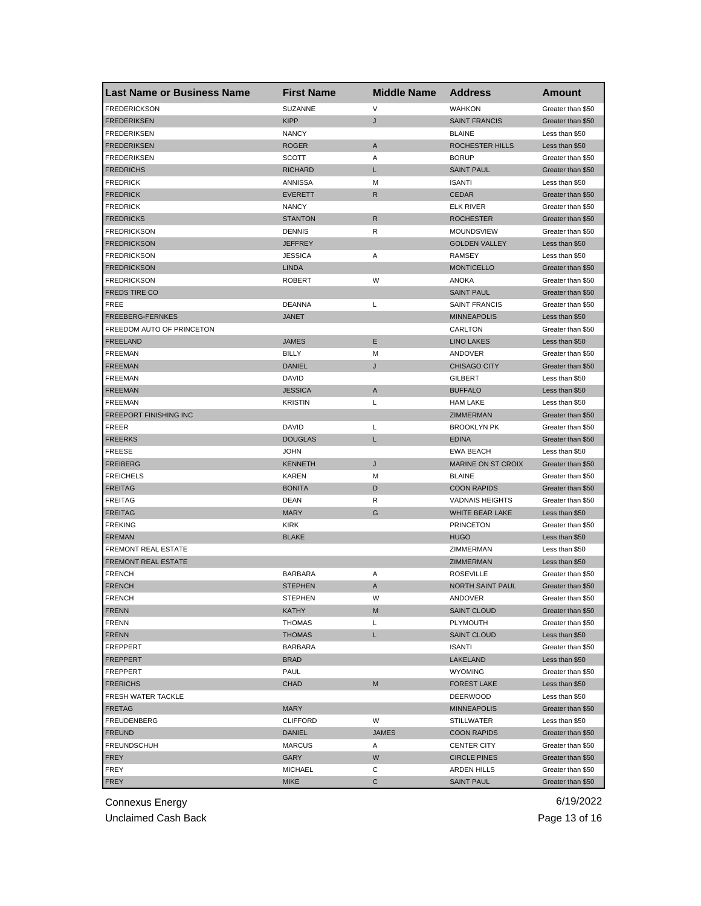| <b>Last Name or Business Name</b> | <b>First Name</b> | <b>Middle Name</b> | <b>Address</b>         | Amount            |
|-----------------------------------|-------------------|--------------------|------------------------|-------------------|
| <b>FREDERICKSON</b>               | SUZANNE           | V                  | <b>WAHKON</b>          | Greater than \$50 |
| <b>FREDERIKSEN</b>                | <b>KIPP</b>       | J                  | <b>SAINT FRANCIS</b>   | Greater than \$50 |
| <b>FREDERIKSEN</b>                | <b>NANCY</b>      |                    | <b>BLAINE</b>          | Less than \$50    |
| <b>FREDERIKSEN</b>                | <b>ROGER</b>      | A                  | ROCHESTER HILLS        | Less than \$50    |
| <b>FREDERIKSEN</b>                | <b>SCOTT</b>      | Α                  | <b>BORUP</b>           | Greater than \$50 |
| <b>FREDRICHS</b>                  | <b>RICHARD</b>    | L                  | <b>SAINT PAUL</b>      | Greater than \$50 |
| <b>FREDRICK</b>                   | ANNISSA           | M                  | <b>ISANTI</b>          | Less than \$50    |
| <b>FREDRICK</b>                   | <b>EVERETT</b>    | R                  | <b>CEDAR</b>           | Greater than \$50 |
| <b>FREDRICK</b>                   | <b>NANCY</b>      |                    | <b>ELK RIVER</b>       | Greater than \$50 |
| <b>FREDRICKS</b>                  | <b>STANTON</b>    | R                  | <b>ROCHESTER</b>       | Greater than \$50 |
| <b>FREDRICKSON</b>                | <b>DENNIS</b>     | R                  | <b>MOUNDSVIEW</b>      | Greater than \$50 |
| <b>FREDRICKSON</b>                | <b>JEFFREY</b>    |                    | <b>GOLDEN VALLEY</b>   | Less than \$50    |
| <b>FREDRICKSON</b>                | <b>JESSICA</b>    | Α                  | <b>RAMSEY</b>          | Less than \$50    |
| <b>FREDRICKSON</b>                | <b>LINDA</b>      |                    | <b>MONTICELLO</b>      | Greater than \$50 |
| <b>FREDRICKSON</b>                | <b>ROBERT</b>     | W                  | <b>ANOKA</b>           | Greater than \$50 |
| FREDS TIRE CO                     |                   |                    | <b>SAINT PAUL</b>      | Greater than \$50 |
| FREE                              | <b>DEANNA</b>     | L                  | <b>SAINT FRANCIS</b>   | Greater than \$50 |
| FREEBERG-FERNKES                  | <b>JANET</b>      |                    | <b>MINNEAPOLIS</b>     | Less than \$50    |
| FREEDOM AUTO OF PRINCETON         |                   |                    | CARLTON                | Greater than \$50 |
| <b>FREELAND</b>                   | <b>JAMES</b>      | Ε                  | <b>LINO LAKES</b>      | Less than \$50    |
| <b>FREEMAN</b>                    | <b>BILLY</b>      | M                  | ANDOVER                | Greater than \$50 |
| <b>FREEMAN</b>                    | <b>DANIEL</b>     | J                  | <b>CHISAGO CITY</b>    | Greater than \$50 |
| <b>FREEMAN</b>                    | <b>DAVID</b>      |                    | <b>GILBERT</b>         | Less than \$50    |
| <b>FREEMAN</b>                    | <b>JESSICA</b>    | A                  | <b>BUFFALO</b>         | Less than \$50    |
| <b>FREEMAN</b>                    | <b>KRISTIN</b>    | Г                  | <b>HAM LAKE</b>        | Less than \$50    |
| FREEPORT FINISHING INC            |                   |                    | ZIMMERMAN              | Greater than \$50 |
| <b>FREER</b>                      | DAVID             | Г                  | <b>BROOKLYN PK</b>     | Greater than \$50 |
| <b>FREERKS</b>                    | <b>DOUGLAS</b>    | L                  | <b>EDINA</b>           | Greater than \$50 |
| <b>FREESE</b>                     | <b>JOHN</b>       |                    | <b>EWA BEACH</b>       | Less than \$50    |
| <b>FREIBERG</b>                   | <b>KENNETH</b>    | J                  | MARINE ON ST CROIX     | Greater than \$50 |
| <b>FREICHELS</b>                  | <b>KAREN</b>      | M                  | <b>BLAINE</b>          | Greater than \$50 |
| <b>FREITAG</b>                    | <b>BONITA</b>     | D                  | <b>COON RAPIDS</b>     | Greater than \$50 |
| <b>FREITAG</b>                    | <b>DEAN</b>       | R                  | <b>VADNAIS HEIGHTS</b> | Greater than \$50 |
| <b>FREITAG</b>                    | <b>MARY</b>       | G                  | WHITE BEAR LAKE        | Less than \$50    |
| <b>FREKING</b>                    | <b>KIRK</b>       |                    | <b>PRINCETON</b>       | Greater than \$50 |
| <b>FREMAN</b>                     | <b>BLAKE</b>      |                    | <b>HUGO</b>            | Less than \$50    |
| FREMONT REAL ESTATE               |                   |                    | ZIMMERMAN              | Less than \$50    |
| FREMONT REAL ESTATE               |                   |                    | ZIMMERMAN              | Less than \$50    |
| <b>FRENCH</b>                     | <b>BARBARA</b>    | Α                  | <b>ROSEVILLE</b>       | Greater than \$50 |
| <b>FRENCH</b>                     | <b>STEPHEN</b>    | A                  | NORTH SAINT PAUL       | Greater than \$50 |
| <b>FRENCH</b>                     | STEPHEN           | w                  | ANDOVER                | Greater than \$50 |
| <b>FRENN</b>                      | KATHY             | M                  | <b>SAINT CLOUD</b>     | Greater than \$50 |
| <b>FRENN</b>                      | THOMAS            | Г                  | PLYMOUTH               | Greater than \$50 |
| <b>FRENN</b>                      | THOMAS            | L                  | <b>SAINT CLOUD</b>     | Less than \$50    |
| <b>FREPPERT</b>                   | <b>BARBARA</b>    |                    | <b>ISANTI</b>          | Greater than \$50 |
| <b>FREPPERT</b>                   | <b>BRAD</b>       |                    | LAKELAND               | Less than \$50    |
| <b>FREPPERT</b>                   | PAUL              |                    | <b>WYOMING</b>         | Greater than \$50 |
| <b>FRERICHS</b>                   | <b>CHAD</b>       | M                  | <b>FOREST LAKE</b>     | Less than \$50    |
| FRESH WATER TACKLE                |                   |                    | <b>DEERWOOD</b>        | Less than \$50    |
|                                   |                   |                    |                        |                   |
| <b>FRETAG</b>                     | MARY              |                    | <b>MINNEAPOLIS</b>     | Greater than \$50 |
| FREUDENBERG                       | <b>CLIFFORD</b>   | W                  | STILLWATER             | Less than \$50    |
| <b>FREUND</b>                     | DANIEL            | <b>JAMES</b>       | <b>COON RAPIDS</b>     | Greater than \$50 |
| <b>FREUNDSCHUH</b>                | <b>MARCUS</b>     | A                  | <b>CENTER CITY</b>     | Greater than \$50 |
| <b>FREY</b>                       | GARY              | W                  | <b>CIRCLE PINES</b>    | Greater than \$50 |
| FREY                              | <b>MICHAEL</b>    | С                  | ARDEN HILLS            | Greater than \$50 |
| <b>FREY</b>                       | <b>MIKE</b>       | С                  | <b>SAINT PAUL</b>      | Greater than \$50 |

Unclaimed Cash Back **Page 13 of 16**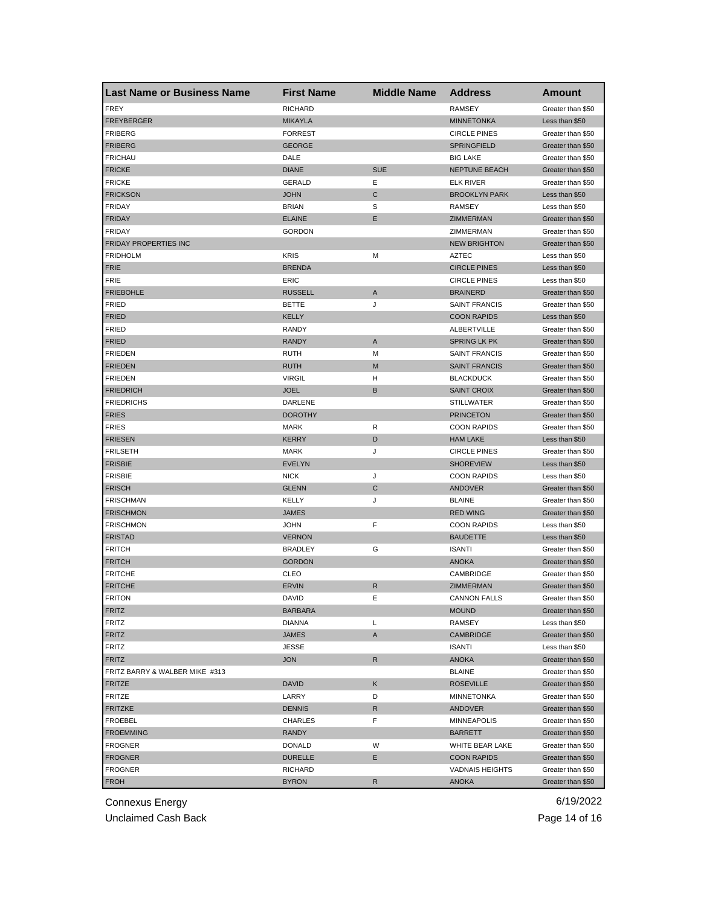| <b>Last Name or Business Name</b> | <b>First Name</b> | <b>Middle Name</b> | <b>Address</b>         | Amount            |
|-----------------------------------|-------------------|--------------------|------------------------|-------------------|
| <b>FREY</b>                       | <b>RICHARD</b>    |                    | <b>RAMSEY</b>          | Greater than \$50 |
| <b>FREYBERGER</b>                 | <b>MIKAYLA</b>    |                    | <b>MINNETONKA</b>      | Less than \$50    |
| <b>FRIBERG</b>                    | <b>FORREST</b>    |                    | <b>CIRCLE PINES</b>    | Greater than \$50 |
| <b>FRIBERG</b>                    | <b>GEORGE</b>     |                    | <b>SPRINGFIELD</b>     | Greater than \$50 |
| <b>FRICHAU</b>                    | DALE              |                    | <b>BIG LAKE</b>        | Greater than \$50 |
| <b>FRICKE</b>                     | <b>DIANE</b>      | <b>SUE</b>         | <b>NEPTUNE BEACH</b>   | Greater than \$50 |
| <b>FRICKE</b>                     | <b>GERALD</b>     | Ε                  | <b>ELK RIVER</b>       | Greater than \$50 |
| <b>FRICKSON</b>                   | <b>JOHN</b>       | C                  | <b>BROOKLYN PARK</b>   | Less than \$50    |
| <b>FRIDAY</b>                     | <b>BRIAN</b>      | S                  | RAMSEY                 | Less than \$50    |
| <b>FRIDAY</b>                     | <b>ELAINE</b>     | E                  | <b>ZIMMERMAN</b>       | Greater than \$50 |
| <b>FRIDAY</b>                     | <b>GORDON</b>     |                    | ZIMMERMAN              | Greater than \$50 |
| <b>FRIDAY PROPERTIES INC</b>      |                   |                    | <b>NEW BRIGHTON</b>    | Greater than \$50 |
| <b>FRIDHOLM</b>                   | <b>KRIS</b>       | M                  | <b>AZTEC</b>           | Less than \$50    |
| <b>FRIE</b>                       | <b>BRENDA</b>     |                    | <b>CIRCLE PINES</b>    | Less than \$50    |
| <b>FRIE</b>                       | ERIC              |                    | <b>CIRCLE PINES</b>    | Less than \$50    |
| <b>FRIEBOHLE</b>                  | <b>RUSSELL</b>    | A                  | <b>BRAINERD</b>        | Greater than \$50 |
| <b>FRIED</b>                      | <b>BETTE</b>      | J                  | <b>SAINT FRANCIS</b>   | Greater than \$50 |
| <b>FRIED</b>                      | KELLY             |                    | <b>COON RAPIDS</b>     | Less than \$50    |
| <b>FRIED</b>                      | RANDY             |                    | ALBERTVILLE            | Greater than \$50 |
| <b>FRIED</b>                      | <b>RANDY</b>      | Α                  | <b>SPRING LK PK</b>    | Greater than \$50 |
| <b>FRIEDEN</b>                    | RUTH              | M                  | <b>SAINT FRANCIS</b>   | Greater than \$50 |
| <b>FRIEDEN</b>                    | <b>RUTH</b>       | M                  | <b>SAINT FRANCIS</b>   | Greater than \$50 |
| <b>FRIEDEN</b>                    | <b>VIRGIL</b>     | н                  | <b>BLACKDUCK</b>       | Greater than \$50 |
| <b>FRIEDRICH</b>                  | <b>JOEL</b>       | B                  | <b>SAINT CROIX</b>     | Greater than \$50 |
| <b>FRIEDRICHS</b>                 | DARLENE           |                    | <b>STILLWATER</b>      | Greater than \$50 |
| <b>FRIES</b>                      | <b>DOROTHY</b>    |                    | <b>PRINCETON</b>       | Greater than \$50 |
| <b>FRIES</b>                      | MARK              | R                  | <b>COON RAPIDS</b>     | Greater than \$50 |
| <b>FRIESEN</b>                    | <b>KERRY</b>      | D                  | <b>HAM LAKE</b>        | Less than \$50    |
| <b>FRILSETH</b>                   | <b>MARK</b>       | J                  | <b>CIRCLE PINES</b>    | Greater than \$50 |
| <b>FRISBIE</b>                    | <b>EVELYN</b>     |                    | <b>SHOREVIEW</b>       | Less than \$50    |
| <b>FRISBIE</b>                    | <b>NICK</b>       | J                  | <b>COON RAPIDS</b>     | Less than \$50    |
| <b>FRISCH</b>                     | <b>GLENN</b>      | C                  | ANDOVER                | Greater than \$50 |
| <b>FRISCHMAN</b>                  | KELLY             | J                  | <b>BLAINE</b>          | Greater than \$50 |
| <b>FRISCHMON</b>                  | <b>JAMES</b>      |                    | <b>RED WING</b>        | Greater than \$50 |
| <b>FRISCHMON</b>                  | <b>JOHN</b>       | F                  | <b>COON RAPIDS</b>     | Less than \$50    |
| <b>FRISTAD</b>                    | <b>VERNON</b>     |                    | <b>BAUDETTE</b>        | Less than \$50    |
| <b>FRITCH</b>                     | <b>BRADLEY</b>    | G                  | <b>ISANTI</b>          | Greater than \$50 |
| <b>FRITCH</b>                     | <b>GORDON</b>     |                    | <b>ANOKA</b>           | Greater than \$50 |
| <b>FRITCHE</b>                    | CLEO              |                    | CAMBRIDGE              | Greater than \$50 |
| <b>FRITCHE</b>                    | <b>ERVIN</b>      | R                  | ZIMMERMAN              | Greater than \$50 |
| <b>FRITON</b>                     | DAVID             | Е                  | CANNON FALLS           | Greater than \$50 |
| <b>FRITZ</b>                      | <b>BARBARA</b>    |                    | <b>MOUND</b>           | Greater than \$50 |
| FRITZ                             | <b>DIANNA</b>     | Г                  | <b>RAMSEY</b>          | Less than \$50    |
| FRITZ                             | JAMES             | A                  | CAMBRIDGE              | Greater than \$50 |
| FRITZ                             | JESSE             |                    | <b>ISANTI</b>          | Less than \$50    |
| <b>FRITZ</b>                      | <b>JON</b>        | $\mathsf{R}$       | <b>ANOKA</b>           | Greater than \$50 |
| FRITZ BARRY & WALBER MIKE #313    |                   |                    | <b>BLAINE</b>          | Greater than \$50 |
| <b>FRITZE</b>                     | DAVID             | Κ                  | <b>ROSEVILLE</b>       | Greater than \$50 |
| FRITZE                            | LARRY             | D                  | MINNETONKA             | Greater than \$50 |
| <b>FRITZKE</b>                    | <b>DENNIS</b>     | R                  | ANDOVER                | Greater than \$50 |
| FROEBEL                           | CHARLES           | F                  | <b>MINNEAPOLIS</b>     | Greater than \$50 |
| <b>FROEMMING</b>                  | RANDY             |                    | <b>BARRETT</b>         | Greater than \$50 |
| <b>FROGNER</b>                    | DONALD            | W                  | WHITE BEAR LAKE        | Greater than \$50 |
|                                   |                   |                    | <b>COON RAPIDS</b>     | Greater than \$50 |
| <b>FROGNER</b><br><b>FROGNER</b>  | <b>DURELLE</b>    | Е                  |                        | Greater than \$50 |
|                                   | RICHARD           |                    | <b>VADNAIS HEIGHTS</b> |                   |
| <b>FROH</b>                       | <b>BYRON</b>      | R                  | <b>ANOKA</b>           | Greater than \$50 |

Unclaimed Cash Back **Page 14 of 16**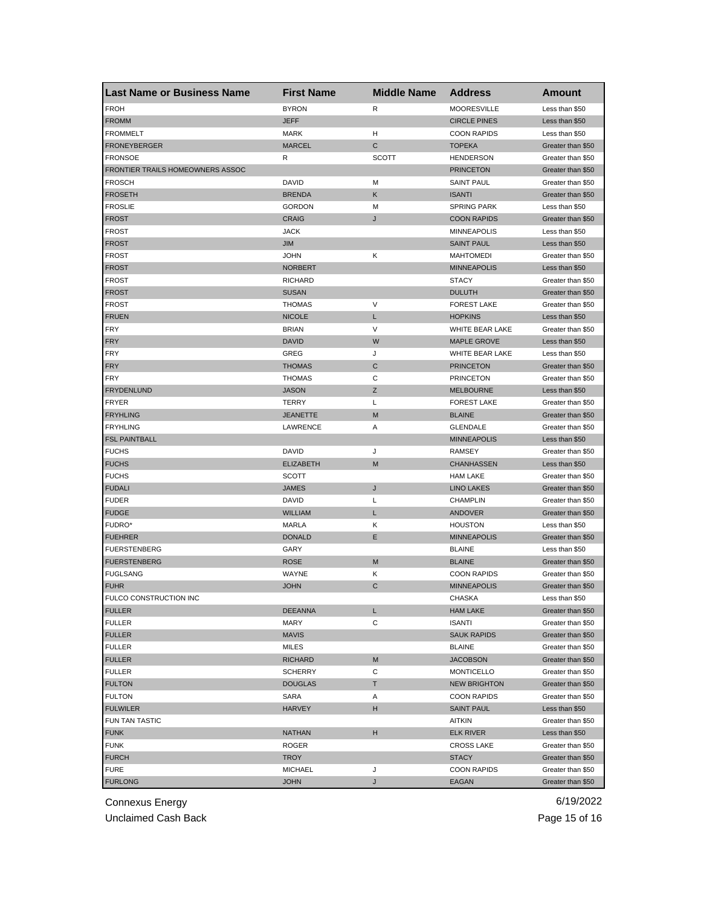| <b>FROH</b><br><b>BYRON</b><br><b>MOORESVILLE</b><br>R<br>Less than \$50<br><b>FROMM</b><br><b>JEFF</b><br><b>CIRCLE PINES</b><br>Less than \$50<br><b>FROMMELT</b><br><b>MARK</b><br>н<br><b>COON RAPIDS</b><br>Less than \$50<br>C<br><b>FRONEYBERGER</b><br><b>MARCEL</b><br><b>TOPEKA</b><br>Greater than \$50<br><b>FRONSOE</b><br>R<br><b>SCOTT</b><br><b>HENDERSON</b><br>Greater than \$50<br>FRONTIER TRAILS HOMEOWNERS ASSOC<br><b>PRINCETON</b><br>Greater than \$50<br><b>FROSCH</b><br>DAVID<br>M<br><b>SAINT PAUL</b><br>Greater than \$50<br><b>FROSETH</b><br>Κ<br><b>ISANTI</b><br><b>BRENDA</b><br>Greater than \$50<br><b>FROSLIE</b><br><b>SPRING PARK</b><br><b>GORDON</b><br>М<br>Less than \$50<br><b>CRAIG</b><br><b>COON RAPIDS</b><br><b>FROST</b><br>J<br>Greater than \$50<br><b>FROST</b><br><b>JACK</b><br><b>MINNEAPOLIS</b><br>Less than \$50<br><b>FROST</b><br><b>JIM</b><br><b>SAINT PAUL</b><br>Less than \$50<br>Κ<br><b>FROST</b><br><b>JOHN</b><br><b>MAHTOMEDI</b><br>Greater than \$50<br><b>MINNEAPOLIS</b><br><b>FROST</b><br><b>NORBERT</b><br>Less than \$50<br><b>FROST</b><br><b>RICHARD</b><br><b>STACY</b><br>Greater than \$50<br><b>FROST</b><br><b>SUSAN</b><br><b>DULUTH</b><br>Greater than \$50<br>V<br><b>FROST</b><br><b>THOMAS</b><br><b>FOREST LAKE</b><br>Greater than \$50<br><b>FRUEN</b><br><b>NICOLE</b><br><b>HOPKINS</b><br>Less than \$50<br>L<br><b>FRY</b><br>V<br>WHITE BEAR LAKE<br><b>BRIAN</b><br>Greater than \$50<br><b>FRY</b><br><b>DAVID</b><br>W<br><b>MAPLE GROVE</b><br>Less than \$50<br><b>FRY</b><br>GREG<br>J<br>WHITE BEAR LAKE<br>Less than \$50<br>C<br><b>FRY</b><br><b>THOMAS</b><br><b>PRINCETON</b><br>Greater than \$50<br>С<br><b>FRY</b><br><b>THOMAS</b><br><b>PRINCETON</b><br>Greater than \$50<br><b>FRYDENLUND</b><br>Ζ<br><b>JASON</b><br><b>MELBOURNE</b><br>Less than \$50<br>FRYER<br>TERRY<br>Г<br><b>FOREST LAKE</b><br>Greater than \$50<br><b>FRYHLING</b><br>M<br><b>BLAINE</b><br><b>JEANETTE</b><br>Greater than \$50<br>Α<br><b>GLENDALE</b><br><b>FRYHLING</b><br>LAWRENCE<br>Greater than \$50<br><b>FSL PAINTBALL</b><br><b>MINNEAPOLIS</b><br>Less than \$50<br><b>FUCHS</b><br>DAVID<br>J<br><b>RAMSEY</b><br>Greater than \$50<br><b>FUCHS</b><br><b>ELIZABETH</b><br>M<br><b>CHANHASSEN</b><br>Less than \$50<br><b>FUCHS</b><br>SCOTT<br><b>HAM LAKE</b><br>Greater than \$50<br>J<br><b>FUDALI</b><br><b>JAMES</b><br><b>LINO LAKES</b><br>Greater than \$50<br><b>FUDER</b><br><b>DAVID</b><br>Г<br><b>CHAMPLIN</b><br>Greater than \$50<br><b>FUDGE</b><br><b>WILLIAM</b><br>L<br>ANDOVER<br>Greater than \$50<br>FUDRO*<br><b>MARLA</b><br>Κ<br><b>HOUSTON</b><br>Less than \$50<br>Ε<br><b>FUEHRER</b><br><b>DONALD</b><br><b>MINNEAPOLIS</b><br>Greater than \$50<br><b>FUERSTENBERG</b><br>GARY<br><b>BLAINE</b><br>Less than \$50<br><b>FUERSTENBERG</b><br><b>ROSE</b><br>M<br><b>BLAINE</b><br>Greater than \$50<br><b>FUGLSANG</b><br>WAYNE<br>Κ<br><b>COON RAPIDS</b><br>Greater than \$50<br>C<br><b>FUHR</b><br><b>JOHN</b><br><b>MINNEAPOLIS</b><br>Greater than \$50<br>FULCO CONSTRUCTION INC<br>CHASKA<br>Less than \$50<br><b>FULLER</b><br><b>DEEANNA</b><br>L<br><b>HAM LAKE</b><br>Greater than \$50<br><b>FULLER</b><br>MARY<br>С<br><b>ISANTI</b><br>Greater than \$50<br><b>FULLER</b><br>MAVIS<br><b>SAUK RAPIDS</b><br>Greater than \$50 | <b>Last Name or Business Name</b> | <b>First Name</b> | <b>Middle Name</b> | <b>Address</b> | Amount            |
|---------------------------------------------------------------------------------------------------------------------------------------------------------------------------------------------------------------------------------------------------------------------------------------------------------------------------------------------------------------------------------------------------------------------------------------------------------------------------------------------------------------------------------------------------------------------------------------------------------------------------------------------------------------------------------------------------------------------------------------------------------------------------------------------------------------------------------------------------------------------------------------------------------------------------------------------------------------------------------------------------------------------------------------------------------------------------------------------------------------------------------------------------------------------------------------------------------------------------------------------------------------------------------------------------------------------------------------------------------------------------------------------------------------------------------------------------------------------------------------------------------------------------------------------------------------------------------------------------------------------------------------------------------------------------------------------------------------------------------------------------------------------------------------------------------------------------------------------------------------------------------------------------------------------------------------------------------------------------------------------------------------------------------------------------------------------------------------------------------------------------------------------------------------------------------------------------------------------------------------------------------------------------------------------------------------------------------------------------------------------------------------------------------------------------------------------------------------------------------------------------------------------------------------------------------------------------------------------------------------------------------------------------------------------------------------------------------------------------------------------------------------------------------------------------------------------------------------------------------------------------------------------------------------------------------------------------------------------------------------------------------------------------------------------------------------------------------------------------------------------------------------------------------------------------------------------------------------------------------------------------------------------------------------------------------------------------------------------------------------------------------------------|-----------------------------------|-------------------|--------------------|----------------|-------------------|
|                                                                                                                                                                                                                                                                                                                                                                                                                                                                                                                                                                                                                                                                                                                                                                                                                                                                                                                                                                                                                                                                                                                                                                                                                                                                                                                                                                                                                                                                                                                                                                                                                                                                                                                                                                                                                                                                                                                                                                                                                                                                                                                                                                                                                                                                                                                                                                                                                                                                                                                                                                                                                                                                                                                                                                                                                                                                                                                                                                                                                                                                                                                                                                                                                                                                                                                                                                                             |                                   |                   |                    |                |                   |
|                                                                                                                                                                                                                                                                                                                                                                                                                                                                                                                                                                                                                                                                                                                                                                                                                                                                                                                                                                                                                                                                                                                                                                                                                                                                                                                                                                                                                                                                                                                                                                                                                                                                                                                                                                                                                                                                                                                                                                                                                                                                                                                                                                                                                                                                                                                                                                                                                                                                                                                                                                                                                                                                                                                                                                                                                                                                                                                                                                                                                                                                                                                                                                                                                                                                                                                                                                                             |                                   |                   |                    |                |                   |
|                                                                                                                                                                                                                                                                                                                                                                                                                                                                                                                                                                                                                                                                                                                                                                                                                                                                                                                                                                                                                                                                                                                                                                                                                                                                                                                                                                                                                                                                                                                                                                                                                                                                                                                                                                                                                                                                                                                                                                                                                                                                                                                                                                                                                                                                                                                                                                                                                                                                                                                                                                                                                                                                                                                                                                                                                                                                                                                                                                                                                                                                                                                                                                                                                                                                                                                                                                                             |                                   |                   |                    |                |                   |
|                                                                                                                                                                                                                                                                                                                                                                                                                                                                                                                                                                                                                                                                                                                                                                                                                                                                                                                                                                                                                                                                                                                                                                                                                                                                                                                                                                                                                                                                                                                                                                                                                                                                                                                                                                                                                                                                                                                                                                                                                                                                                                                                                                                                                                                                                                                                                                                                                                                                                                                                                                                                                                                                                                                                                                                                                                                                                                                                                                                                                                                                                                                                                                                                                                                                                                                                                                                             |                                   |                   |                    |                |                   |
|                                                                                                                                                                                                                                                                                                                                                                                                                                                                                                                                                                                                                                                                                                                                                                                                                                                                                                                                                                                                                                                                                                                                                                                                                                                                                                                                                                                                                                                                                                                                                                                                                                                                                                                                                                                                                                                                                                                                                                                                                                                                                                                                                                                                                                                                                                                                                                                                                                                                                                                                                                                                                                                                                                                                                                                                                                                                                                                                                                                                                                                                                                                                                                                                                                                                                                                                                                                             |                                   |                   |                    |                |                   |
|                                                                                                                                                                                                                                                                                                                                                                                                                                                                                                                                                                                                                                                                                                                                                                                                                                                                                                                                                                                                                                                                                                                                                                                                                                                                                                                                                                                                                                                                                                                                                                                                                                                                                                                                                                                                                                                                                                                                                                                                                                                                                                                                                                                                                                                                                                                                                                                                                                                                                                                                                                                                                                                                                                                                                                                                                                                                                                                                                                                                                                                                                                                                                                                                                                                                                                                                                                                             |                                   |                   |                    |                |                   |
|                                                                                                                                                                                                                                                                                                                                                                                                                                                                                                                                                                                                                                                                                                                                                                                                                                                                                                                                                                                                                                                                                                                                                                                                                                                                                                                                                                                                                                                                                                                                                                                                                                                                                                                                                                                                                                                                                                                                                                                                                                                                                                                                                                                                                                                                                                                                                                                                                                                                                                                                                                                                                                                                                                                                                                                                                                                                                                                                                                                                                                                                                                                                                                                                                                                                                                                                                                                             |                                   |                   |                    |                |                   |
|                                                                                                                                                                                                                                                                                                                                                                                                                                                                                                                                                                                                                                                                                                                                                                                                                                                                                                                                                                                                                                                                                                                                                                                                                                                                                                                                                                                                                                                                                                                                                                                                                                                                                                                                                                                                                                                                                                                                                                                                                                                                                                                                                                                                                                                                                                                                                                                                                                                                                                                                                                                                                                                                                                                                                                                                                                                                                                                                                                                                                                                                                                                                                                                                                                                                                                                                                                                             |                                   |                   |                    |                |                   |
|                                                                                                                                                                                                                                                                                                                                                                                                                                                                                                                                                                                                                                                                                                                                                                                                                                                                                                                                                                                                                                                                                                                                                                                                                                                                                                                                                                                                                                                                                                                                                                                                                                                                                                                                                                                                                                                                                                                                                                                                                                                                                                                                                                                                                                                                                                                                                                                                                                                                                                                                                                                                                                                                                                                                                                                                                                                                                                                                                                                                                                                                                                                                                                                                                                                                                                                                                                                             |                                   |                   |                    |                |                   |
|                                                                                                                                                                                                                                                                                                                                                                                                                                                                                                                                                                                                                                                                                                                                                                                                                                                                                                                                                                                                                                                                                                                                                                                                                                                                                                                                                                                                                                                                                                                                                                                                                                                                                                                                                                                                                                                                                                                                                                                                                                                                                                                                                                                                                                                                                                                                                                                                                                                                                                                                                                                                                                                                                                                                                                                                                                                                                                                                                                                                                                                                                                                                                                                                                                                                                                                                                                                             |                                   |                   |                    |                |                   |
|                                                                                                                                                                                                                                                                                                                                                                                                                                                                                                                                                                                                                                                                                                                                                                                                                                                                                                                                                                                                                                                                                                                                                                                                                                                                                                                                                                                                                                                                                                                                                                                                                                                                                                                                                                                                                                                                                                                                                                                                                                                                                                                                                                                                                                                                                                                                                                                                                                                                                                                                                                                                                                                                                                                                                                                                                                                                                                                                                                                                                                                                                                                                                                                                                                                                                                                                                                                             |                                   |                   |                    |                |                   |
|                                                                                                                                                                                                                                                                                                                                                                                                                                                                                                                                                                                                                                                                                                                                                                                                                                                                                                                                                                                                                                                                                                                                                                                                                                                                                                                                                                                                                                                                                                                                                                                                                                                                                                                                                                                                                                                                                                                                                                                                                                                                                                                                                                                                                                                                                                                                                                                                                                                                                                                                                                                                                                                                                                                                                                                                                                                                                                                                                                                                                                                                                                                                                                                                                                                                                                                                                                                             |                                   |                   |                    |                |                   |
|                                                                                                                                                                                                                                                                                                                                                                                                                                                                                                                                                                                                                                                                                                                                                                                                                                                                                                                                                                                                                                                                                                                                                                                                                                                                                                                                                                                                                                                                                                                                                                                                                                                                                                                                                                                                                                                                                                                                                                                                                                                                                                                                                                                                                                                                                                                                                                                                                                                                                                                                                                                                                                                                                                                                                                                                                                                                                                                                                                                                                                                                                                                                                                                                                                                                                                                                                                                             |                                   |                   |                    |                |                   |
|                                                                                                                                                                                                                                                                                                                                                                                                                                                                                                                                                                                                                                                                                                                                                                                                                                                                                                                                                                                                                                                                                                                                                                                                                                                                                                                                                                                                                                                                                                                                                                                                                                                                                                                                                                                                                                                                                                                                                                                                                                                                                                                                                                                                                                                                                                                                                                                                                                                                                                                                                                                                                                                                                                                                                                                                                                                                                                                                                                                                                                                                                                                                                                                                                                                                                                                                                                                             |                                   |                   |                    |                |                   |
|                                                                                                                                                                                                                                                                                                                                                                                                                                                                                                                                                                                                                                                                                                                                                                                                                                                                                                                                                                                                                                                                                                                                                                                                                                                                                                                                                                                                                                                                                                                                                                                                                                                                                                                                                                                                                                                                                                                                                                                                                                                                                                                                                                                                                                                                                                                                                                                                                                                                                                                                                                                                                                                                                                                                                                                                                                                                                                                                                                                                                                                                                                                                                                                                                                                                                                                                                                                             |                                   |                   |                    |                |                   |
|                                                                                                                                                                                                                                                                                                                                                                                                                                                                                                                                                                                                                                                                                                                                                                                                                                                                                                                                                                                                                                                                                                                                                                                                                                                                                                                                                                                                                                                                                                                                                                                                                                                                                                                                                                                                                                                                                                                                                                                                                                                                                                                                                                                                                                                                                                                                                                                                                                                                                                                                                                                                                                                                                                                                                                                                                                                                                                                                                                                                                                                                                                                                                                                                                                                                                                                                                                                             |                                   |                   |                    |                |                   |
|                                                                                                                                                                                                                                                                                                                                                                                                                                                                                                                                                                                                                                                                                                                                                                                                                                                                                                                                                                                                                                                                                                                                                                                                                                                                                                                                                                                                                                                                                                                                                                                                                                                                                                                                                                                                                                                                                                                                                                                                                                                                                                                                                                                                                                                                                                                                                                                                                                                                                                                                                                                                                                                                                                                                                                                                                                                                                                                                                                                                                                                                                                                                                                                                                                                                                                                                                                                             |                                   |                   |                    |                |                   |
|                                                                                                                                                                                                                                                                                                                                                                                                                                                                                                                                                                                                                                                                                                                                                                                                                                                                                                                                                                                                                                                                                                                                                                                                                                                                                                                                                                                                                                                                                                                                                                                                                                                                                                                                                                                                                                                                                                                                                                                                                                                                                                                                                                                                                                                                                                                                                                                                                                                                                                                                                                                                                                                                                                                                                                                                                                                                                                                                                                                                                                                                                                                                                                                                                                                                                                                                                                                             |                                   |                   |                    |                |                   |
|                                                                                                                                                                                                                                                                                                                                                                                                                                                                                                                                                                                                                                                                                                                                                                                                                                                                                                                                                                                                                                                                                                                                                                                                                                                                                                                                                                                                                                                                                                                                                                                                                                                                                                                                                                                                                                                                                                                                                                                                                                                                                                                                                                                                                                                                                                                                                                                                                                                                                                                                                                                                                                                                                                                                                                                                                                                                                                                                                                                                                                                                                                                                                                                                                                                                                                                                                                                             |                                   |                   |                    |                |                   |
|                                                                                                                                                                                                                                                                                                                                                                                                                                                                                                                                                                                                                                                                                                                                                                                                                                                                                                                                                                                                                                                                                                                                                                                                                                                                                                                                                                                                                                                                                                                                                                                                                                                                                                                                                                                                                                                                                                                                                                                                                                                                                                                                                                                                                                                                                                                                                                                                                                                                                                                                                                                                                                                                                                                                                                                                                                                                                                                                                                                                                                                                                                                                                                                                                                                                                                                                                                                             |                                   |                   |                    |                |                   |
|                                                                                                                                                                                                                                                                                                                                                                                                                                                                                                                                                                                                                                                                                                                                                                                                                                                                                                                                                                                                                                                                                                                                                                                                                                                                                                                                                                                                                                                                                                                                                                                                                                                                                                                                                                                                                                                                                                                                                                                                                                                                                                                                                                                                                                                                                                                                                                                                                                                                                                                                                                                                                                                                                                                                                                                                                                                                                                                                                                                                                                                                                                                                                                                                                                                                                                                                                                                             |                                   |                   |                    |                |                   |
|                                                                                                                                                                                                                                                                                                                                                                                                                                                                                                                                                                                                                                                                                                                                                                                                                                                                                                                                                                                                                                                                                                                                                                                                                                                                                                                                                                                                                                                                                                                                                                                                                                                                                                                                                                                                                                                                                                                                                                                                                                                                                                                                                                                                                                                                                                                                                                                                                                                                                                                                                                                                                                                                                                                                                                                                                                                                                                                                                                                                                                                                                                                                                                                                                                                                                                                                                                                             |                                   |                   |                    |                |                   |
|                                                                                                                                                                                                                                                                                                                                                                                                                                                                                                                                                                                                                                                                                                                                                                                                                                                                                                                                                                                                                                                                                                                                                                                                                                                                                                                                                                                                                                                                                                                                                                                                                                                                                                                                                                                                                                                                                                                                                                                                                                                                                                                                                                                                                                                                                                                                                                                                                                                                                                                                                                                                                                                                                                                                                                                                                                                                                                                                                                                                                                                                                                                                                                                                                                                                                                                                                                                             |                                   |                   |                    |                |                   |
|                                                                                                                                                                                                                                                                                                                                                                                                                                                                                                                                                                                                                                                                                                                                                                                                                                                                                                                                                                                                                                                                                                                                                                                                                                                                                                                                                                                                                                                                                                                                                                                                                                                                                                                                                                                                                                                                                                                                                                                                                                                                                                                                                                                                                                                                                                                                                                                                                                                                                                                                                                                                                                                                                                                                                                                                                                                                                                                                                                                                                                                                                                                                                                                                                                                                                                                                                                                             |                                   |                   |                    |                |                   |
|                                                                                                                                                                                                                                                                                                                                                                                                                                                                                                                                                                                                                                                                                                                                                                                                                                                                                                                                                                                                                                                                                                                                                                                                                                                                                                                                                                                                                                                                                                                                                                                                                                                                                                                                                                                                                                                                                                                                                                                                                                                                                                                                                                                                                                                                                                                                                                                                                                                                                                                                                                                                                                                                                                                                                                                                                                                                                                                                                                                                                                                                                                                                                                                                                                                                                                                                                                                             |                                   |                   |                    |                |                   |
|                                                                                                                                                                                                                                                                                                                                                                                                                                                                                                                                                                                                                                                                                                                                                                                                                                                                                                                                                                                                                                                                                                                                                                                                                                                                                                                                                                                                                                                                                                                                                                                                                                                                                                                                                                                                                                                                                                                                                                                                                                                                                                                                                                                                                                                                                                                                                                                                                                                                                                                                                                                                                                                                                                                                                                                                                                                                                                                                                                                                                                                                                                                                                                                                                                                                                                                                                                                             |                                   |                   |                    |                |                   |
|                                                                                                                                                                                                                                                                                                                                                                                                                                                                                                                                                                                                                                                                                                                                                                                                                                                                                                                                                                                                                                                                                                                                                                                                                                                                                                                                                                                                                                                                                                                                                                                                                                                                                                                                                                                                                                                                                                                                                                                                                                                                                                                                                                                                                                                                                                                                                                                                                                                                                                                                                                                                                                                                                                                                                                                                                                                                                                                                                                                                                                                                                                                                                                                                                                                                                                                                                                                             |                                   |                   |                    |                |                   |
|                                                                                                                                                                                                                                                                                                                                                                                                                                                                                                                                                                                                                                                                                                                                                                                                                                                                                                                                                                                                                                                                                                                                                                                                                                                                                                                                                                                                                                                                                                                                                                                                                                                                                                                                                                                                                                                                                                                                                                                                                                                                                                                                                                                                                                                                                                                                                                                                                                                                                                                                                                                                                                                                                                                                                                                                                                                                                                                                                                                                                                                                                                                                                                                                                                                                                                                                                                                             |                                   |                   |                    |                |                   |
|                                                                                                                                                                                                                                                                                                                                                                                                                                                                                                                                                                                                                                                                                                                                                                                                                                                                                                                                                                                                                                                                                                                                                                                                                                                                                                                                                                                                                                                                                                                                                                                                                                                                                                                                                                                                                                                                                                                                                                                                                                                                                                                                                                                                                                                                                                                                                                                                                                                                                                                                                                                                                                                                                                                                                                                                                                                                                                                                                                                                                                                                                                                                                                                                                                                                                                                                                                                             |                                   |                   |                    |                |                   |
|                                                                                                                                                                                                                                                                                                                                                                                                                                                                                                                                                                                                                                                                                                                                                                                                                                                                                                                                                                                                                                                                                                                                                                                                                                                                                                                                                                                                                                                                                                                                                                                                                                                                                                                                                                                                                                                                                                                                                                                                                                                                                                                                                                                                                                                                                                                                                                                                                                                                                                                                                                                                                                                                                                                                                                                                                                                                                                                                                                                                                                                                                                                                                                                                                                                                                                                                                                                             |                                   |                   |                    |                |                   |
|                                                                                                                                                                                                                                                                                                                                                                                                                                                                                                                                                                                                                                                                                                                                                                                                                                                                                                                                                                                                                                                                                                                                                                                                                                                                                                                                                                                                                                                                                                                                                                                                                                                                                                                                                                                                                                                                                                                                                                                                                                                                                                                                                                                                                                                                                                                                                                                                                                                                                                                                                                                                                                                                                                                                                                                                                                                                                                                                                                                                                                                                                                                                                                                                                                                                                                                                                                                             |                                   |                   |                    |                |                   |
|                                                                                                                                                                                                                                                                                                                                                                                                                                                                                                                                                                                                                                                                                                                                                                                                                                                                                                                                                                                                                                                                                                                                                                                                                                                                                                                                                                                                                                                                                                                                                                                                                                                                                                                                                                                                                                                                                                                                                                                                                                                                                                                                                                                                                                                                                                                                                                                                                                                                                                                                                                                                                                                                                                                                                                                                                                                                                                                                                                                                                                                                                                                                                                                                                                                                                                                                                                                             |                                   |                   |                    |                |                   |
|                                                                                                                                                                                                                                                                                                                                                                                                                                                                                                                                                                                                                                                                                                                                                                                                                                                                                                                                                                                                                                                                                                                                                                                                                                                                                                                                                                                                                                                                                                                                                                                                                                                                                                                                                                                                                                                                                                                                                                                                                                                                                                                                                                                                                                                                                                                                                                                                                                                                                                                                                                                                                                                                                                                                                                                                                                                                                                                                                                                                                                                                                                                                                                                                                                                                                                                                                                                             |                                   |                   |                    |                |                   |
|                                                                                                                                                                                                                                                                                                                                                                                                                                                                                                                                                                                                                                                                                                                                                                                                                                                                                                                                                                                                                                                                                                                                                                                                                                                                                                                                                                                                                                                                                                                                                                                                                                                                                                                                                                                                                                                                                                                                                                                                                                                                                                                                                                                                                                                                                                                                                                                                                                                                                                                                                                                                                                                                                                                                                                                                                                                                                                                                                                                                                                                                                                                                                                                                                                                                                                                                                                                             |                                   |                   |                    |                |                   |
|                                                                                                                                                                                                                                                                                                                                                                                                                                                                                                                                                                                                                                                                                                                                                                                                                                                                                                                                                                                                                                                                                                                                                                                                                                                                                                                                                                                                                                                                                                                                                                                                                                                                                                                                                                                                                                                                                                                                                                                                                                                                                                                                                                                                                                                                                                                                                                                                                                                                                                                                                                                                                                                                                                                                                                                                                                                                                                                                                                                                                                                                                                                                                                                                                                                                                                                                                                                             |                                   |                   |                    |                |                   |
|                                                                                                                                                                                                                                                                                                                                                                                                                                                                                                                                                                                                                                                                                                                                                                                                                                                                                                                                                                                                                                                                                                                                                                                                                                                                                                                                                                                                                                                                                                                                                                                                                                                                                                                                                                                                                                                                                                                                                                                                                                                                                                                                                                                                                                                                                                                                                                                                                                                                                                                                                                                                                                                                                                                                                                                                                                                                                                                                                                                                                                                                                                                                                                                                                                                                                                                                                                                             |                                   |                   |                    |                |                   |
|                                                                                                                                                                                                                                                                                                                                                                                                                                                                                                                                                                                                                                                                                                                                                                                                                                                                                                                                                                                                                                                                                                                                                                                                                                                                                                                                                                                                                                                                                                                                                                                                                                                                                                                                                                                                                                                                                                                                                                                                                                                                                                                                                                                                                                                                                                                                                                                                                                                                                                                                                                                                                                                                                                                                                                                                                                                                                                                                                                                                                                                                                                                                                                                                                                                                                                                                                                                             |                                   |                   |                    |                |                   |
|                                                                                                                                                                                                                                                                                                                                                                                                                                                                                                                                                                                                                                                                                                                                                                                                                                                                                                                                                                                                                                                                                                                                                                                                                                                                                                                                                                                                                                                                                                                                                                                                                                                                                                                                                                                                                                                                                                                                                                                                                                                                                                                                                                                                                                                                                                                                                                                                                                                                                                                                                                                                                                                                                                                                                                                                                                                                                                                                                                                                                                                                                                                                                                                                                                                                                                                                                                                             |                                   |                   |                    |                |                   |
|                                                                                                                                                                                                                                                                                                                                                                                                                                                                                                                                                                                                                                                                                                                                                                                                                                                                                                                                                                                                                                                                                                                                                                                                                                                                                                                                                                                                                                                                                                                                                                                                                                                                                                                                                                                                                                                                                                                                                                                                                                                                                                                                                                                                                                                                                                                                                                                                                                                                                                                                                                                                                                                                                                                                                                                                                                                                                                                                                                                                                                                                                                                                                                                                                                                                                                                                                                                             |                                   |                   |                    |                |                   |
|                                                                                                                                                                                                                                                                                                                                                                                                                                                                                                                                                                                                                                                                                                                                                                                                                                                                                                                                                                                                                                                                                                                                                                                                                                                                                                                                                                                                                                                                                                                                                                                                                                                                                                                                                                                                                                                                                                                                                                                                                                                                                                                                                                                                                                                                                                                                                                                                                                                                                                                                                                                                                                                                                                                                                                                                                                                                                                                                                                                                                                                                                                                                                                                                                                                                                                                                                                                             |                                   |                   |                    |                |                   |
|                                                                                                                                                                                                                                                                                                                                                                                                                                                                                                                                                                                                                                                                                                                                                                                                                                                                                                                                                                                                                                                                                                                                                                                                                                                                                                                                                                                                                                                                                                                                                                                                                                                                                                                                                                                                                                                                                                                                                                                                                                                                                                                                                                                                                                                                                                                                                                                                                                                                                                                                                                                                                                                                                                                                                                                                                                                                                                                                                                                                                                                                                                                                                                                                                                                                                                                                                                                             |                                   |                   |                    |                |                   |
|                                                                                                                                                                                                                                                                                                                                                                                                                                                                                                                                                                                                                                                                                                                                                                                                                                                                                                                                                                                                                                                                                                                                                                                                                                                                                                                                                                                                                                                                                                                                                                                                                                                                                                                                                                                                                                                                                                                                                                                                                                                                                                                                                                                                                                                                                                                                                                                                                                                                                                                                                                                                                                                                                                                                                                                                                                                                                                                                                                                                                                                                                                                                                                                                                                                                                                                                                                                             |                                   |                   |                    |                |                   |
|                                                                                                                                                                                                                                                                                                                                                                                                                                                                                                                                                                                                                                                                                                                                                                                                                                                                                                                                                                                                                                                                                                                                                                                                                                                                                                                                                                                                                                                                                                                                                                                                                                                                                                                                                                                                                                                                                                                                                                                                                                                                                                                                                                                                                                                                                                                                                                                                                                                                                                                                                                                                                                                                                                                                                                                                                                                                                                                                                                                                                                                                                                                                                                                                                                                                                                                                                                                             |                                   |                   |                    |                |                   |
|                                                                                                                                                                                                                                                                                                                                                                                                                                                                                                                                                                                                                                                                                                                                                                                                                                                                                                                                                                                                                                                                                                                                                                                                                                                                                                                                                                                                                                                                                                                                                                                                                                                                                                                                                                                                                                                                                                                                                                                                                                                                                                                                                                                                                                                                                                                                                                                                                                                                                                                                                                                                                                                                                                                                                                                                                                                                                                                                                                                                                                                                                                                                                                                                                                                                                                                                                                                             |                                   |                   |                    |                |                   |
|                                                                                                                                                                                                                                                                                                                                                                                                                                                                                                                                                                                                                                                                                                                                                                                                                                                                                                                                                                                                                                                                                                                                                                                                                                                                                                                                                                                                                                                                                                                                                                                                                                                                                                                                                                                                                                                                                                                                                                                                                                                                                                                                                                                                                                                                                                                                                                                                                                                                                                                                                                                                                                                                                                                                                                                                                                                                                                                                                                                                                                                                                                                                                                                                                                                                                                                                                                                             | <b>FULLER</b>                     | MILES             |                    | <b>BLAINE</b>  | Greater than \$50 |
| M<br><b>FULLER</b><br>RICHARD<br><b>JACOBSON</b><br>Greater than \$50                                                                                                                                                                                                                                                                                                                                                                                                                                                                                                                                                                                                                                                                                                                                                                                                                                                                                                                                                                                                                                                                                                                                                                                                                                                                                                                                                                                                                                                                                                                                                                                                                                                                                                                                                                                                                                                                                                                                                                                                                                                                                                                                                                                                                                                                                                                                                                                                                                                                                                                                                                                                                                                                                                                                                                                                                                                                                                                                                                                                                                                                                                                                                                                                                                                                                                                       |                                   |                   |                    |                |                   |
| <b>FULLER</b><br>С<br><b>SCHERRY</b><br><b>MONTICELLO</b><br>Greater than \$50                                                                                                                                                                                                                                                                                                                                                                                                                                                                                                                                                                                                                                                                                                                                                                                                                                                                                                                                                                                                                                                                                                                                                                                                                                                                                                                                                                                                                                                                                                                                                                                                                                                                                                                                                                                                                                                                                                                                                                                                                                                                                                                                                                                                                                                                                                                                                                                                                                                                                                                                                                                                                                                                                                                                                                                                                                                                                                                                                                                                                                                                                                                                                                                                                                                                                                              |                                   |                   |                    |                |                   |
| <b>FULTON</b><br><b>DOUGLAS</b><br>T.<br><b>NEW BRIGHTON</b><br>Greater than \$50                                                                                                                                                                                                                                                                                                                                                                                                                                                                                                                                                                                                                                                                                                                                                                                                                                                                                                                                                                                                                                                                                                                                                                                                                                                                                                                                                                                                                                                                                                                                                                                                                                                                                                                                                                                                                                                                                                                                                                                                                                                                                                                                                                                                                                                                                                                                                                                                                                                                                                                                                                                                                                                                                                                                                                                                                                                                                                                                                                                                                                                                                                                                                                                                                                                                                                           |                                   |                   |                    |                |                   |
| <b>FULTON</b><br><b>COON RAPIDS</b><br>Greater than \$50<br>SARA<br>Α                                                                                                                                                                                                                                                                                                                                                                                                                                                                                                                                                                                                                                                                                                                                                                                                                                                                                                                                                                                                                                                                                                                                                                                                                                                                                                                                                                                                                                                                                                                                                                                                                                                                                                                                                                                                                                                                                                                                                                                                                                                                                                                                                                                                                                                                                                                                                                                                                                                                                                                                                                                                                                                                                                                                                                                                                                                                                                                                                                                                                                                                                                                                                                                                                                                                                                                       |                                   |                   |                    |                |                   |
| <b>FULWILER</b><br><b>HARVEY</b><br>н<br><b>SAINT PAUL</b><br>Less than \$50                                                                                                                                                                                                                                                                                                                                                                                                                                                                                                                                                                                                                                                                                                                                                                                                                                                                                                                                                                                                                                                                                                                                                                                                                                                                                                                                                                                                                                                                                                                                                                                                                                                                                                                                                                                                                                                                                                                                                                                                                                                                                                                                                                                                                                                                                                                                                                                                                                                                                                                                                                                                                                                                                                                                                                                                                                                                                                                                                                                                                                                                                                                                                                                                                                                                                                                |                                   |                   |                    |                |                   |
| FUN TAN TASTIC<br>AITKIN<br>Greater than \$50                                                                                                                                                                                                                                                                                                                                                                                                                                                                                                                                                                                                                                                                                                                                                                                                                                                                                                                                                                                                                                                                                                                                                                                                                                                                                                                                                                                                                                                                                                                                                                                                                                                                                                                                                                                                                                                                                                                                                                                                                                                                                                                                                                                                                                                                                                                                                                                                                                                                                                                                                                                                                                                                                                                                                                                                                                                                                                                                                                                                                                                                                                                                                                                                                                                                                                                                               |                                   |                   |                    |                |                   |
| <b>FUNK</b><br><b>NATHAN</b><br>н<br><b>ELK RIVER</b><br>Less than \$50                                                                                                                                                                                                                                                                                                                                                                                                                                                                                                                                                                                                                                                                                                                                                                                                                                                                                                                                                                                                                                                                                                                                                                                                                                                                                                                                                                                                                                                                                                                                                                                                                                                                                                                                                                                                                                                                                                                                                                                                                                                                                                                                                                                                                                                                                                                                                                                                                                                                                                                                                                                                                                                                                                                                                                                                                                                                                                                                                                                                                                                                                                                                                                                                                                                                                                                     |                                   |                   |                    |                |                   |
| <b>FUNK</b><br>ROGER<br><b>CROSS LAKE</b><br>Greater than \$50                                                                                                                                                                                                                                                                                                                                                                                                                                                                                                                                                                                                                                                                                                                                                                                                                                                                                                                                                                                                                                                                                                                                                                                                                                                                                                                                                                                                                                                                                                                                                                                                                                                                                                                                                                                                                                                                                                                                                                                                                                                                                                                                                                                                                                                                                                                                                                                                                                                                                                                                                                                                                                                                                                                                                                                                                                                                                                                                                                                                                                                                                                                                                                                                                                                                                                                              |                                   |                   |                    |                |                   |
| <b>FURCH</b><br>TROY<br><b>STACY</b><br>Greater than \$50                                                                                                                                                                                                                                                                                                                                                                                                                                                                                                                                                                                                                                                                                                                                                                                                                                                                                                                                                                                                                                                                                                                                                                                                                                                                                                                                                                                                                                                                                                                                                                                                                                                                                                                                                                                                                                                                                                                                                                                                                                                                                                                                                                                                                                                                                                                                                                                                                                                                                                                                                                                                                                                                                                                                                                                                                                                                                                                                                                                                                                                                                                                                                                                                                                                                                                                                   |                                   |                   |                    |                |                   |
| <b>FURE</b><br><b>MICHAEL</b><br>J<br><b>COON RAPIDS</b><br>Greater than \$50                                                                                                                                                                                                                                                                                                                                                                                                                                                                                                                                                                                                                                                                                                                                                                                                                                                                                                                                                                                                                                                                                                                                                                                                                                                                                                                                                                                                                                                                                                                                                                                                                                                                                                                                                                                                                                                                                                                                                                                                                                                                                                                                                                                                                                                                                                                                                                                                                                                                                                                                                                                                                                                                                                                                                                                                                                                                                                                                                                                                                                                                                                                                                                                                                                                                                                               |                                   |                   |                    |                |                   |
| <b>FURLONG</b><br><b>JOHN</b><br>J<br>EAGAN<br>Greater than \$50                                                                                                                                                                                                                                                                                                                                                                                                                                                                                                                                                                                                                                                                                                                                                                                                                                                                                                                                                                                                                                                                                                                                                                                                                                                                                                                                                                                                                                                                                                                                                                                                                                                                                                                                                                                                                                                                                                                                                                                                                                                                                                                                                                                                                                                                                                                                                                                                                                                                                                                                                                                                                                                                                                                                                                                                                                                                                                                                                                                                                                                                                                                                                                                                                                                                                                                            |                                   |                   |                    |                |                   |

Unclaimed Cash Back **Page 15 of 16**